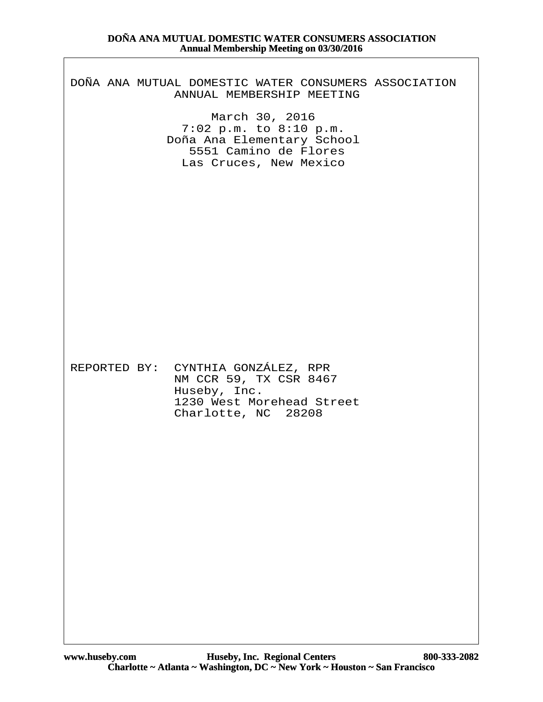### DOÑA ANA MUTUAL DOMESTIC WATER CONSUMERS ASSOCIATION ANNUAL MEMBERSHIP MEETING

March 30, 2016 7:02 p.m. to 8:10 p.m. Doña Ana Elementary School 5551 Camino de Flores Las Cruces, New Mexico

REPORTED BY: CYNTHIA GONZÁLEZ, RPR NM CCR 59, TX CSR 8467 Huseby, Inc. 1230 West Morehead Street Charlotte, NC 28208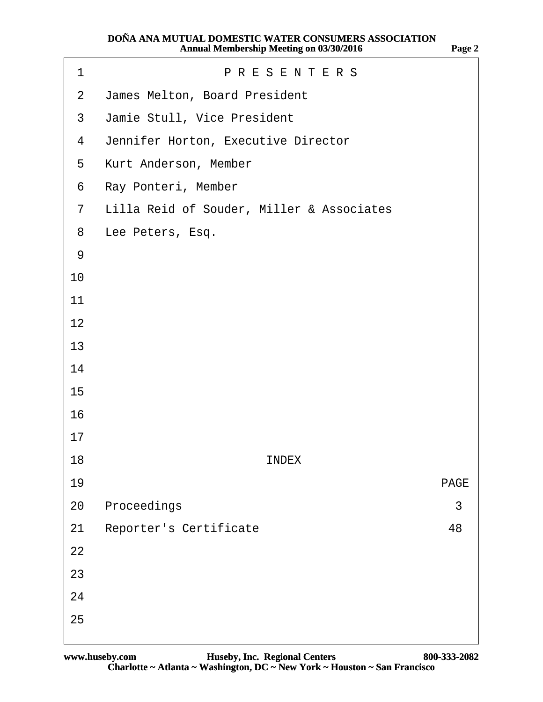| 1              | <b>PRESENTERS</b>                         |    |  |  |  |  |  |  |  |
|----------------|-------------------------------------------|----|--|--|--|--|--|--|--|
| $\overline{2}$ | James Melton, Board President             |    |  |  |  |  |  |  |  |
| 3              | Jamie Stull, Vice President               |    |  |  |  |  |  |  |  |
| 4              | Jennifer Horton, Executive Director       |    |  |  |  |  |  |  |  |
| 5              | Kurt Anderson, Member                     |    |  |  |  |  |  |  |  |
| 6              | Ray Ponteri, Member                       |    |  |  |  |  |  |  |  |
| $\overline{7}$ | Lilla Reid of Souder, Miller & Associates |    |  |  |  |  |  |  |  |
| 8              | Lee Peters, Esq.                          |    |  |  |  |  |  |  |  |
| $9\,$          |                                           |    |  |  |  |  |  |  |  |
| 10             |                                           |    |  |  |  |  |  |  |  |
| 11             |                                           |    |  |  |  |  |  |  |  |
| 12             |                                           |    |  |  |  |  |  |  |  |
| 13             |                                           |    |  |  |  |  |  |  |  |
| 14             |                                           |    |  |  |  |  |  |  |  |
| 15             |                                           |    |  |  |  |  |  |  |  |
| 16             |                                           |    |  |  |  |  |  |  |  |
| 17             |                                           |    |  |  |  |  |  |  |  |
| 18             | <b>INDEX</b>                              |    |  |  |  |  |  |  |  |
| 19             | <b>PAGE</b>                               |    |  |  |  |  |  |  |  |
| 20             | Proceedings                               | 3  |  |  |  |  |  |  |  |
| 21             | <b>Reporter's Certificate</b>             | 48 |  |  |  |  |  |  |  |
| 22             |                                           |    |  |  |  |  |  |  |  |
| 23             |                                           |    |  |  |  |  |  |  |  |
| 24             |                                           |    |  |  |  |  |  |  |  |
| 25             |                                           |    |  |  |  |  |  |  |  |
|                |                                           |    |  |  |  |  |  |  |  |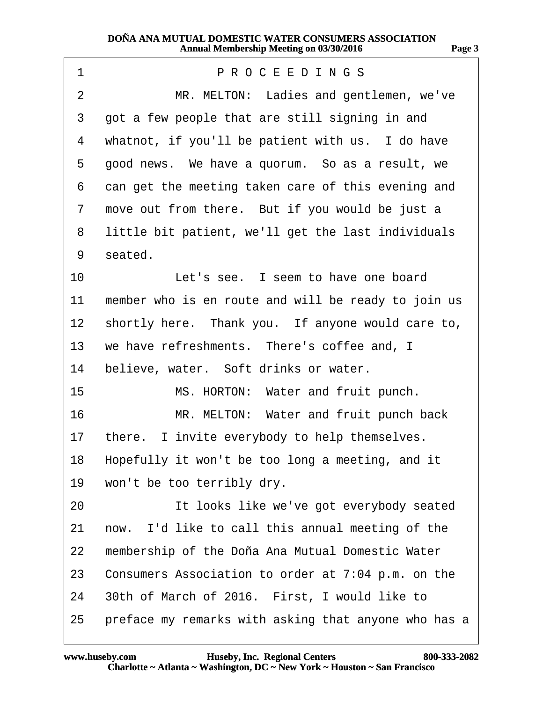<span id="page-2-0"></span>

| 1               | PROCEEDINGS                                          |  |  |  |  |  |  |
|-----------------|------------------------------------------------------|--|--|--|--|--|--|
| 2               | MR. MELTON: Ladies and gentlemen, we've              |  |  |  |  |  |  |
| 3               | got a few people that are still signing in and       |  |  |  |  |  |  |
| 4               | whatnot, if you'll be patient with us. I do have     |  |  |  |  |  |  |
| 5               | good news. We have a quorum. So as a result, we      |  |  |  |  |  |  |
| 6               | can get the meeting taken care of this evening and   |  |  |  |  |  |  |
| 7               | move out from there. But if you would be just a      |  |  |  |  |  |  |
| 8               | little bit patient, we'll get the last individuals   |  |  |  |  |  |  |
| 9               | seated.                                              |  |  |  |  |  |  |
| 10              | Let's see. I seem to have one board                  |  |  |  |  |  |  |
| 11              | member who is en route and will be ready to join us  |  |  |  |  |  |  |
| 12 <sup>1</sup> | shortly here. Thank you. If anyone would care to,    |  |  |  |  |  |  |
| 13              | we have refreshments. There's coffee and, I          |  |  |  |  |  |  |
| 14              | believe, water. Soft drinks or water.                |  |  |  |  |  |  |
| 15              | MS. HORTON: Water and fruit punch.                   |  |  |  |  |  |  |
| 16              | MR. MELTON: Water and fruit punch back               |  |  |  |  |  |  |
| 17              | there. I invite everybody to help themselves.        |  |  |  |  |  |  |
|                 | 18 Hopefully it won't be too long a meeting, and it  |  |  |  |  |  |  |
| 19              | won't be too terribly dry.                           |  |  |  |  |  |  |
| 20              | It looks like we've got everybody seated             |  |  |  |  |  |  |
| 21              | now. I'd like to call this annual meeting of the     |  |  |  |  |  |  |
| 22              | membership of the Doña Ana Mutual Domestic Water     |  |  |  |  |  |  |
| 23              | Consumers Association to order at 7:04 p.m. on the   |  |  |  |  |  |  |
| 24              | 30th of March of 2016. First, I would like to        |  |  |  |  |  |  |
| 25              | preface my remarks with asking that anyone who has a |  |  |  |  |  |  |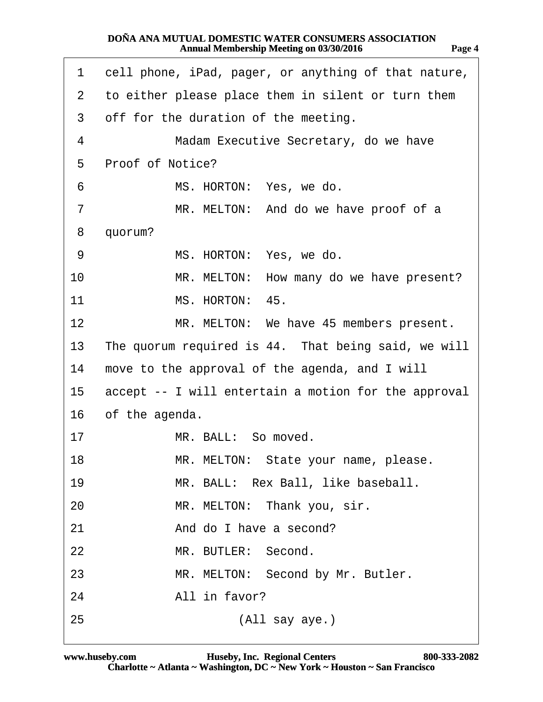<span id="page-3-0"></span>

| 1               | cell phone, iPad, pager, or anything of that nature, |  |  |  |  |  |
|-----------------|------------------------------------------------------|--|--|--|--|--|
| 2               | to either please place them in silent or turn them   |  |  |  |  |  |
| 3               | off for the duration of the meeting.                 |  |  |  |  |  |
| 4               | Madam Executive Secretary, do we have                |  |  |  |  |  |
| 5               | Proof of Notice?                                     |  |  |  |  |  |
| 6               | MS. HORTON: Yes, we do.                              |  |  |  |  |  |
| 7               | MR. MELTON: And do we have proof of a                |  |  |  |  |  |
| 8               | quorum?                                              |  |  |  |  |  |
| 9               | MS. HORTON: Yes, we do.                              |  |  |  |  |  |
| 10              | MR. MELTON: How many do we have present?             |  |  |  |  |  |
| 11              | MS. HORTON: 45.                                      |  |  |  |  |  |
| 12              | MR. MELTON: We have 45 members present.              |  |  |  |  |  |
| 13              | The quorum required is 44. That being said, we will  |  |  |  |  |  |
| 14              | move to the approval of the agenda, and I will       |  |  |  |  |  |
| 15 <sub>2</sub> | accept -- I will entertain a motion for the approval |  |  |  |  |  |
| 16              | of the agenda.                                       |  |  |  |  |  |
| 17              | MR. BALL: So moved.                                  |  |  |  |  |  |
| 18              | MR. MELTON: State your name, please.                 |  |  |  |  |  |
| 19              | MR. BALL: Rex Ball, like baseball.                   |  |  |  |  |  |
| 20              | MR. MELTON: Thank you, sir.                          |  |  |  |  |  |
| 21              | And do I have a second?                              |  |  |  |  |  |
| 22              | MR. BUTLER: Second.                                  |  |  |  |  |  |
| 23              | MR. MELTON: Second by Mr. Butler.                    |  |  |  |  |  |
| 24              | All in favor?                                        |  |  |  |  |  |
| 25              | (All say aye.)                                       |  |  |  |  |  |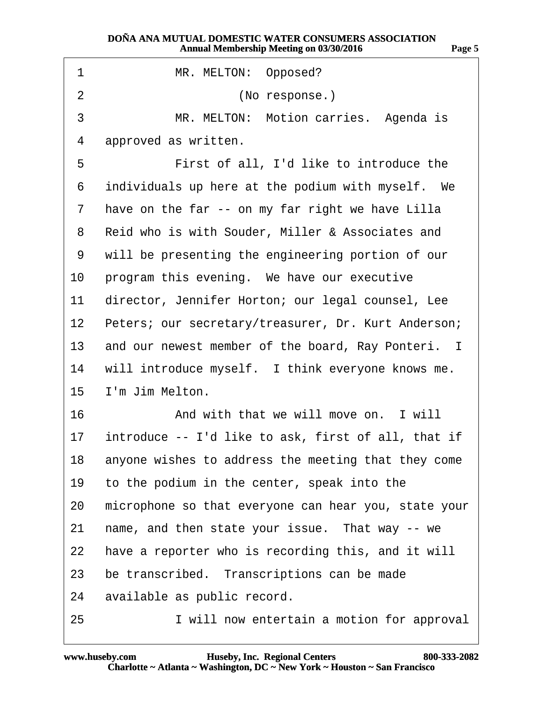<span id="page-4-0"></span>

| 1                | MR. MELTON: Opposed?                                 |  |  |  |  |  |
|------------------|------------------------------------------------------|--|--|--|--|--|
| $\overline{2}$   | (No response.)                                       |  |  |  |  |  |
| 3                | MR. MELTON: Motion carries. Agenda is                |  |  |  |  |  |
| 4                | approved as written.                                 |  |  |  |  |  |
| 5                | First of all, I'd like to introduce the              |  |  |  |  |  |
| 6                | individuals up here at the podium with myself. We    |  |  |  |  |  |
| 7                | have on the far -- on my far right we have Lilla     |  |  |  |  |  |
| 8                | Reid who is with Souder, Miller & Associates and     |  |  |  |  |  |
| 9                | will be presenting the engineering portion of our    |  |  |  |  |  |
| 10 <sup>°</sup>  | program this evening. We have our executive          |  |  |  |  |  |
| 11               | director, Jennifer Horton; our legal counsel, Lee    |  |  |  |  |  |
| 12 <sup>1</sup>  | Peters; our secretary/treasurer, Dr. Kurt Anderson;  |  |  |  |  |  |
| 13 <sup>°</sup>  | and our newest member of the board, Ray Ponteri. I   |  |  |  |  |  |
|                  | 14 will introduce myself. I think everyone knows me. |  |  |  |  |  |
| 15 <sup>15</sup> | I'm Jim Melton.                                      |  |  |  |  |  |
| 16               | And with that we will move on. I will                |  |  |  |  |  |
| 17 <sup>1</sup>  | introduce -- I'd like to ask, first of all, that if  |  |  |  |  |  |
| 18               | anyone wishes to address the meeting that they come  |  |  |  |  |  |
| 19               | to the podium in the center, speak into the          |  |  |  |  |  |
| 20               | microphone so that everyone can hear you, state your |  |  |  |  |  |
| 21               | name, and then state your issue. That way -- we      |  |  |  |  |  |
| 22               | have a reporter who is recording this, and it will   |  |  |  |  |  |
| 23               | be transcribed. Transcriptions can be made           |  |  |  |  |  |
| 24               | available as public record.                          |  |  |  |  |  |
| 25               | I will now entertain a motion for approval           |  |  |  |  |  |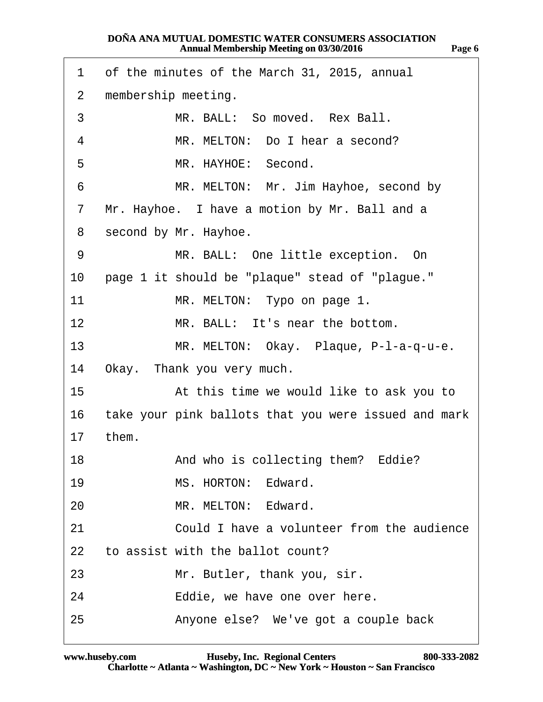<span id="page-5-0"></span>

| 1              | of the minutes of the March 31, 2015, annual         |  |  |  |  |  |
|----------------|------------------------------------------------------|--|--|--|--|--|
| $\overline{2}$ | membership meeting.                                  |  |  |  |  |  |
| 3              | MR. BALL: So moved. Rex Ball.                        |  |  |  |  |  |
| 4              | MR. MELTON: Do I hear a second?                      |  |  |  |  |  |
| 5              | MR. HAYHOE: Second.                                  |  |  |  |  |  |
| 6              | MR. MELTON: Mr. Jim Hayhoe, second by                |  |  |  |  |  |
| 7              | Mr. Hayhoe. I have a motion by Mr. Ball and a        |  |  |  |  |  |
| 8              | second by Mr. Hayhoe.                                |  |  |  |  |  |
| 9              | MR. BALL: One little exception. On                   |  |  |  |  |  |
| 10             | page 1 it should be "plaque" stead of "plague."      |  |  |  |  |  |
| 11             | MR. MELTON: Typo on page 1.                          |  |  |  |  |  |
| 12             | MR. BALL: It's near the bottom.                      |  |  |  |  |  |
| 13             | MR. MELTON: Okay. Plaque, P-I-a-q-u-e.               |  |  |  |  |  |
| 14             | Okay. Thank you very much.                           |  |  |  |  |  |
| 15             | At this time we would like to ask you to             |  |  |  |  |  |
| 16             | take your pink ballots that you were issued and mark |  |  |  |  |  |
| 17             | them.                                                |  |  |  |  |  |
| 18             | And who is collecting them? Eddie?                   |  |  |  |  |  |
| 19             | MS. HORTON: Edward.                                  |  |  |  |  |  |
| 20             | MR. MELTON: Edward.                                  |  |  |  |  |  |
| 21             | Could I have a volunteer from the audience           |  |  |  |  |  |
| 22             | to assist with the ballot count?                     |  |  |  |  |  |
| 23             | Mr. Butler, thank you, sir.                          |  |  |  |  |  |
| 24             | Eddie, we have one over here.                        |  |  |  |  |  |
| 25             | Anyone else? We've got a couple back                 |  |  |  |  |  |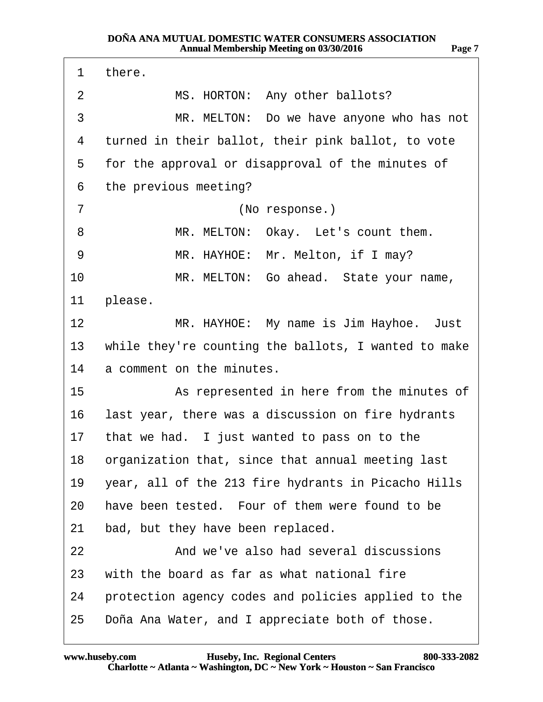<span id="page-6-0"></span>

| 1               | there.                                               |
|-----------------|------------------------------------------------------|
| 2               | MS. HORTON: Any other ballots?                       |
| 3               | MR. MELTON: Do we have anyone who has not            |
| 4               | turned in their ballot, their pink ballot, to vote   |
| 5               | for the approval or disapproval of the minutes of    |
| 6               | the previous meeting?                                |
| 7               | (No response.)                                       |
| 8               | MR. MELTON: Okay. Let's count them.                  |
| 9               | MR. HAYHOE: Mr. Melton, if I may?                    |
| 10              | MR. MELTON: Go ahead. State your name,               |
| 11              | please.                                              |
| 12 <sup>2</sup> | MR. HAYHOE: My name is Jim Hayhoe. Just              |
| 13 <sup>°</sup> | while they're counting the ballots, I wanted to make |
| 14              | a comment on the minutes.                            |
| 15              | As represented in here from the minutes of           |
| 16              | last year, there was a discussion on fire hydrants   |
|                 | 17 that we had. I just wanted to pass on to the      |
|                 | 18 organization that, since that annual meeting last |
| 19              | year, all of the 213 fire hydrants in Picacho Hills  |
| 20              | have been tested. Four of them were found to be      |
| 21              | bad, but they have been replaced.                    |
| 22              | And we've also had several discussions               |
| 23              | with the board as far as what national fire          |
| 24              | protection agency codes and policies applied to the  |
| 25              | Doña Ana Water, and I appreciate both of those.      |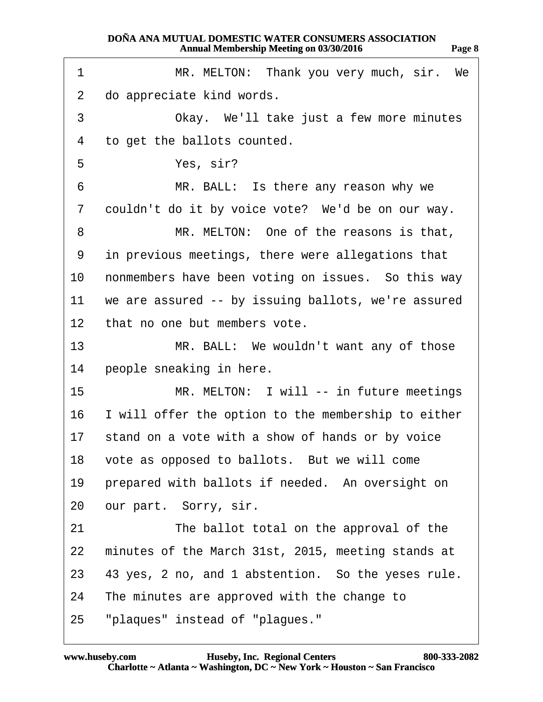<span id="page-7-0"></span>

| 1               | MR. MELTON: Thank you very much, sir. We               |  |  |  |  |  |  |
|-----------------|--------------------------------------------------------|--|--|--|--|--|--|
| $\overline{2}$  | do appreciate kind words.                              |  |  |  |  |  |  |
| 3               | Okay. We'll take just a few more minutes               |  |  |  |  |  |  |
| 4               | to get the ballots counted.                            |  |  |  |  |  |  |
| 5               | Yes, sir?                                              |  |  |  |  |  |  |
| 6               | MR. BALL: Is there any reason why we                   |  |  |  |  |  |  |
| 7               | couldn't do it by voice vote? We'd be on our way.      |  |  |  |  |  |  |
| 8               | MR. MELTON: One of the reasons is that,                |  |  |  |  |  |  |
| 9               | in previous meetings, there were allegations that      |  |  |  |  |  |  |
| 10              | nonmembers have been voting on issues. So this way     |  |  |  |  |  |  |
| 11              | we are assured -- by issuing ballots, we're assured    |  |  |  |  |  |  |
| 12 <sup>°</sup> | that no one but members vote.                          |  |  |  |  |  |  |
| 13              | MR. BALL: We wouldn't want any of those                |  |  |  |  |  |  |
| 14              | people sneaking in here.                               |  |  |  |  |  |  |
| 15              | MR. MELTON: I will -- in future meetings               |  |  |  |  |  |  |
|                 | 16 I will offer the option to the membership to either |  |  |  |  |  |  |
| 17              | stand on a vote with a show of hands or by voice       |  |  |  |  |  |  |
|                 | 18 vote as opposed to ballots. But we will come        |  |  |  |  |  |  |
| 19              | prepared with ballots if needed. An oversight on       |  |  |  |  |  |  |
| 20              | our part. Sorry, sir.                                  |  |  |  |  |  |  |
| 21              | The ballot total on the approval of the                |  |  |  |  |  |  |
| 22              | minutes of the March 31st, 2015, meeting stands at     |  |  |  |  |  |  |
| 23              | 43 yes, 2 no, and 1 abstention. So the yeses rule.     |  |  |  |  |  |  |
| 24              | The minutes are approved with the change to            |  |  |  |  |  |  |
| 25              | "plaques" instead of "plagues."                        |  |  |  |  |  |  |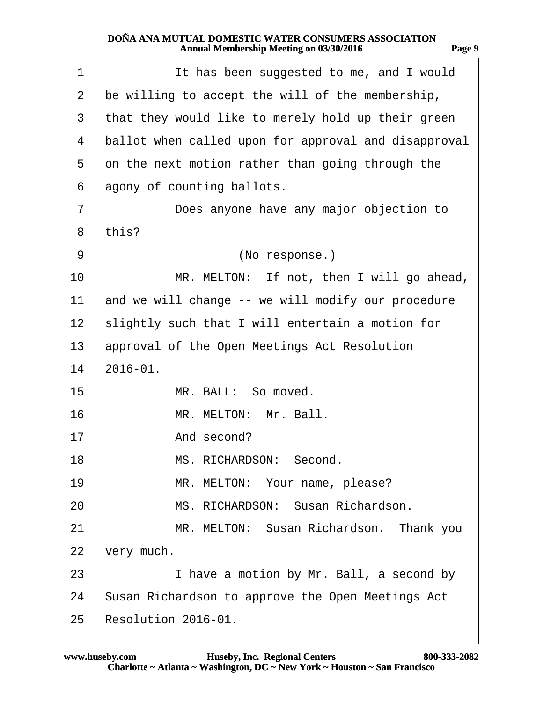<span id="page-8-0"></span>

| 1              | It has been suggested to me, and I would             |  |  |  |  |  |
|----------------|------------------------------------------------------|--|--|--|--|--|
| $\overline{2}$ | be willing to accept the will of the membership,     |  |  |  |  |  |
| 3              | that they would like to merely hold up their green   |  |  |  |  |  |
| 4              | ballot when called upon for approval and disapproval |  |  |  |  |  |
| 5              | on the next motion rather than going through the     |  |  |  |  |  |
| 6              | agony of counting ballots.                           |  |  |  |  |  |
| $\overline{7}$ | Does anyone have any major objection to              |  |  |  |  |  |
| 8              | this?                                                |  |  |  |  |  |
| 9              | (No response.)                                       |  |  |  |  |  |
| 10             | MR. MELTON: If not, then I will go ahead,            |  |  |  |  |  |
| 11             | and we will change -- we will modify our procedure   |  |  |  |  |  |
| 12             | slightly such that I will entertain a motion for     |  |  |  |  |  |
| 13             | approval of the Open Meetings Act Resolution         |  |  |  |  |  |
|                | 14 2016-01.                                          |  |  |  |  |  |
| 15             | MR. BALL: So moved.                                  |  |  |  |  |  |
| 16             | MR. MELTON: Mr. Ball.                                |  |  |  |  |  |
| 17             | And second?                                          |  |  |  |  |  |
| 18             | MS. RICHARDSON: Second.                              |  |  |  |  |  |
| 19             | MR. MELTON: Your name, please?                       |  |  |  |  |  |
| 20             | MS. RICHARDSON: Susan Richardson.                    |  |  |  |  |  |
| 21             | MR. MELTON: Susan Richardson. Thank you              |  |  |  |  |  |
| 22             | very much.                                           |  |  |  |  |  |
| 23             | I have a motion by Mr. Ball, a second by             |  |  |  |  |  |
|                | 24 Susan Richardson to approve the Open Meetings Act |  |  |  |  |  |
| 25             | Resolution 2016-01.                                  |  |  |  |  |  |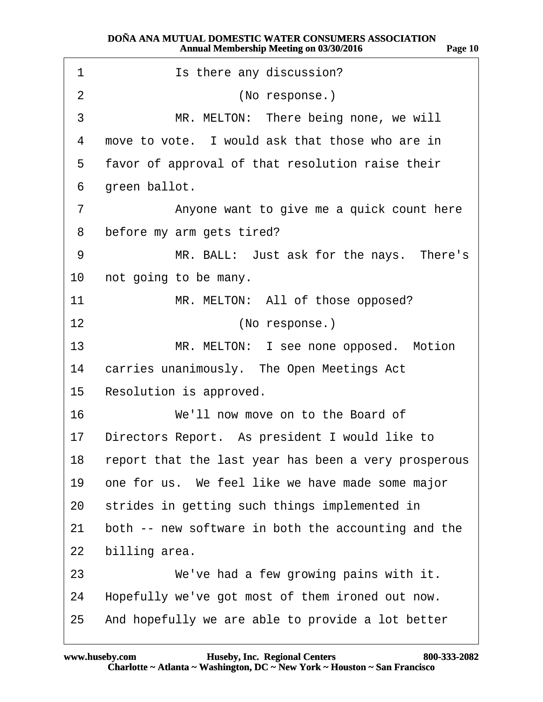<span id="page-9-0"></span>

| 1               | Is there any discussion?                             |  |  |  |  |  |  |
|-----------------|------------------------------------------------------|--|--|--|--|--|--|
| 2               | (No response.)                                       |  |  |  |  |  |  |
| 3               | MR. MELTON: There being none, we will                |  |  |  |  |  |  |
| 4               | move to vote. I would ask that those who are in      |  |  |  |  |  |  |
| 5               | favor of approval of that resolution raise their     |  |  |  |  |  |  |
| 6               | green ballot.                                        |  |  |  |  |  |  |
| 7               | Anyone want to give me a quick count here            |  |  |  |  |  |  |
| 8               | before my arm gets tired?                            |  |  |  |  |  |  |
| 9               | MR. BALL: Just ask for the nays. There's             |  |  |  |  |  |  |
| 10              | not going to be many.                                |  |  |  |  |  |  |
| 11              | MR. MELTON: All of those opposed?                    |  |  |  |  |  |  |
| 12              | (No response.)                                       |  |  |  |  |  |  |
| 13              | MR. MELTON: I see none opposed. Motion               |  |  |  |  |  |  |
| 14              | carries unanimously. The Open Meetings Act           |  |  |  |  |  |  |
| 15 <sup>1</sup> | Resolution is approved.                              |  |  |  |  |  |  |
| 16              | We'll now move on to the Board of                    |  |  |  |  |  |  |
| 17              | Directors Report. As president I would like to       |  |  |  |  |  |  |
| 18              | report that the last year has been a very prosperous |  |  |  |  |  |  |
| 19              | one for us. We feel like we have made some major     |  |  |  |  |  |  |
| 20              | strides in getting such things implemented in        |  |  |  |  |  |  |
| 21              | both -- new software in both the accounting and the  |  |  |  |  |  |  |
| 22              | billing area.                                        |  |  |  |  |  |  |
| 23              | We've had a few growing pains with it.               |  |  |  |  |  |  |
| 24              | Hopefully we've got most of them ironed out now.     |  |  |  |  |  |  |
| 25              | And hopefully we are able to provide a lot better    |  |  |  |  |  |  |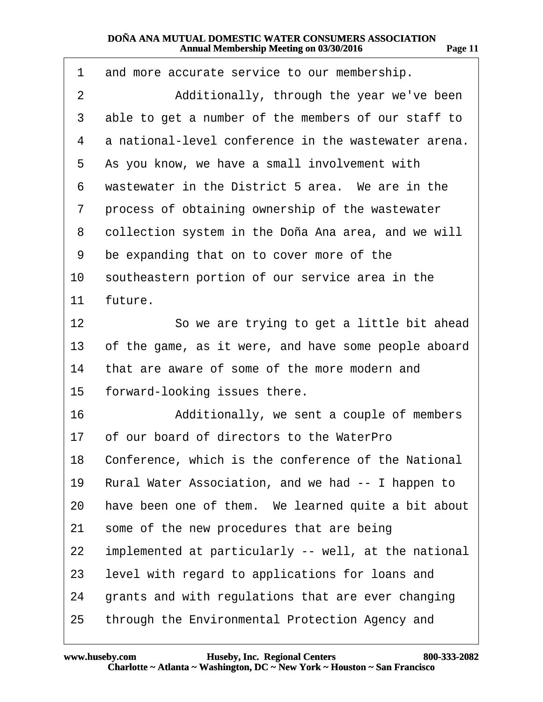<span id="page-10-0"></span>

| 1  | and more accurate service to our membership.           |  |  |  |  |  |  |
|----|--------------------------------------------------------|--|--|--|--|--|--|
| 2  | Additionally, through the year we've been              |  |  |  |  |  |  |
| 3  | able to get a number of the members of our staff to    |  |  |  |  |  |  |
| 4  | a national-level conference in the wastewater arena.   |  |  |  |  |  |  |
| 5  | As you know, we have a small involvement with          |  |  |  |  |  |  |
| 6  | wastewater in the District 5 area. We are in the       |  |  |  |  |  |  |
| 7  | process of obtaining ownership of the wastewater       |  |  |  |  |  |  |
| 8  | collection system in the Doña Ana area, and we will    |  |  |  |  |  |  |
| 9  | be expanding that on to cover more of the              |  |  |  |  |  |  |
| 10 | southeastern portion of our service area in the        |  |  |  |  |  |  |
| 11 | future.                                                |  |  |  |  |  |  |
| 12 | So we are trying to get a little bit ahead             |  |  |  |  |  |  |
| 13 | of the game, as it were, and have some people aboard   |  |  |  |  |  |  |
| 14 | that are aware of some of the more modern and          |  |  |  |  |  |  |
| 15 | forward-looking issues there.                          |  |  |  |  |  |  |
| 16 | Additionally, we sent a couple of members              |  |  |  |  |  |  |
|    | 17 of our board of directors to the WaterPro           |  |  |  |  |  |  |
|    | 18 Conference, which is the conference of the National |  |  |  |  |  |  |
| 19 | Rural Water Association, and we had -- I happen to     |  |  |  |  |  |  |
| 20 | have been one of them. We learned quite a bit about    |  |  |  |  |  |  |
| 21 | some of the new procedures that are being              |  |  |  |  |  |  |
| 22 | implemented at particularly -- well, at the national   |  |  |  |  |  |  |
| 23 | level with regard to applications for loans and        |  |  |  |  |  |  |
| 24 | grants and with regulations that are ever changing     |  |  |  |  |  |  |
| 25 | through the Environmental Protection Agency and        |  |  |  |  |  |  |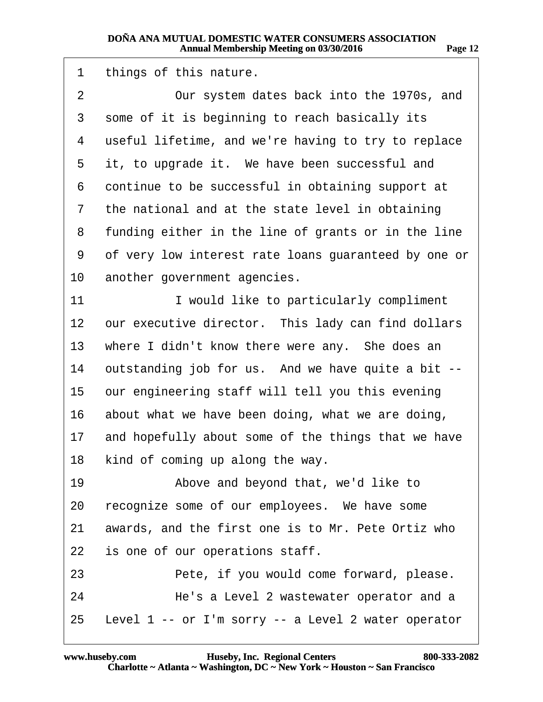<span id="page-11-0"></span>

| 1              | things of this nature.                                 |  |  |  |  |  |
|----------------|--------------------------------------------------------|--|--|--|--|--|
| $\overline{2}$ | Our system dates back into the 1970s, and              |  |  |  |  |  |
| 3              | some of it is beginning to reach basically its         |  |  |  |  |  |
| 4              | useful lifetime, and we're having to try to replace    |  |  |  |  |  |
| 5              | it, to upgrade it. We have been successful and         |  |  |  |  |  |
| 6              | continue to be successful in obtaining support at      |  |  |  |  |  |
| 7              | the national and at the state level in obtaining       |  |  |  |  |  |
| 8              | funding either in the line of grants or in the line    |  |  |  |  |  |
| 9              | of very low interest rate loans guaranteed by one or   |  |  |  |  |  |
| 10             | another government agencies.                           |  |  |  |  |  |
| 11             | I would like to particularly compliment                |  |  |  |  |  |
| 12             | our executive director. This lady can find dollars     |  |  |  |  |  |
| 13             | where I didn't know there were any. She does an        |  |  |  |  |  |
| 14             | outstanding job for us. And we have quite a bit --     |  |  |  |  |  |
| 15             | our engineering staff will tell you this evening       |  |  |  |  |  |
| 16             | about what we have been doing, what we are doing,      |  |  |  |  |  |
| 17             | and hopefully about some of the things that we have    |  |  |  |  |  |
| 18             | kind of coming up along the way.                       |  |  |  |  |  |
| 19             | Above and beyond that, we'd like to                    |  |  |  |  |  |
| 20             | recognize some of our employees. We have some          |  |  |  |  |  |
| 21             | awards, and the first one is to Mr. Pete Ortiz who     |  |  |  |  |  |
| 22             | is one of our operations staff.                        |  |  |  |  |  |
| 23             | Pete, if you would come forward, please.               |  |  |  |  |  |
| 24             | He's a Level 2 wastewater operator and a               |  |  |  |  |  |
|                | 25 Level 1 -- or I'm sorry -- a Level 2 water operator |  |  |  |  |  |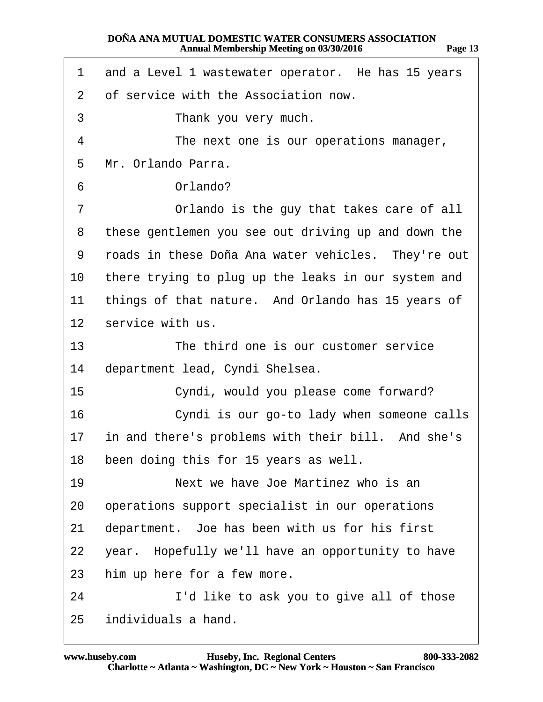<span id="page-12-0"></span>

|  |  |  | 1 and a Level 1 wastewater operator. He has 15 years |  |  |  |
|--|--|--|------------------------------------------------------|--|--|--|
|--|--|--|------------------------------------------------------|--|--|--|

- 2 of service with the Association now.
- 3 Thank you very much.
- 4 The next one is our operations manager,
- 5 Mr. Orlando Parra.
- 6 Orlando?
- 7 **••** Orlando is the guy that takes care of all
- 8 these gentlemen you see out driving up and down the
- 9 roads in these Doña Ana water vehicles. They're out
- 10 there trying to plug up the leaks in our system and
- 11 things of that nature. And Orlando has 15 years of
- 12 service with us.
- 13 The third one is our customer service
- 14 department lead, Cyndi Shelsea.
- 15 Cyndi, would you please come forward?
- 16 **Cyndi is our go-to lady when someone calls**
- 17 in and there's problems with their bill. And she's
- 18 been doing this for 15 years as well.
- 19· · · · · · ·Next we have Joe Martinez who is an
- 20 operations support specialist in our operations
- 21 department. Joe has been with us for his first
- 22 year. Hopefully we'll have an opportunity to have
- 23 him up here for a few more.
- 24 I'd like to ask you to give all of those
- 25 individuals a hand.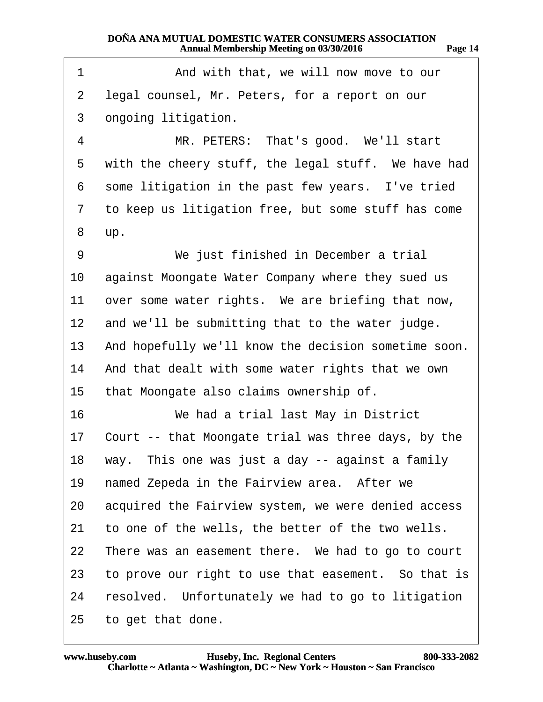<span id="page-13-0"></span>

| 1               | And with that, we will now move to our               |
|-----------------|------------------------------------------------------|
| 2               | legal counsel, Mr. Peters, for a report on our       |
| 3               | ongoing litigation.                                  |
| 4               | MR. PETERS: That's good. We'll start                 |
| 5               | with the cheery stuff, the legal stuff. We have had  |
| 6               | some litigation in the past few years. I've tried    |
| 7               | to keep us litigation free, but some stuff has come  |
| 8               | up.                                                  |
| 9               | We just finished in December a trial                 |
| 10              | against Moongate Water Company where they sued us    |
| 11              | over some water rights. We are briefing that now,    |
| 12 <sub>2</sub> | and we'll be submitting that to the water judge.     |
| 13              | And hopefully we'll know the decision sometime soon. |
| 14              | And that dealt with some water rights that we own    |
| 15              | that Moongate also claims ownership of.              |
| 16              | We had a trial last May in District                  |
| 17              | Court -- that Moongate trial was three days, by the  |
|                 | 18 way. This one was just a day -- against a family  |
| 19              | named Zepeda in the Fairview area. After we          |
| 20              | acquired the Fairview system, we were denied access  |
| 21              | to one of the wells, the better of the two wells.    |
| 22              | There was an easement there. We had to go to court   |
| 23              | to prove our right to use that easement. So that is  |
| 24              | resolved. Unfortunately we had to go to litigation   |
| 25              | to get that done.                                    |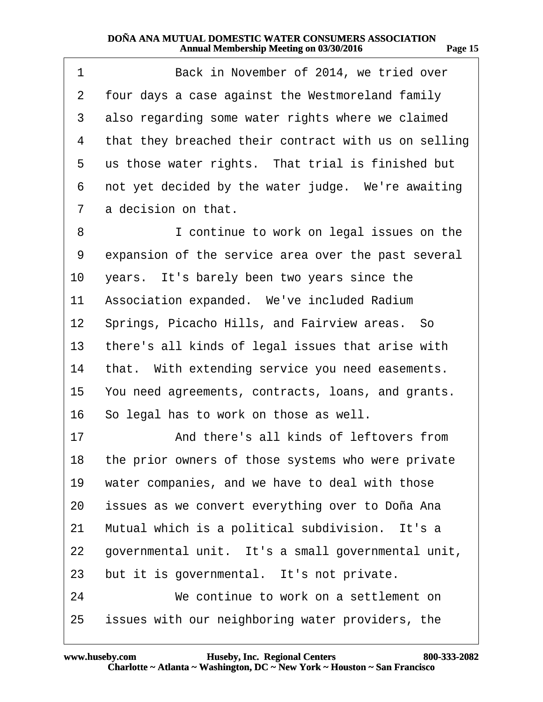<span id="page-14-0"></span>

| 1              | Back in November of 2014, we tried over               |
|----------------|-------------------------------------------------------|
| $\overline{2}$ | four days a case against the Westmoreland family      |
| 3              | also regarding some water rights where we claimed     |
| 4              | that they breached their contract with us on selling  |
| 5              | us those water rights. That trial is finished but     |
| 6              | not yet decided by the water judge. We're awaiting    |
| $\overline{7}$ | a decision on that.                                   |
| 8              | I continue to work on legal issues on the             |
| 9              | expansion of the service area over the past several   |
| 10             | years. It's barely been two years since the           |
| 11             | Association expanded. We've included Radium           |
|                | 12 Springs, Picacho Hills, and Fairview areas. So     |
| 13             | there's all kinds of legal issues that arise with     |
| 14             | that. With extending service you need easements.      |
|                | 15 You need agreements, contracts, loans, and grants. |
|                | 16 So legal has to work on those as well.             |
| 17             | And there's all kinds of leftovers from               |
|                | 18 the prior owners of those systems who were private |
| 19             | water companies, and we have to deal with those       |
| 20             | issues as we convert everything over to Doña Ana      |
| 21             | Mutual which is a political subdivision. It's a       |
| 22             | governmental unit. It's a small governmental unit,    |
| 23             | but it is governmental. It's not private.             |
| 24             | We continue to work on a settlement on                |
| 25             | issues with our neighboring water providers, the      |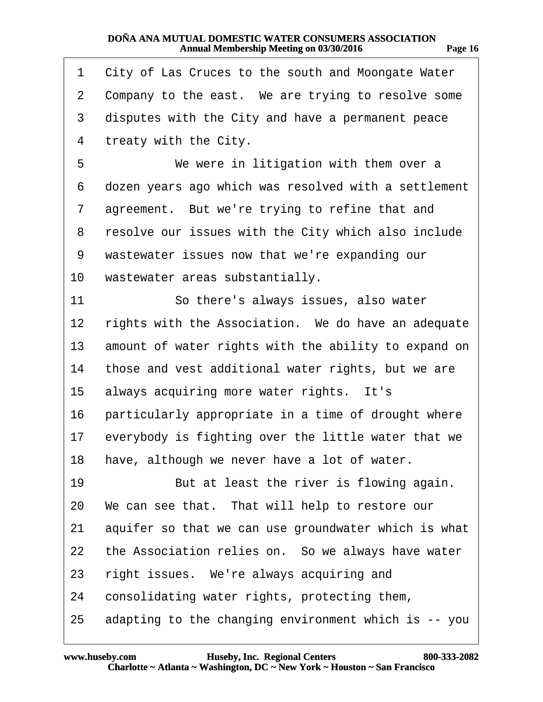<span id="page-15-0"></span>

| 1                 | City of Las Cruces to the south and Moongate Water   |
|-------------------|------------------------------------------------------|
| 2                 | Company to the east. We are trying to resolve some   |
| 3                 | disputes with the City and have a permanent peace    |
| 4                 | treaty with the City.                                |
| 5                 | We were in litigation with them over a               |
| 6                 | dozen years ago which was resolved with a settlement |
| 7                 | agreement. But we're trying to refine that and       |
| 8                 | resolve our issues with the City which also include  |
| 9                 | wastewater issues now that we're expanding our       |
| 10                | wastewater areas substantially.                      |
| 11                | So there's always issues, also water                 |
| $12 \overline{ }$ | rights with the Association. We do have an adequate  |
| 13                | amount of water rights with the ability to expand on |
| 14                | those and vest additional water rights, but we are   |
| 15                | always acquiring more water rights. It's             |
| 16                | particularly appropriate in a time of drought where  |
| 17                | everybody is fighting over the little water that we  |
| 18                | have, although we never have a lot of water.         |
| 19                | But at least the river is flowing again.             |
| 20                | We can see that. That will help to restore our       |
| 21                | aquifer so that we can use groundwater which is what |
| 22                | the Association relies on. So we always have water   |
| 23                | right issues. We're always acquiring and             |
| 24                | consolidating water rights, protecting them,         |
| 25                | adapting to the changing environment which is -- you |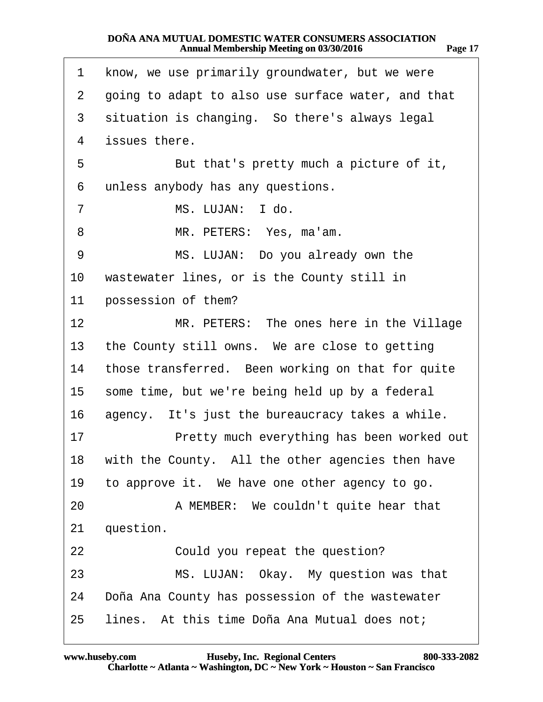<span id="page-16-0"></span>

| 1               | know, we use primarily groundwater, but we were    |
|-----------------|----------------------------------------------------|
| $\overline{2}$  | going to adapt to also use surface water, and that |
|                 |                                                    |
| 3               | situation is changing. So there's always legal     |
| 4               | issues there.                                      |
| 5               | But that's pretty much a picture of it,            |
| 6               | unless anybody has any questions.                  |
| 7               | MS. LUJAN: I do.                                   |
| 8               | MR. PETERS: Yes, ma'am.                            |
| 9               | MS. LUJAN: Do you already own the                  |
| 10              | wastewater lines, or is the County still in        |
| 11              | possession of them?                                |
| 12              | MR. PETERS: The ones here in the Village           |
| 13 <sup>°</sup> | the County still owns. We are close to getting     |
| 14              | those transferred. Been working on that for quite  |
| 15              | some time, but we're being held up by a federal    |
| 16              | agency. It's just the bureaucracy takes a while.   |
| 17              | Pretty much everything has been worked out         |
| 18              | with the County. All the other agencies then have  |
| 19              | to approve it. We have one other agency to go.     |
| 20              | A MEMBER: We couldn't quite hear that              |
| 21              | question.                                          |
| 22              | Could you repeat the question?                     |
| 23              | MS. LUJAN: Okay. My question was that              |
| 24              | Doña Ana County has possession of the wastewater   |
| 25              | lines. At this time Doña Ana Mutual does not;      |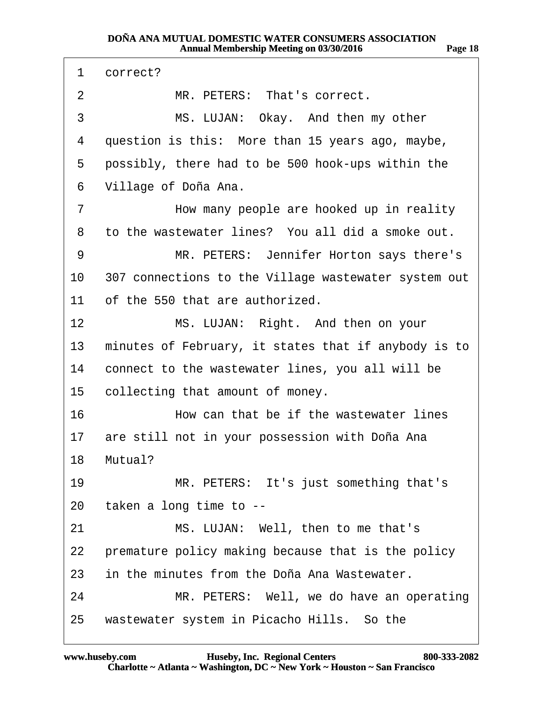<span id="page-17-0"></span>

| 1               | correct?                                             |
|-----------------|------------------------------------------------------|
| 2               | MR. PETERS: That's correct.                          |
| 3               | MS. LUJAN: Okay. And then my other                   |
| 4               | question is this: More than 15 years ago, maybe,     |
| 5               | possibly, there had to be 500 hook-ups within the    |
| 6               | Village of Doña Ana.                                 |
| 7               | How many people are hooked up in reality             |
| 8               | to the wastewater lines? You all did a smoke out.    |
| 9               | MR. PETERS: Jennifer Horton says there's             |
| 10              | 307 connections to the Village wastewater system out |
| 11              | of the 550 that are authorized.                      |
| 12 <sup>°</sup> | MS. LUJAN: Right. And then on your                   |
| 13              | minutes of February, it states that if anybody is to |
| 14              | connect to the wastewater lines, you all will be     |
| 15              | collecting that amount of money.                     |
| 16              | How can that be if the wastewater lines              |
| 17              | are still not in your possession with Doña Ana       |
|                 | 18 Mutual?                                           |
| 19              | MR. PETERS: It's just something that's               |
|                 | 20 taken a long time to --                           |
| 21              | MS. LUJAN: Well, then to me that's                   |
| 22              | premature policy making because that is the policy   |
| 23              | in the minutes from the Doña Ana Wastewater.         |
| 24              | MR. PETERS: Well, we do have an operating            |
| 25              | wastewater system in Picacho Hills. So the           |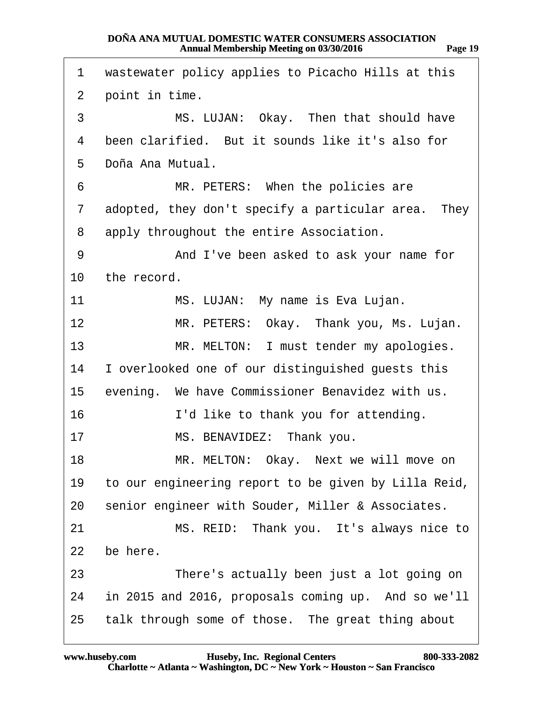<span id="page-18-0"></span>

| 1              | wastewater policy applies to Picacho Hills at this   |
|----------------|------------------------------------------------------|
| $\overline{2}$ | point in time.                                       |
| 3              | MS. LUJAN: Okay. Then that should have               |
| 4              | been clarified. But it sounds like it's also for     |
| 5              | Doña Ana Mutual.                                     |
| 6              | MR. PETERS: When the policies are                    |
| 7              | adopted, they don't specify a particular area. They  |
| 8              | apply throughout the entire Association.             |
| 9              | And I've been asked to ask your name for             |
| 10             | the record.                                          |
| 11             | MS. LUJAN: My name is Eva Lujan.                     |
| 12             | MR. PETERS: Okay. Thank you, Ms. Lujan.              |
| 13             | MR. MELTON: I must tender my apologies.              |
| 14             | I overlooked one of our distinguished guests this    |
| 15             | evening. We have Commissioner Benavidez with us.     |
| 16             | I'd like to thank you for attending.                 |
| 17             | MS. BENAVIDEZ: Thank you.                            |
| 18             | MR. MELTON: Okay. Next we will move on               |
| 19             | to our engineering report to be given by Lilla Reid, |
| 20             | senior engineer with Souder, Miller & Associates.    |
| 21             | MS. REID: Thank you. It's always nice to             |
| 22             | be here.                                             |
| 23             | There's actually been just a lot going on            |
| 24             | in 2015 and 2016, proposals coming up. And so we'll  |
| 25             | talk through some of those. The great thing about    |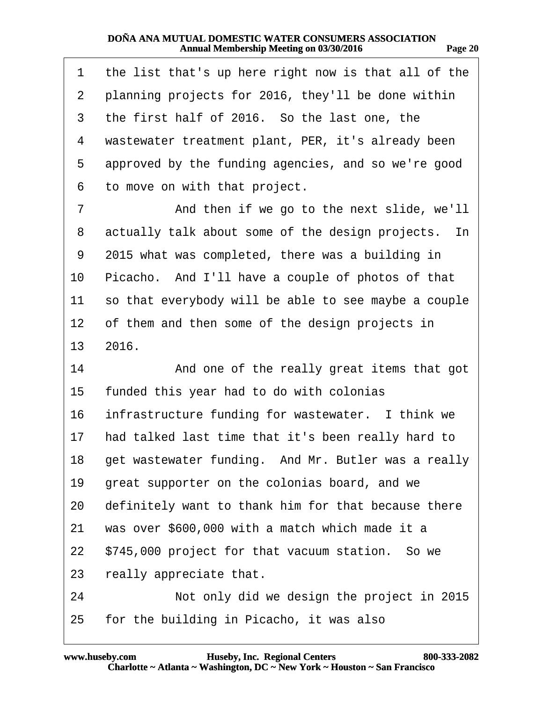| . .<br>.,<br>٠. | I |
|-----------------|---|
|                 |   |

<span id="page-19-0"></span>

| 1              | the list that's up here right now is that all of the   |
|----------------|--------------------------------------------------------|
| $\overline{2}$ | planning projects for 2016, they'll be done within     |
| 3              | the first half of 2016. So the last one, the           |
| 4              | wastewater treatment plant, PER, it's already been     |
| 5              | approved by the funding agencies, and so we're good    |
| 6              | to move on with that project.                          |
| 7              | And then if we go to the next slide, we'll             |
| 8              | actually talk about some of the design projects. In    |
| 9              | 2015 what was completed, there was a building in       |
| 10             | Picacho. And I'll have a couple of photos of that      |
| 11             | so that everybody will be able to see maybe a couple   |
| 12             | of them and then some of the design projects in        |
|                | 13 2016.                                               |
| 14             | And one of the really great items that got             |
| 15             | funded this year had to do with colonias               |
| 16             | infrastructure funding for wastewater. I think we      |
| 17             | had talked last time that it's been really hard to     |
|                | 18 get wastewater funding. And Mr. Butler was a really |
| 19             | great supporter on the colonias board, and we          |
| 20             | definitely want to thank him for that because there    |
| 21             | was over \$600,000 with a match which made it a        |
| 22             | \$745,000 project for that vacuum station. So we       |
| 23             | really appreciate that.                                |
| 24             | Not only did we design the project in 2015             |
| 25             | for the building in Picacho, it was also               |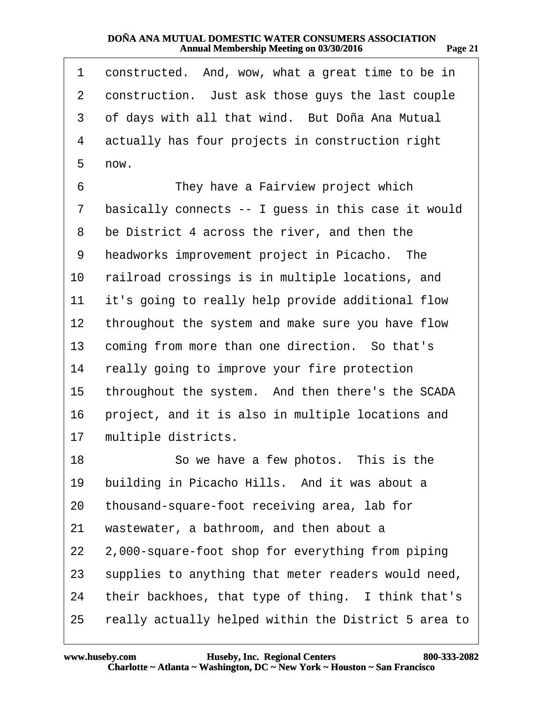<span id="page-20-0"></span>

| 1              | constructed. And, wow, what a great time to be in    |
|----------------|------------------------------------------------------|
| $\overline{2}$ | construction. Just ask those guys the last couple    |
| 3              | of days with all that wind. But Doña Ana Mutual      |
| 4              | actually has four projects in construction right     |
| 5              | now.                                                 |
| 6              | They have a Fairview project which                   |
| 7              | basically connects -- I guess in this case it would  |
| 8              | be District 4 across the river, and then the         |
| 9              | headworks improvement project in Picacho. The        |
| 10             | railroad crossings is in multiple locations, and     |
| 11             | it's going to really help provide additional flow    |
| 12             | throughout the system and make sure you have flow    |
| 13             | coming from more than one direction. So that's       |
| 14             | really going to improve your fire protection         |
| 15             | throughout the system. And then there's the SCADA    |
| 16             | project, and it is also in multiple locations and    |
| 17             | multiple districts.                                  |
| 18             | So we have a few photos. This is the                 |
| 19             | building in Picacho Hills. And it was about a        |
| 20             | thousand-square-foot receiving area, lab for         |
| 21             | wastewater, a bathroom, and then about a             |
| 22             | 2,000-square-foot shop for everything from piping    |
| 23             | supplies to anything that meter readers would need,  |
| 24             | their backhoes, that type of thing. I think that's   |
| 25             | really actually helped within the District 5 area to |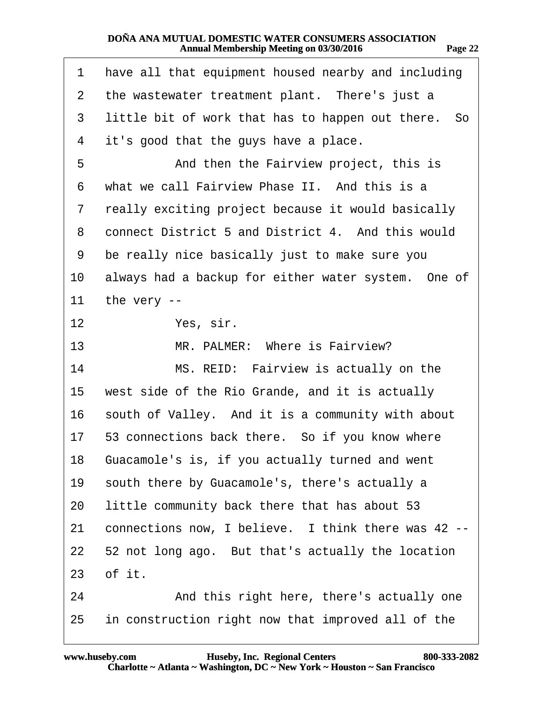<span id="page-21-0"></span>

| 1  | have all that equipment housed nearby and including |
|----|-----------------------------------------------------|
| 2  | the wastewater treatment plant. There's just a      |
| 3  | little bit of work that has to happen out there. So |
| 4  | it's good that the guys have a place.               |
| 5  | And then the Fairview project, this is              |
| 6  | what we call Fairview Phase II. And this is a       |
| 7  | really exciting project because it would basically  |
| 8  | connect District 5 and District 4. And this would   |
| 9  | be really nice basically just to make sure you      |
| 10 | always had a backup for either water system. One of |
| 11 | the very --                                         |
| 12 | Yes, sir.                                           |
| 13 | MR. PALMER: Where is Fairview?                      |
| 14 | MS. REID: Fairview is actually on the               |
| 15 | west side of the Rio Grande, and it is actually     |
| 16 | south of Valley. And it is a community with about   |
| 17 | 53 connections back there. So if you know where     |
| 18 | Guacamole's is, if you actually turned and went     |
| 19 | south there by Guacamole's, there's actually a      |
| 20 | little community back there that has about 53       |
| 21 | connections now, I believe. I think there was 42 -- |
| 22 | 52 not long ago. But that's actually the location   |
|    | 23 of it.                                           |
| 24 | And this right here, there's actually one           |
| 25 | in construction right now that improved all of the  |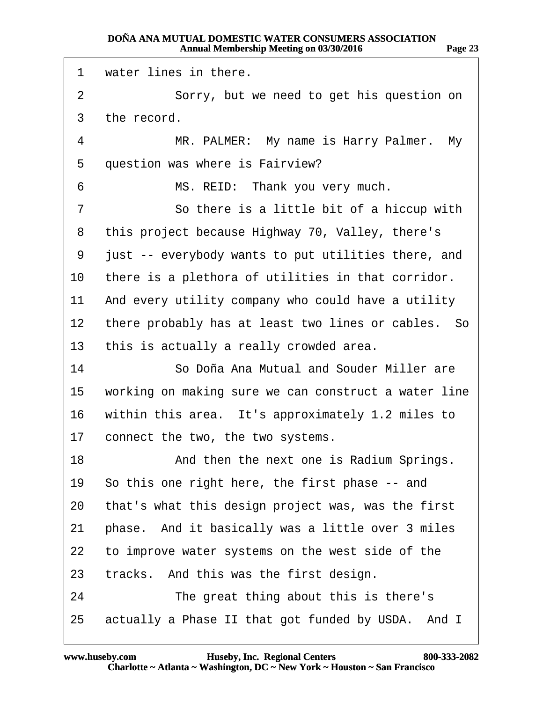<span id="page-22-0"></span>

| 1  | water lines in there.                                |
|----|------------------------------------------------------|
| 2  | Sorry, but we need to get his question on            |
| 3  | the record.                                          |
| 4  | MR. PALMER: My name is Harry Palmer. My              |
| 5  | question was where is Fairview?                      |
| 6  | MS. REID: Thank you very much.                       |
| 7  | So there is a little bit of a hiccup with            |
| 8  | this project because Highway 70, Valley, there's     |
| 9  | just -- everybody wants to put utilities there, and  |
| 10 | there is a plethora of utilities in that corridor.   |
| 11 | And every utility company who could have a utility   |
| 12 | there probably has at least two lines or cables. So  |
| 13 | this is actually a really crowded area.              |
| 14 | So Doña Ana Mutual and Souder Miller are             |
| 15 | working on making sure we can construct a water line |
| 16 | within this area. It's approximately 1.2 miles to    |
| 17 | connect the two, the two systems.                    |
| 18 | And then the next one is Radium Springs.             |
| 19 | So this one right here, the first phase -- and       |
| 20 | that's what this design project was, was the first   |
| 21 | phase. And it basically was a little over 3 miles    |
| 22 | to improve water systems on the west side of the     |
| 23 | tracks. And this was the first design.               |
| 24 | The great thing about this is there's                |
| 25 | actually a Phase II that got funded by USDA. And I   |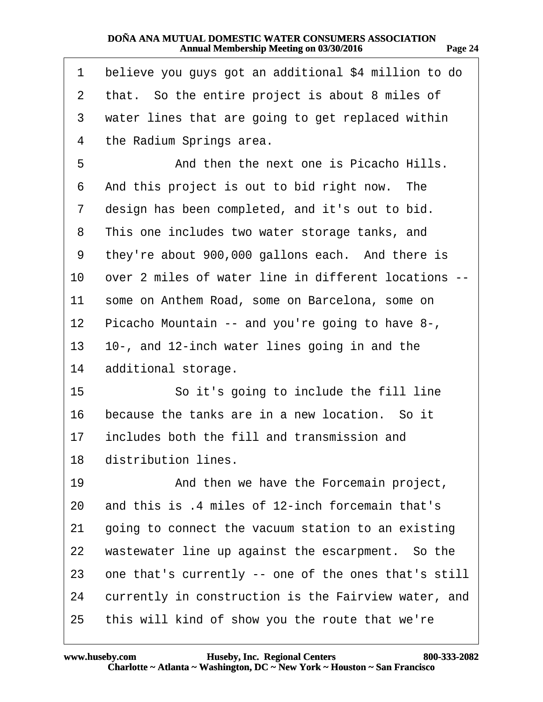<span id="page-23-0"></span>

| 1  | believe you guys got an additional \$4 million to do |
|----|------------------------------------------------------|
| 2  | that. So the entire project is about 8 miles of      |
| 3  | water lines that are going to get replaced within    |
| 4  | the Radium Springs area.                             |
| 5  | And then the next one is Picacho Hills.              |
| 6  | And this project is out to bid right now. The        |
| 7  | design has been completed, and it's out to bid.      |
| 8  | This one includes two water storage tanks, and       |
| 9  | they're about 900,000 gallons each. And there is     |
| 10 | over 2 miles of water line in different locations -- |
| 11 | some on Anthem Road, some on Barcelona, some on      |
| 12 | Picacho Mountain -- and you're going to have 8-,     |
| 13 | 10-, and 12-inch water lines going in and the        |
| 14 | additional storage.                                  |
| 15 | So it's going to include the fill line               |
| 16 | because the tanks are in a new location. So it       |
| 17 | includes both the fill and transmission and          |
|    | 18 distribution lines.                               |
| 19 | And then we have the Forcemain project,              |
| 20 | and this is .4 miles of 12-inch forcemain that's     |
| 21 | going to connect the vacuum station to an existing   |
| 22 | wastewater line up against the escarpment. So the    |
| 23 | one that's currently -- one of the ones that's still |
| 24 | currently in construction is the Fairview water, and |
| 25 | this will kind of show you the route that we're      |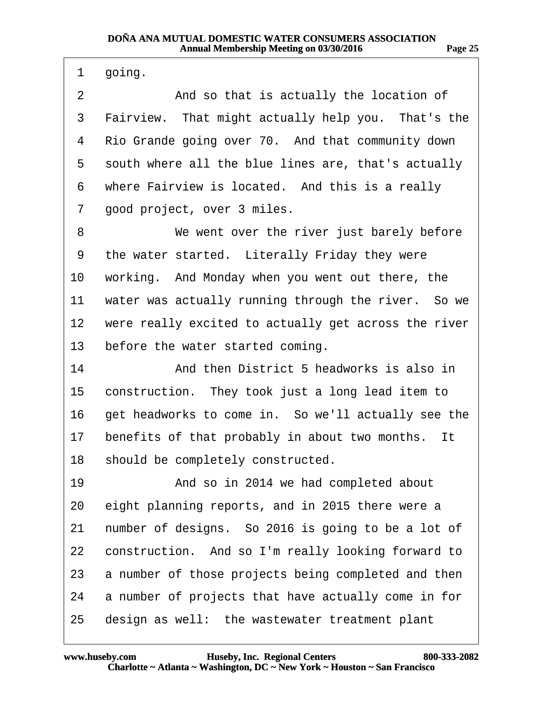| 71<br>н<br>., |  |
|---------------|--|
|               |  |

<span id="page-24-0"></span>

| 1       | going.                                               |
|---------|------------------------------------------------------|
| 2       | And so that is actually the location of              |
| 3       | Fairview. That might actually help you. That's the   |
| 4       | Rio Grande going over 70. And that community down    |
| 5       | south where all the blue lines are, that's actually  |
| 6       | where Fairview is located. And this is a really      |
| 7       | good project, over 3 miles.                          |
| 8       | We went over the river just barely before            |
| 9       | the water started. Literally Friday they were        |
| 10      | working. And Monday when you went out there, the     |
| 11      | water was actually running through the river. So we  |
| $12 \,$ | were really excited to actually get across the river |
| 13      | before the water started coming.                     |
| 14      | And then District 5 headworks is also in             |
| 15      | construction. They took just a long lead item to     |
| 16      | get headworks to come in. So we'll actually see the  |
| 17      | benefits of that probably in about two months. It    |
| 18      | should be completely constructed.                    |
| 19      | And so in 2014 we had completed about                |
| 20      | eight planning reports, and in 2015 there were a     |
| 21      | number of designs. So 2016 is going to be a lot of   |
| 22      | construction. And so I'm really looking forward to   |
| 23      | a number of those projects being completed and then  |
| 24      | a number of projects that have actually come in for  |
| 25      | design as well: the wastewater treatment plant       |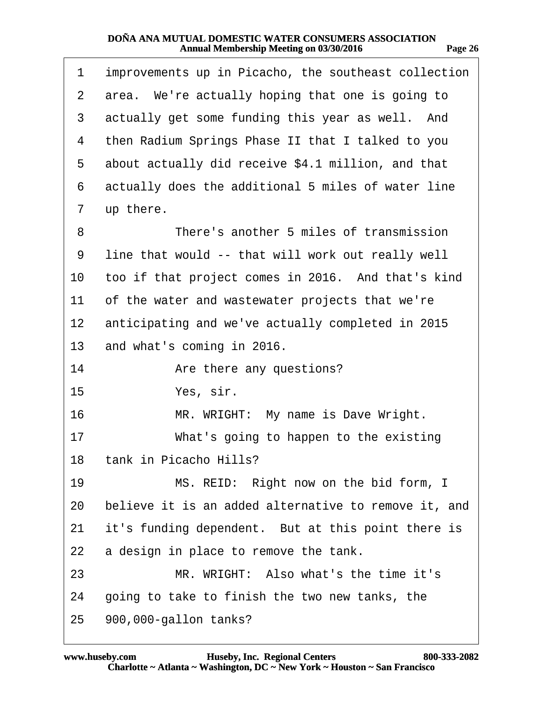<span id="page-25-0"></span>

| 1  | improvements up in Picacho, the southeast collection |
|----|------------------------------------------------------|
| 2  | area. We're actually hoping that one is going to     |
| 3  | actually get some funding this year as well. And     |
| 4  | then Radium Springs Phase II that I talked to you    |
| 5  | about actually did receive \$4.1 million, and that   |
| 6  | actually does the additional 5 miles of water line   |
| 7  | up there.                                            |
| 8  | There's another 5 miles of transmission              |
| 9  | line that would -- that will work out really well    |
| 10 | too if that project comes in 2016. And that's kind   |
| 11 | of the water and wastewater projects that we're      |
| 12 | anticipating and we've actually completed in 2015    |
| 13 | and what's coming in 2016.                           |
| 14 | Are there any questions?                             |
| 15 | Yes, sir.                                            |
| 16 | MR. WRIGHT: My name is Dave Wright.                  |
| 17 | What's going to happen to the existing               |
|    | 18 tank in Picacho Hills?                            |
| 19 | MS. REID: Right now on the bid form, I               |
| 20 | believe it is an added alternative to remove it, and |
| 21 | it's funding dependent. But at this point there is   |
| 22 | a design in place to remove the tank.                |
| 23 | MR. WRIGHT: Also what's the time it's                |
| 24 | going to take to finish the two new tanks, the       |
| 25 | 900,000-gallon tanks?                                |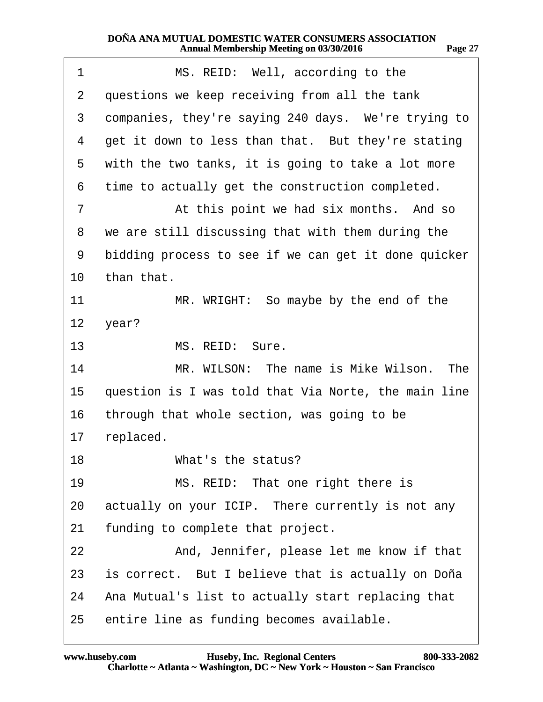<span id="page-26-0"></span>

| 1              | MS. REID: Well, according to the                     |
|----------------|------------------------------------------------------|
| $\overline{2}$ | questions we keep receiving from all the tank        |
| 3              | companies, they're saying 240 days. We're trying to  |
| 4              | get it down to less than that. But they're stating   |
| 5              | with the two tanks, it is going to take a lot more   |
| 6              | time to actually get the construction completed.     |
| $\overline{7}$ | At this point we had six months. And so              |
| 8              | we are still discussing that with them during the    |
| 9              | bidding process to see if we can get it done quicker |
| 10             | than that.                                           |
| 11             | MR. WRIGHT: So maybe by the end of the               |
|                | 12 year?                                             |
| 13             | MS. REID: Sure.                                      |
| 14             | MR. WILSON: The name is Mike Wilson. The             |
| 15             | question is I was told that Via Norte, the main line |
| 16             | through that whole section, was going to be          |
| 17             | replaced.                                            |
| 18             | What's the status?                                   |
| 19             | MS. REID: That one right there is                    |
| 20             | actually on your ICIP. There currently is not any    |
| 21             | funding to complete that project.                    |
| 22             | And, Jennifer, please let me know if that            |
| 23             | is correct. But I believe that is actually on Doña   |
| 24             | Ana Mutual's list to actually start replacing that   |
| 25             | entire line as funding becomes available.            |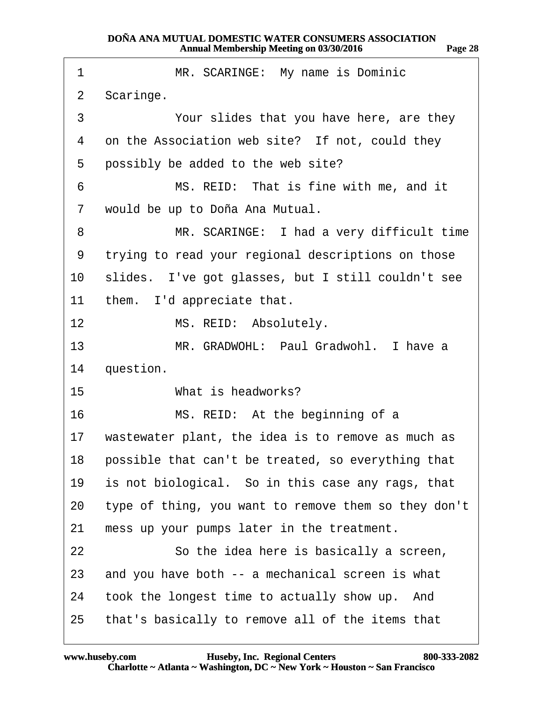<span id="page-27-0"></span>

| 1               | MR. SCARINGE: My name is Dominic                      |
|-----------------|-------------------------------------------------------|
| $\overline{2}$  | Scaringe.                                             |
| 3               | Your slides that you have here, are they              |
| 4               | on the Association web site? If not, could they       |
| 5               | possibly be added to the web site?                    |
| 6               | MS. REID: That is fine with me, and it                |
| 7               | would be up to Doña Ana Mutual.                       |
| 8               | MR. SCARINGE: I had a very difficult time             |
| 9               | trying to read your regional descriptions on those    |
| 10              | slides. I've got glasses, but I still couldn't see    |
| 11              | them. I'd appreciate that.                            |
| 12 <sup>°</sup> | MS. REID: Absolutely.                                 |
| 13              | MR. GRADWOHL: Paul Gradwohl. I have a                 |
| 14              | question.                                             |
| 15 <sup>1</sup> | What is headworks?                                    |
| 16              | MS. REID: At the beginning of a                       |
| 17              | wastewater plant, the idea is to remove as much as    |
|                 | 18 possible that can't be treated, so everything that |
| 19              | is not biological. So in this case any rags, that     |
| 20              | type of thing, you want to remove them so they don't  |
| 21              | mess up your pumps later in the treatment.            |
| 22              | So the idea here is basically a screen,               |
| 23              | and you have both -- a mechanical screen is what      |
| 24              | took the longest time to actually show up. And        |
| 25              | that's basically to remove all of the items that      |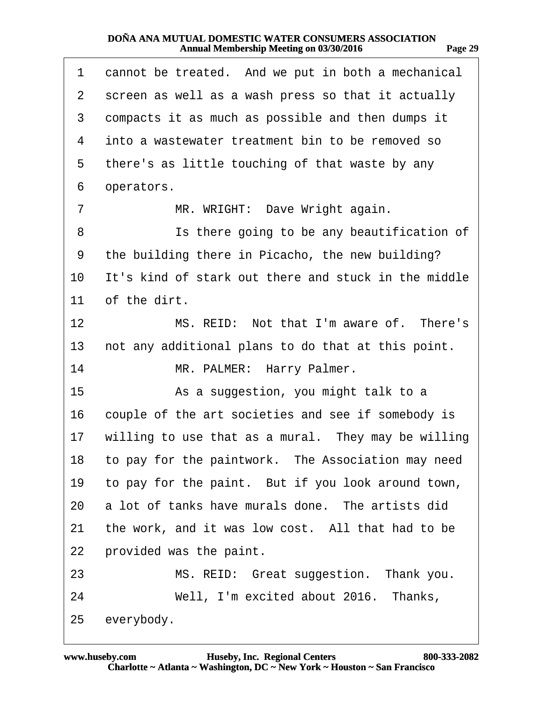<span id="page-28-0"></span>

| 1  | cannot be treated. And we put in both a mechanical    |
|----|-------------------------------------------------------|
| 2  | screen as well as a wash press so that it actually    |
| 3  | compacts it as much as possible and then dumps it     |
| 4  | into a wastewater treatment bin to be removed so      |
| 5  | there's as little touching of that waste by any       |
| 6  | operators.                                            |
| 7  | MR. WRIGHT: Dave Wright again.                        |
| 8  | Is there going to be any beautification of            |
| 9  | the building there in Picacho, the new building?      |
| 10 | It's kind of stark out there and stuck in the middle  |
| 11 | of the dirt.                                          |
| 12 | MS. REID: Not that I'm aware of. There's              |
| 13 | not any additional plans to do that at this point.    |
| 14 | MR. PALMER: Harry Palmer.                             |
| 15 | As a suggestion, you might talk to a                  |
| 16 | couple of the art societies and see if somebody is    |
| 17 | willing to use that as a mural. They may be willing   |
|    | 18 to pay for the paintwork. The Association may need |
| 19 | to pay for the paint. But if you look around town,    |
|    | 20 a lot of tanks have murals done. The artists did   |
| 21 | the work, and it was low cost. All that had to be     |
| 22 | provided was the paint.                               |
| 23 | MS. REID: Great suggestion. Thank you.                |
| 24 | Well, I'm excited about 2016. Thanks,                 |
| 25 | everybody.                                            |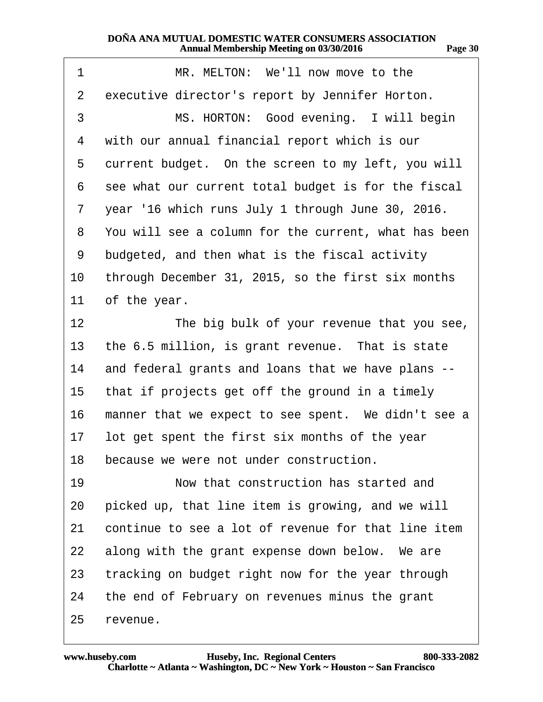<span id="page-29-0"></span>

| 1               | MR. MELTON: We'll now move to the                    |
|-----------------|------------------------------------------------------|
| 2               | executive director's report by Jennifer Horton.      |
| 3               | MS. HORTON: Good evening. I will begin               |
| 4               | with our annual financial report which is our        |
| 5               | current budget. On the screen to my left, you will   |
| 6               | see what our current total budget is for the fiscal  |
| 7               | year '16 which runs July 1 through June 30, 2016.    |
| 8               | You will see a column for the current, what has been |
| 9               | budgeted, and then what is the fiscal activity       |
| 10              | through December 31, 2015, so the first six months   |
| 11              | of the year.                                         |
| 12 <sub>2</sub> | The big bulk of your revenue that you see,           |
| 13              | the 6.5 million, is grant revenue. That is state     |
| 14              | and federal grants and loans that we have plans --   |
| 15              | that if projects get off the ground in a timely      |
| 16              | manner that we expect to see spent. We didn't see a  |
| 17              | lot get spent the first six months of the year       |
|                 | 18 because we were not under construction.           |
| 19              | Now that construction has started and                |
| 20              | picked up, that line item is growing, and we will    |
| 21              | continue to see a lot of revenue for that line item  |
| 22              | along with the grant expense down below. We are      |
| 23              | tracking on budget right now for the year through    |
| 24              | the end of February on revenues minus the grant      |
| 25              | revenue.                                             |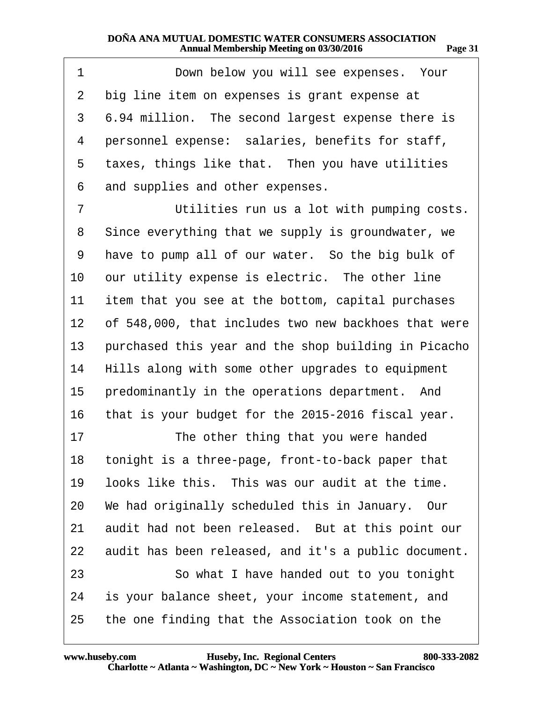<span id="page-30-0"></span>

| 1  | Down below you will see expenses. Your               |
|----|------------------------------------------------------|
| 2  | big line item on expenses is grant expense at        |
| 3  | 6.94 million. The second largest expense there is    |
| 4  | personnel expense: salaries, benefits for staff,     |
| 5  | taxes, things like that. Then you have utilities     |
| 6  | and supplies and other expenses.                     |
| 7  | Utilities run us a lot with pumping costs.           |
| 8  | Since everything that we supply is groundwater, we   |
| 9  | have to pump all of our water. So the big bulk of    |
| 10 | our utility expense is electric. The other line      |
| 11 | item that you see at the bottom, capital purchases   |
| 12 | of 548,000, that includes two new backhoes that were |
| 13 | purchased this year and the shop building in Picacho |
| 14 | Hills along with some other upgrades to equipment    |
| 15 | predominantly in the operations department. And      |
| 16 | that is your budget for the 2015-2016 fiscal year.   |
| 17 | The other thing that you were handed                 |
| 18 | tonight is a three-page, front-to-back paper that    |
| 19 | looks like this. This was our audit at the time.     |
| 20 | We had originally scheduled this in January. Our     |
| 21 | audit had not been released. But at this point our   |
| 22 | audit has been released, and it's a public document. |
| 23 | So what I have handed out to you tonight             |
| 24 | is your balance sheet, your income statement, and    |
| 25 | the one finding that the Association took on the     |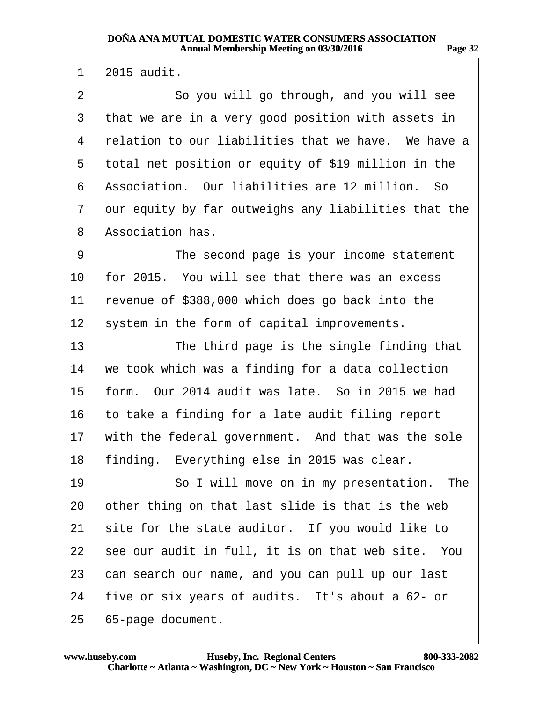<span id="page-31-0"></span>1  $2015$  audit.

2 **· · · · · So you will go through, and you will see** 3 that we are in a very good position with assets in 4 relation to our liabilities that we have. We have a 5 total net position or equity of \$19 million in the 6 Association. Our liabilities are 12 million. So 7 our equity by far outweighs any liabilities that the 8 Association has. 9 The second page is your income statement 10 for 2015. You will see that there was an excess 11 revenue of \$388,000 which does go back into the 12 system in the form of capital improvements. 13 The third page is the single finding that 14 we took which was a finding for a data collection 15 form. Our 2014 audit was late. So in 2015 we had 16 to take a finding for a late audit filing report 17 with the federal government. And that was the sole 18 finding. Everything else in 2015 was clear. 19 **· · · · So I will move on in my presentation.** The 20 other thing on that last slide is that is the web 21 site for the state auditor. If you would like to 22 see our audit in full, it is on that web site. You 23 can search our name, and you can pull up our last 24 five or six years of audits. It's about a  $62$ - or 25 65-page document.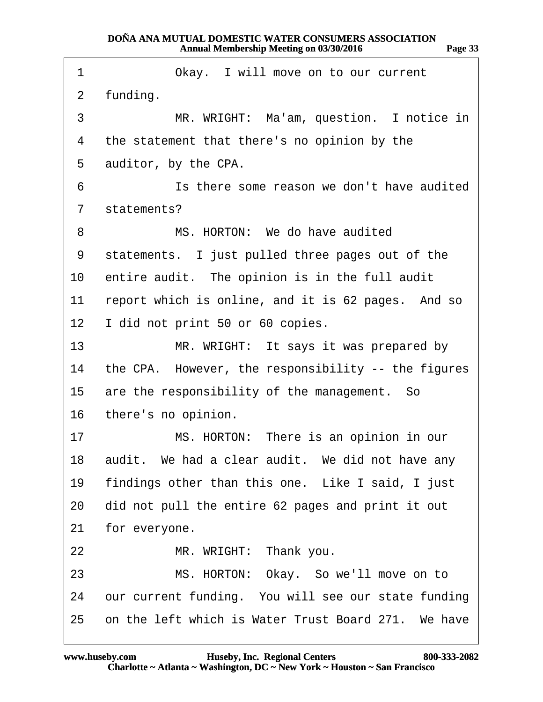<span id="page-32-0"></span>

| 1               | Okay. I will move on to our current                 |
|-----------------|-----------------------------------------------------|
| $\overline{2}$  | funding.                                            |
| 3               | MR. WRIGHT: Ma'am, question. I notice in            |
| 4               | the statement that there's no opinion by the        |
| 5               | auditor, by the CPA.                                |
| 6               | Is there some reason we don't have audited          |
| 7               | statements?                                         |
| 8               | MS. HORTON: We do have audited                      |
| 9               | statements. I just pulled three pages out of the    |
|                 | 10 entire audit. The opinion is in the full audit   |
| 11              | report which is online, and it is 62 pages. And so  |
| 12 <sup>1</sup> | I did not print 50 or 60 copies.                    |
| 13 <sup>°</sup> | MR. WRIGHT: It says it was prepared by              |
| 14              | the CPA. However, the responsibility -- the figures |
| 15 <sup>1</sup> | are the responsibility of the management. So        |
|                 | 16 there's no opinion.                              |
| 17              | MS. HORTON: There is an opinion in our              |
|                 | 18 audit. We had a clear audit. We did not have any |
| 19              | findings other than this one. Like I said, I just   |
| 20              | did not pull the entire 62 pages and print it out   |
| 21              | for everyone.                                       |
| 22              | MR. WRIGHT: Thank you.                              |
| 23              | MS. HORTON: Okay. So we'll move on to               |
| 24              | our current funding. You will see our state funding |
| 25              | on the left which is Water Trust Board 271. We have |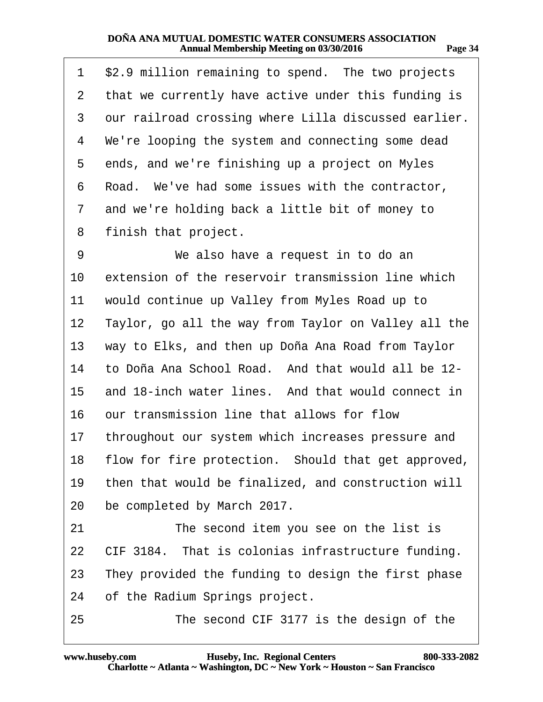<span id="page-33-0"></span>

| 1  | \$2.9 million remaining to spend. The two projects     |
|----|--------------------------------------------------------|
| 2  | that we currently have active under this funding is    |
| 3  | our railroad crossing where Lilla discussed earlier.   |
| 4  | We're looping the system and connecting some dead      |
| 5  | ends, and we're finishing up a project on Myles        |
| 6  | Road. We've had some issues with the contractor,       |
| 7  | and we're holding back a little bit of money to        |
| 8  | finish that project.                                   |
| 9  | We also have a request in to do an                     |
| 10 | extension of the reservoir transmission line which     |
| 11 | would continue up Valley from Myles Road up to         |
| 12 | Taylor, go all the way from Taylor on Valley all the   |
| 13 | way to Elks, and then up Doña Ana Road from Taylor     |
| 14 | to Doña Ana School Road. And that would all be 12-     |
| 15 | and 18-inch water lines. And that would connect in     |
| 16 | our transmission line that allows for flow             |
| 17 | throughout our system which increases pressure and     |
|    | 18 flow for fire protection. Should that get approved, |
| 19 | then that would be finalized, and construction will    |
| 20 | be completed by March 2017.                            |
| 21 | The second item you see on the list is                 |
| 22 | CIF 3184. That is colonias infrastructure funding.     |
| 23 | They provided the funding to design the first phase    |
| 24 | of the Radium Springs project.                         |
| 25 | The second CIF 3177 is the design of the               |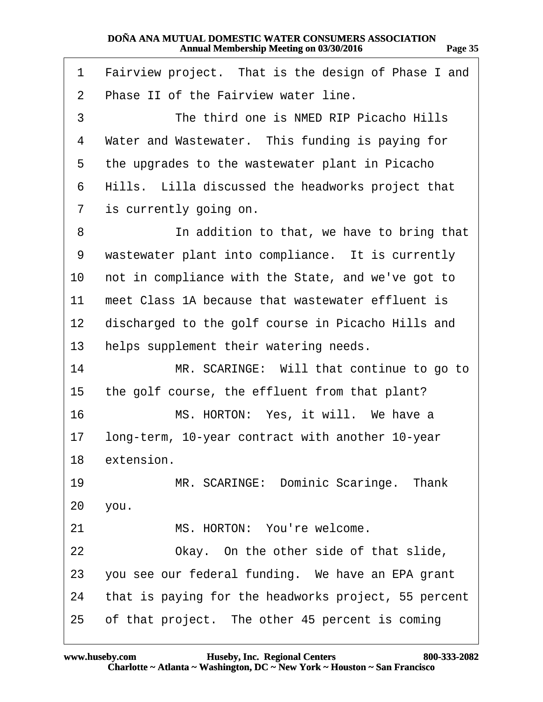<span id="page-34-0"></span>

| 1               | Fairview project. That is the design of Phase I and  |
|-----------------|------------------------------------------------------|
| 2               | Phase II of the Fairview water line.                 |
| 3               | The third one is NMED RIP Picacho Hills              |
| 4               | Water and Wastewater. This funding is paying for     |
| 5               | the upgrades to the wastewater plant in Picacho      |
| 6               | Hills. Lilla discussed the headworks project that    |
| 7               | is currently going on.                               |
| 8               | In addition to that, we have to bring that           |
| 9               | wastewater plant into compliance. It is currently    |
| 10              | not in compliance with the State, and we've got to   |
| 11              | meet Class 1A because that wastewater effluent is    |
| 12 <sub>2</sub> | discharged to the golf course in Picacho Hills and   |
| 13              | helps supplement their watering needs.               |
| 14              | MR. SCARINGE: Will that continue to go to            |
| 15              | the golf course, the effluent from that plant?       |
| 16              | MS. HORTON: Yes, it will. We have a                  |
| 17              | long-term, 10-year contract with another 10-year     |
|                 | 18 extension.                                        |
| 19              | MR. SCARINGE: Dominic Scaringe. Thank                |
| 20              | you.                                                 |
| 21              | MS. HORTON: You're welcome.                          |
| 22              | Okay. On the other side of that slide,               |
| 23              | you see our federal funding. We have an EPA grant    |
| 24              | that is paying for the headworks project, 55 percent |
| 25              | of that project. The other 45 percent is coming      |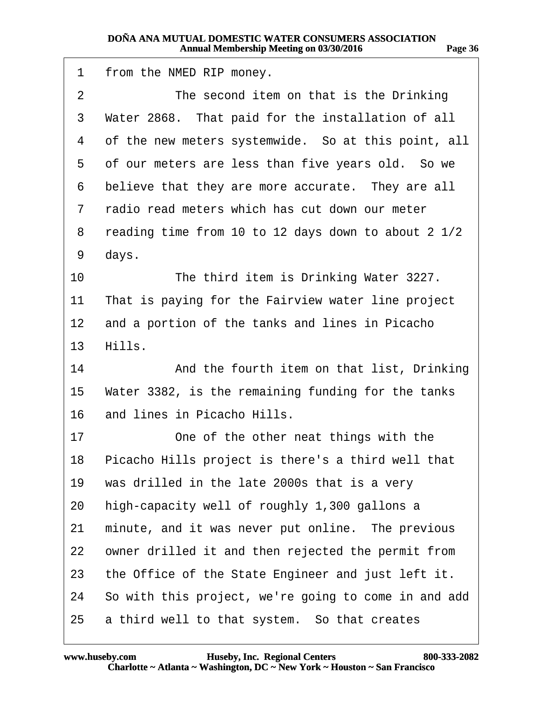<span id="page-35-0"></span>

| 1               | from the NMED RIP money.                             |
|-----------------|------------------------------------------------------|
| 2               | The second item on that is the Drinking              |
| 3               | Water 2868. That paid for the installation of all    |
| 4               | of the new meters systemwide. So at this point, all  |
| 5               | of our meters are less than five years old. So we    |
| 6               | believe that they are more accurate. They are all    |
| 7               | radio read meters which has cut down our meter       |
| 8               | reading time from 10 to 12 days down to about 2 1/2  |
| 9               | days.                                                |
| 10              | The third item is Drinking Water 3227.               |
| 11              | That is paying for the Fairview water line project   |
| $12 \,$         | and a portion of the tanks and lines in Picacho      |
| 13 <sup>°</sup> | Hills.                                               |
| 14              | And the fourth item on that list, Drinking           |
| 15              | Water 3382, is the remaining funding for the tanks   |
| 16              | and lines in Picacho Hills.                          |
| 17              | One of the other neat things with the                |
| 18              | Picacho Hills project is there's a third well that   |
| 19              | was drilled in the late 2000s that is a very         |
| 20              | high-capacity well of roughly 1,300 gallons a        |
| 21              | minute, and it was never put online. The previous    |
| 22              | owner drilled it and then rejected the permit from   |
| 23              | the Office of the State Engineer and just left it.   |
| 24              | So with this project, we're going to come in and add |
| 25              | a third well to that system. So that creates         |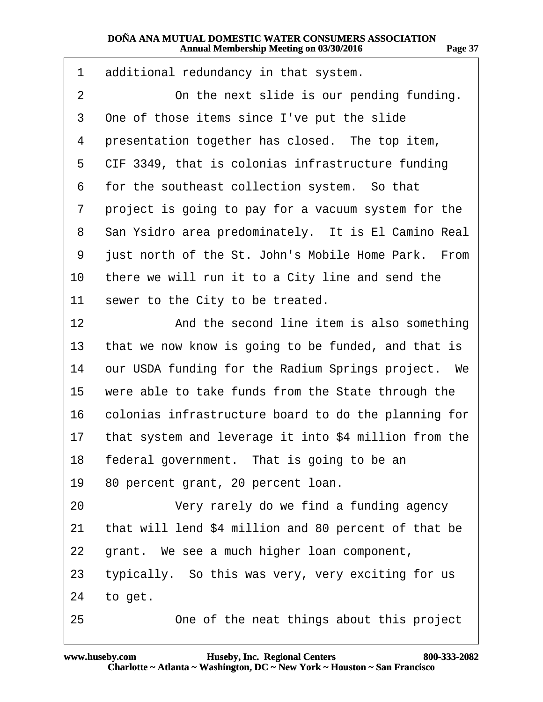<span id="page-36-0"></span>

| 1               | additional redundancy in that system.                 |
|-----------------|-------------------------------------------------------|
| 2               | On the next slide is our pending funding.             |
| 3               | One of those items since I've put the slide           |
| 4               | presentation together has closed. The top item,       |
| 5               | CIF 3349, that is colonias infrastructure funding     |
| 6               | for the southeast collection system. So that          |
| 7               | project is going to pay for a vacuum system for the   |
| 8               | San Ysidro area predominately. It is El Camino Real   |
| 9               | just north of the St. John's Mobile Home Park. From   |
| 10              | there we will run it to a City line and send the      |
| 11              | sewer to the City to be treated.                      |
| 12 <sub>2</sub> | And the second line item is also something            |
| 13              | that we now know is going to be funded, and that is   |
| 14              | our USDA funding for the Radium Springs project. We   |
| 15              | were able to take funds from the State through the    |
| 16              | colonias infrastructure board to do the planning for  |
| 17              | that system and leverage it into \$4 million from the |
|                 | 18 federal government. That is going to be an         |
| 19              | 80 percent grant, 20 percent loan.                    |
| 20              | Very rarely do we find a funding agency               |
| 21              | that will lend \$4 million and 80 percent of that be  |
| 22              | grant. We see a much higher loan component,           |
| 23              | typically. So this was very, very exciting for us     |
| 24              | to get.                                               |
| 25              | One of the neat things about this project             |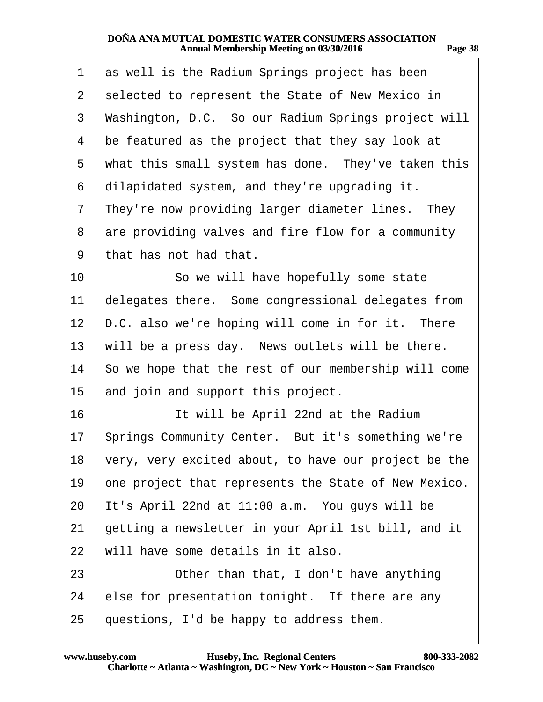| ., | т |
|----|---|
|----|---|

<span id="page-37-0"></span>

| 1               | as well is the Radium Springs project has been          |
|-----------------|---------------------------------------------------------|
| $\overline{2}$  | selected to represent the State of New Mexico in        |
| 3               | Washington, D.C. So our Radium Springs project will     |
| 4               | be featured as the project that they say look at        |
| 5               | what this small system has done. They've taken this     |
| 6               | dilapidated system, and they're upgrading it.           |
| 7               | They're now providing larger diameter lines. They       |
| 8               | are providing valves and fire flow for a community      |
| 9               | that has not had that.                                  |
| 10              | So we will have hopefully some state                    |
| 11              | delegates there. Some congressional delegates from      |
| 12              | D.C. also we're hoping will come in for it. There       |
| 13              | will be a press day. News outlets will be there.        |
|                 | 14 So we hope that the rest of our membership will come |
| 15              | and join and support this project.                      |
| 16              | It will be April 22nd at the Radium                     |
| 17 <sup>1</sup> | Springs Community Center. But it's something we're      |
| 18              | very, very excited about, to have our project be the    |
| 19              | one project that represents the State of New Mexico.    |
| 20              | It's April 22nd at 11:00 a.m. You guys will be          |
| 21              | getting a newsletter in your April 1st bill, and it     |
| 22              | will have some details in it also.                      |
| 23              | Other than that, I don't have anything                  |
| 24              | else for presentation tonight. If there are any         |
| 25              | questions, I'd be happy to address them.                |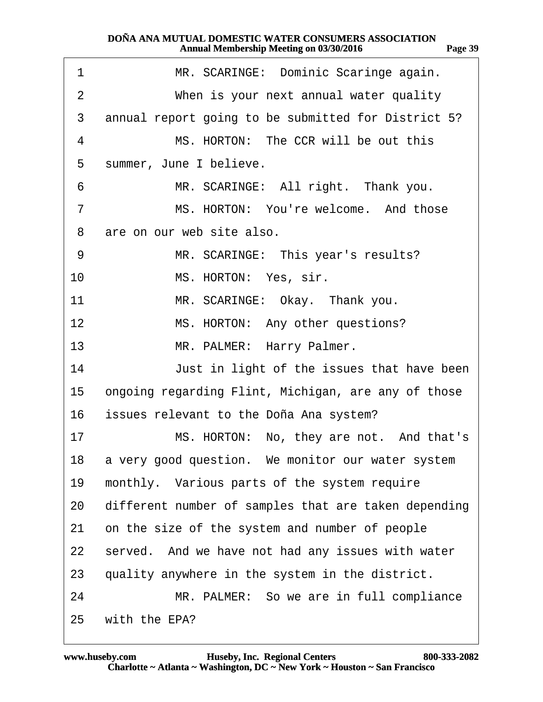<span id="page-38-0"></span>

| 1              | MR. SCARINGE: Dominic Scaringe again.                |
|----------------|------------------------------------------------------|
| $\overline{2}$ | When is your next annual water quality               |
| 3              | annual report going to be submitted for District 5?  |
| 4              | MS. HORTON: The CCR will be out this                 |
| 5              | summer, June I believe.                              |
| 6              | MR. SCARINGE: All right. Thank you.                  |
| 7              | MS. HORTON: You're welcome. And those                |
| 8              | are on our web site also.                            |
| 9              | MR. SCARINGE: This year's results?                   |
| 10             | MS. HORTON: Yes, sir.                                |
| 11             | MR. SCARINGE: Okay. Thank you.                       |
| 12             | MS. HORTON: Any other questions?                     |
| 13             | MR. PALMER: Harry Palmer.                            |
| 14             | Just in light of the issues that have been           |
| 15             | ongoing regarding Flint, Michigan, are any of those  |
| 16             | issues relevant to the Doña Ana system?              |
| 17             | MS. HORTON: No, they are not. And that's             |
| 18             | a very good question. We monitor our water system    |
| 19             | monthly. Various parts of the system require         |
| 20             | different number of samples that are taken depending |
| 21             | on the size of the system and number of people       |
| 22             | served. And we have not had any issues with water    |
| 23             | quality anywhere in the system in the district.      |
| 24             | MR. PALMER: So we are in full compliance             |
| 25             | with the EPA?                                        |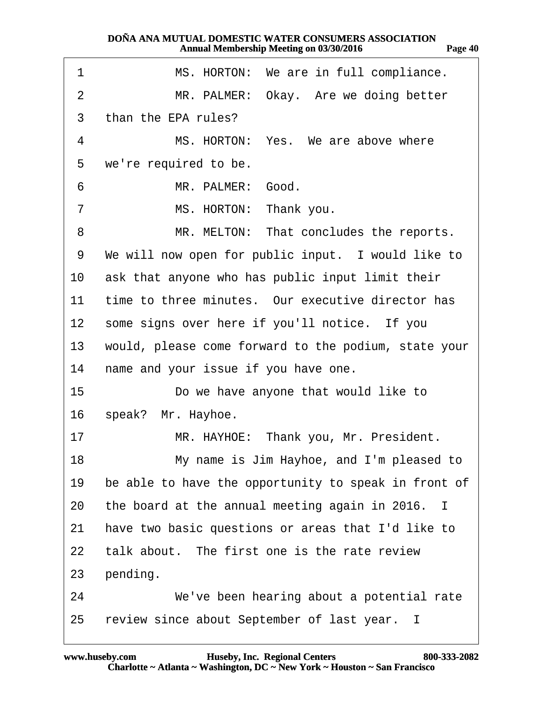<span id="page-39-0"></span>

| 1               | MS. HORTON: We are in full compliance.               |
|-----------------|------------------------------------------------------|
| $\overline{2}$  | MR. PALMER: Okay. Are we doing better                |
| 3               | than the EPA rules?                                  |
| 4               | MS. HORTON: Yes. We are above where                  |
| 5               | we're required to be.                                |
| 6               | MR. PALMER: Good.                                    |
| 7               | MS. HORTON: Thank you.                               |
| 8               | MR. MELTON: That concludes the reports.              |
| 9               | We will now open for public input. I would like to   |
| 10              | ask that anyone who has public input limit their     |
| 11              | time to three minutes. Our executive director has    |
| 12 <sub>2</sub> | some signs over here if you'll notice. If you        |
| 13 <sup>°</sup> | would, please come forward to the podium, state your |
| 14              | name and your issue if you have one.                 |
| 15              | Do we have anyone that would like to                 |
| 16              | speak? Mr. Hayhoe.                                   |
| 17              | MR. HAYHOE: Thank you, Mr. President.                |
| 18              | My name is Jim Hayhoe, and I'm pleased to            |
| 19              | be able to have the opportunity to speak in front of |
| 20              | the board at the annual meeting again in 2016. I     |
| 21              | have two basic questions or areas that I'd like to   |
| 22              | talk about. The first one is the rate review         |
| 23              | pending.                                             |
| 24              | We've been hearing about a potential rate            |
| 25              | review since about September of last year. I         |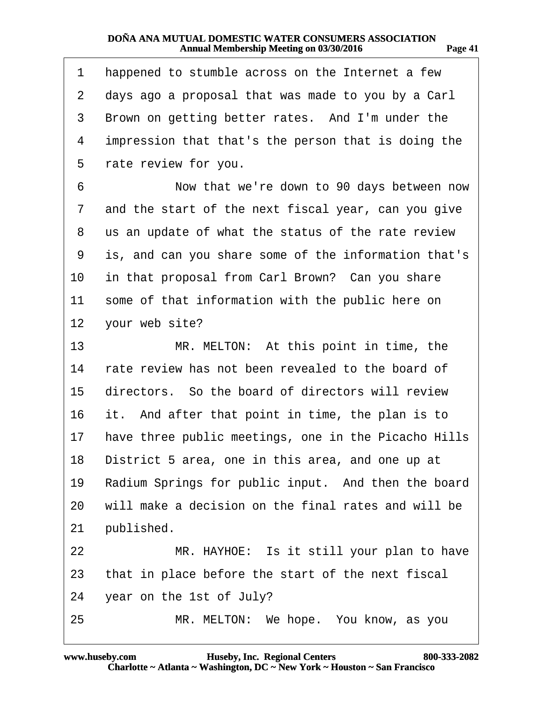<span id="page-40-0"></span>

| 1  | happened to stumble across on the Internet a few     |
|----|------------------------------------------------------|
| 2  | days ago a proposal that was made to you by a Carl   |
| 3  | Brown on getting better rates. And I'm under the     |
| 4  | impression that that's the person that is doing the  |
| 5  | rate review for you.                                 |
| 6  | Now that we're down to 90 days between now           |
| 7  | and the start of the next fiscal year, can you give  |
| 8  | us an update of what the status of the rate review   |
| 9  | is, and can you share some of the information that's |
| 10 | in that proposal from Carl Brown? Can you share      |
| 11 | some of that information with the public here on     |
| 12 | your web site?                                       |
| 13 | MR. MELTON: At this point in time, the               |
| 14 | rate review has not been revealed to the board of    |
| 15 | directors. So the board of directors will review     |
| 16 | it. And after that point in time, the plan is to     |
| 17 | have three public meetings, one in the Picacho Hills |
|    | 18 District 5 area, one in this area, and one up at  |
| 19 | Radium Springs for public input. And then the board  |
| 20 | will make a decision on the final rates and will be  |
| 21 | published.                                           |
| 22 | MR. HAYHOE: Is it still your plan to have            |
| 23 | that in place before the start of the next fiscal    |
| 24 | year on the 1st of July?                             |
| 25 | MR. MELTON: We hope. You know, as you                |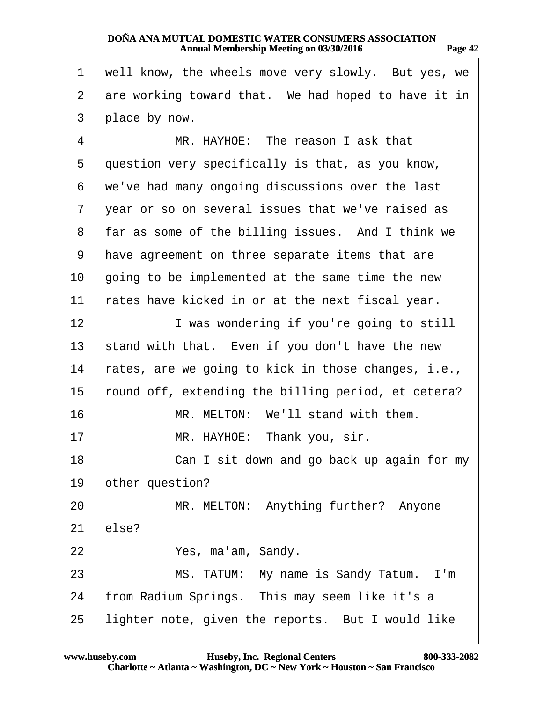<span id="page-41-0"></span>

| 1            | well know, the wheels move very slowly. But yes, we |
|--------------|-----------------------------------------------------|
| $\mathbf{2}$ | are working toward that. We had hoped to have it in |
| 3            | place by now.                                       |
| 4            | MR. HAYHOE: The reason I ask that                   |
| 5            | question very specifically is that, as you know,    |
| 6            | we've had many ongoing discussions over the last    |
| 7            | year or so on several issues that we've raised as   |
| 8            | far as some of the billing issues. And I think we   |
| 9            | have agreement on three separate items that are     |
| 10           | going to be implemented at the same time the new    |
| 11           | rates have kicked in or at the next fiscal year.    |
| 12           | I was wondering if you're going to still            |
| 13           | stand with that. Even if you don't have the new     |
| 14           | rates, are we going to kick in those changes, i.e., |
| 15           | round off, extending the billing period, et cetera? |
| 16           | MR. MELTON: We'll stand with them.                  |
| 17           | MR. HAYHOE: Thank you, sir.                         |
| 18           | Can I sit down and go back up again for my          |
| 19           | other question?                                     |
| 20           | MR. MELTON: Anything further? Anyone                |
| 21           | else?                                               |
| 22           | Yes, ma'am, Sandy.                                  |
| 23           | MS. TATUM: My name is Sandy Tatum. I'm              |
| 24           | from Radium Springs. This may seem like it's a      |
| 25           | lighter note, given the reports. But I would like   |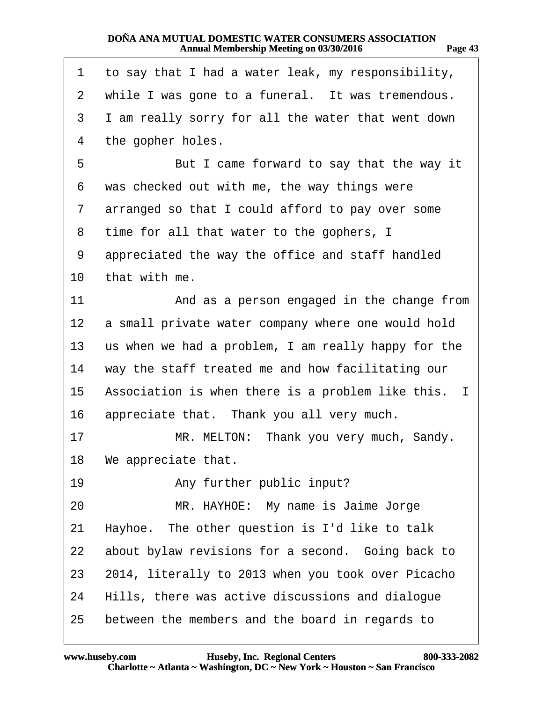<span id="page-42-0"></span>

| 1  | to say that I had a water leak, my responsibility,  |
|----|-----------------------------------------------------|
| 2  | while I was gone to a funeral. It was tremendous.   |
| 3  | I am really sorry for all the water that went down  |
| 4  | the gopher holes.                                   |
| 5  | But I came forward to say that the way it           |
| 6  | was checked out with me, the way things were        |
| 7  | arranged so that I could afford to pay over some    |
| 8  | time for all that water to the gophers, I           |
| 9  | appreciated the way the office and staff handled    |
| 10 | that with me.                                       |
| 11 | And as a person engaged in the change from          |
| 12 | a small private water company where one would hold  |
| 13 | us when we had a problem, I am really happy for the |
| 14 | way the staff treated me and how facilitating our   |
| 15 | Association is when there is a problem like this. I |
| 16 | appreciate that. Thank you all very much.           |
| 17 | MR. MELTON: Thank you very much, Sandy.             |
|    | 18 We appreciate that.                              |
| 19 | Any further public input?                           |
| 20 | MR. HAYHOE: My name is Jaime Jorge                  |
| 21 | Hayhoe. The other question is I'd like to talk      |
| 22 | about bylaw revisions for a second. Going back to   |
| 23 | 2014, literally to 2013 when you took over Picacho  |
| 24 | Hills, there was active discussions and dialogue    |
| 25 | between the members and the board in regards to     |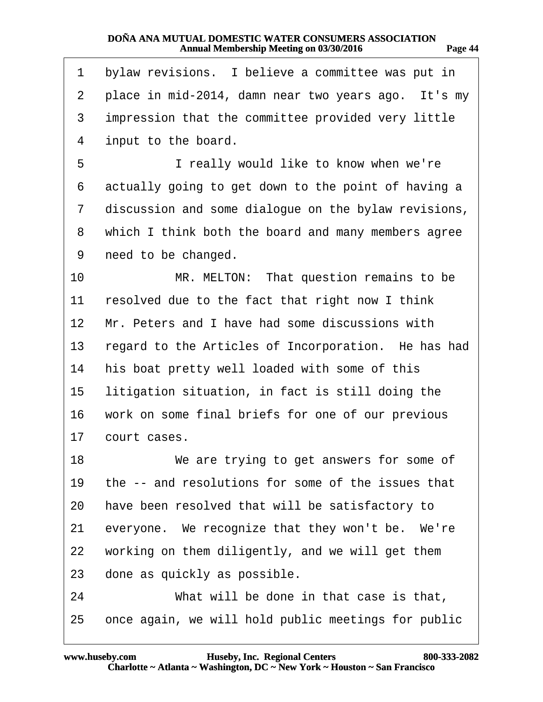<span id="page-43-0"></span>

| 1               | bylaw revisions. I believe a committee was put in    |
|-----------------|------------------------------------------------------|
| 2               | place in mid-2014, damn near two years ago. It's my  |
| 3               | impression that the committee provided very little   |
| 4               | input to the board.                                  |
| 5               | I really would like to know when we're               |
| 6               | actually going to get down to the point of having a  |
| $\overline{7}$  | discussion and some dialogue on the bylaw revisions, |
| 8               | which I think both the board and many members agree  |
| 9               | need to be changed.                                  |
| 10              | MR. MELTON: That question remains to be              |
| 11              | resolved due to the fact that right now I think      |
| 12 <sub>2</sub> | Mr. Peters and I have had some discussions with      |
| 13              | regard to the Articles of Incorporation. He has had  |
| 14              | his boat pretty well loaded with some of this        |
| 15              | litigation situation, in fact is still doing the     |
| 16              | work on some final briefs for one of our previous    |
| 17              | court cases.                                         |
| 18              | We are trying to get answers for some of             |
| 19              | the -- and resolutions for some of the issues that   |
| 20              | have been resolved that will be satisfactory to      |
| 21              | everyone. We recognize that they won't be. We're     |
| 22              | working on them diligently, and we will get them     |
| 23              | done as quickly as possible.                         |
| 24              | What will be done in that case is that,              |
| 25              | once again, we will hold public meetings for public  |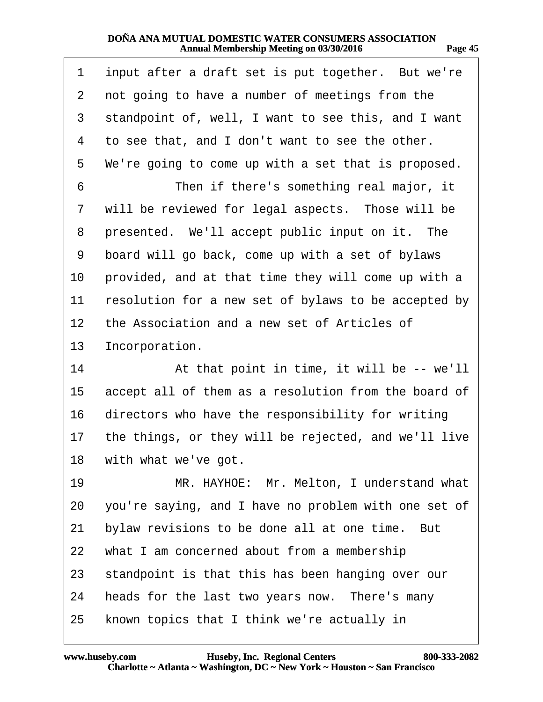<span id="page-44-0"></span>

| 1  | input after a draft set is put together. But we're   |
|----|------------------------------------------------------|
| 2  | not going to have a number of meetings from the      |
| 3  | standpoint of, well, I want to see this, and I want  |
| 4  | to see that, and I don't want to see the other.      |
| 5  | We're going to come up with a set that is proposed.  |
| 6  | Then if there's something real major, it             |
| 7  | will be reviewed for legal aspects. Those will be    |
| 8  | presented. We'll accept public input on it. The      |
| 9  | board will go back, come up with a set of bylaws     |
| 10 | provided, and at that time they will come up with a  |
| 11 | resolution for a new set of bylaws to be accepted by |
| 12 | the Association and a new set of Articles of         |
| 13 | Incorporation.                                       |
| 14 | At that point in time, it will be -- we'll           |
| 15 | accept all of them as a resolution from the board of |
| 16 | directors who have the responsibility for writing    |
| 17 | the things, or they will be rejected, and we'll live |
| 18 | with what we've got.                                 |
| 19 | MR. HAYHOE: Mr. Melton, I understand what            |
| 20 | you're saying, and I have no problem with one set of |
| 21 | bylaw revisions to be done all at one time. But      |
| 22 | what I am concerned about from a membership          |
| 23 | standpoint is that this has been hanging over our    |
| 24 | heads for the last two years now. There's many       |
| 25 | known topics that I think we're actually in          |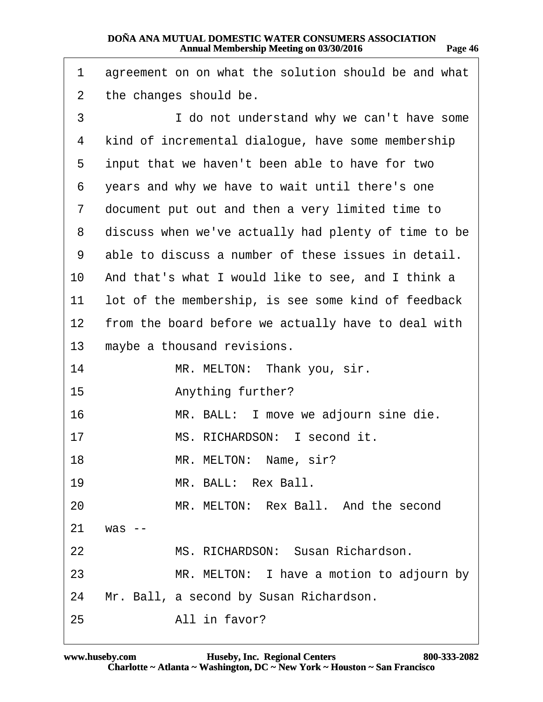<span id="page-45-0"></span>

| 1  | agreement on on what the solution should be and what |
|----|------------------------------------------------------|
| 2  | the changes should be.                               |
| 3  | I do not understand why we can't have some           |
| 4  | kind of incremental dialogue, have some membership   |
| 5  | input that we haven't been able to have for two      |
| 6  | years and why we have to wait until there's one      |
| 7  | document put out and then a very limited time to     |
| 8  | discuss when we've actually had plenty of time to be |
| 9  | able to discuss a number of these issues in detail.  |
| 10 | And that's what I would like to see, and I think a   |
| 11 | lot of the membership, is see some kind of feedback  |
| 12 | from the board before we actually have to deal with  |
| 13 | maybe a thousand revisions.                          |
| 14 | MR. MELTON: Thank you, sir.                          |
| 15 | Anything further?                                    |
| 16 | MR. BALL: I move we adjourn sine die.                |
| 17 | MS. RICHARDSON: I second it.                         |
| 18 | MR. MELTON: Name, sir?                               |
| 19 | MR. BALL: Rex Ball.                                  |
| 20 | MR. MELTON: Rex Ball. And the second                 |
| 21 | was --                                               |
| 22 | MS. RICHARDSON: Susan Richardson.                    |
| 23 | MR. MELTON: I have a motion to adjourn by            |
| 24 | Mr. Ball, a second by Susan Richardson.              |
| 25 | All in favor?                                        |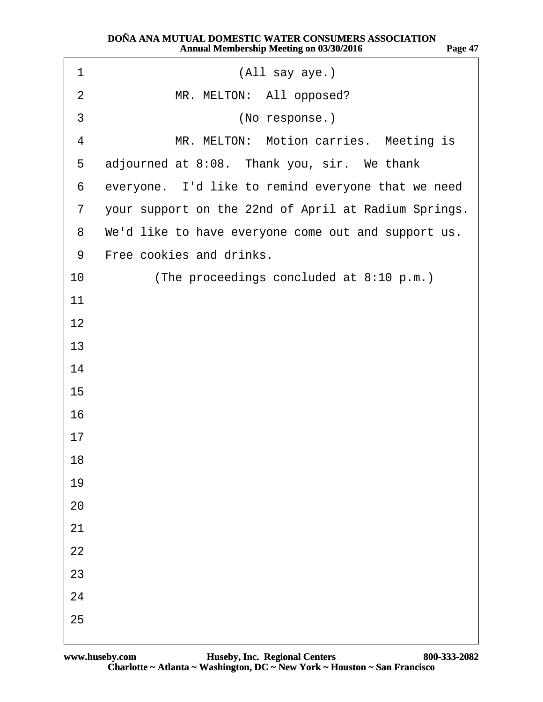<span id="page-46-0"></span>

| 1              | (All say aye.)                                       |
|----------------|------------------------------------------------------|
| $\overline{2}$ | MR. MELTON: All opposed?                             |
| 3              | (No response.)                                       |
| 4              | MR. MELTON: Motion carries. Meeting is               |
| 5              | adjourned at 8:08. Thank you, sir. We thank          |
| 6              | everyone. I'd like to remind everyone that we need   |
| $\overline{7}$ | your support on the 22nd of April at Radium Springs. |
| 8              | We'd like to have everyone come out and support us.  |
| 9              | Free cookies and drinks.                             |
| 10             | (The proceedings concluded at 8:10 p.m.)             |
| 11             |                                                      |
| 12             |                                                      |
| 13             |                                                      |
| 14             |                                                      |
| 15             |                                                      |
| 16             |                                                      |
| 17             |                                                      |
| 18             |                                                      |
| 19             |                                                      |
| 20             |                                                      |
| 21             |                                                      |
| 22             |                                                      |
| 23             |                                                      |
| 24             |                                                      |
| 25             |                                                      |
|                |                                                      |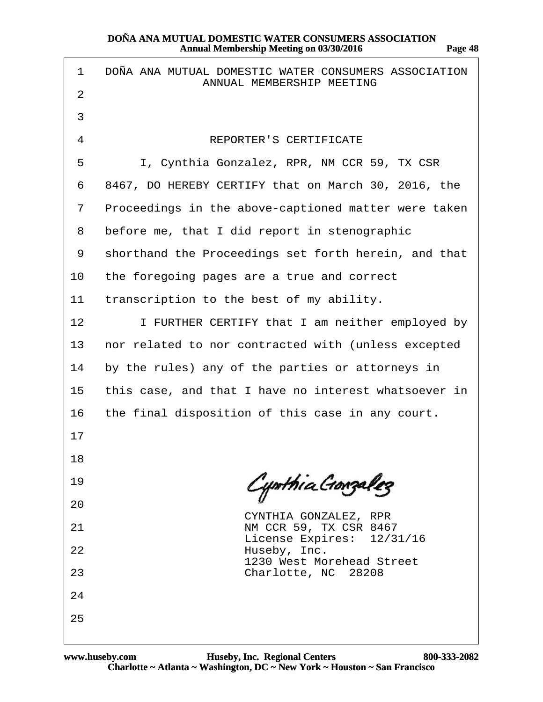| 1              | DOÑA ANA MUTUAL DOMESTIC WATER CONSUMERS ASSOCIATION<br>ANNUAL MEMBERSHIP MEETING |
|----------------|-----------------------------------------------------------------------------------|
| 2              |                                                                                   |
| 3              |                                                                                   |
| $\overline{4}$ | <b>REPORTER'S CERTIFICATE</b>                                                     |
| 5              | I, Cynthia Gonzalez, RPR, NM CCR 59, TX CSR                                       |
| 6              | 8467, DO HEREBY CERTIFY that on March 30, 2016, the                               |
| $\overline{7}$ | Proceedings in the above-captioned matter were taken                              |
| 8              | before me, that I did report in stenographic                                      |
| 9              | shorthand the Proceedings set forth herein, and that                              |
| 10             | the foregoing pages are a true and correct                                        |
| 11             | transcription to the best of my ability.                                          |
| 12             | I FURTHER CERTIFY that I am neither employed by                                   |
| 13             | nor related to nor contracted with (unless excepted                               |
| 14             | by the rules) any of the parties or attorneys in                                  |
| 15             | this case, and that I have no interest whatsoever in                              |
| 16             | the final disposition of this case in any court.                                  |
| 17             |                                                                                   |
| 18             |                                                                                   |
| 19             |                                                                                   |
| 20             | CYNTHIA GONZALEZ, RPR                                                             |
| 21             | NM CCR 59, TX CSR 8467<br>License Expires: 12/31/16                               |
| 22             | Huseby, Inc.<br>1230 West Morehead Street                                         |
| 23             | Charlotte, NC 28208                                                               |
| 24             |                                                                                   |
| 25             |                                                                                   |
|                |                                                                                   |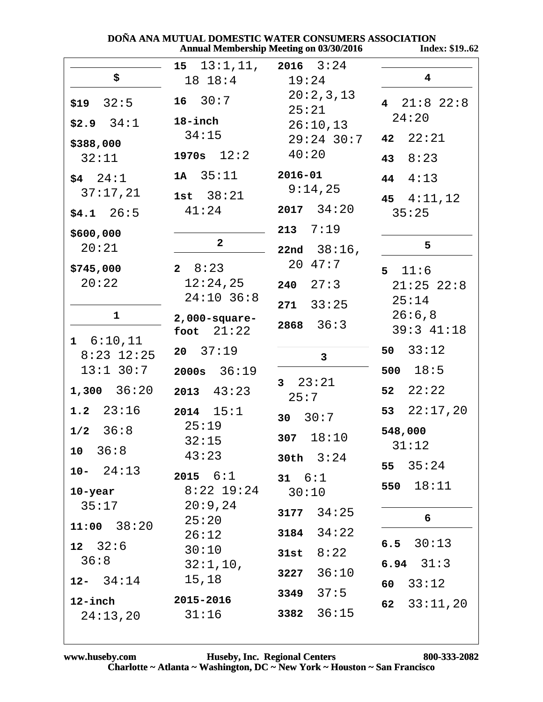| DOÑA ANA MUTUAL DOMESTIC WATER CONSUMERS ASSOCIATION |       |
|------------------------------------------------------|-------|
| Annual Membership Meeting on 03/30/2016              | Index |

**Index: \$19..62** 

|                                                                                                                | $15 \quad 13:1,11, 2016 \quad 3:24$                                                             |                                                                                                                     |                                                                                           |
|----------------------------------------------------------------------------------------------------------------|-------------------------------------------------------------------------------------------------|---------------------------------------------------------------------------------------------------------------------|-------------------------------------------------------------------------------------------|
| \$                                                                                                             | 18 18:4                                                                                         | 19:24                                                                                                               | $\overline{\mathbf{4}}$                                                                   |
| $$19$ 32:5<br>$$2.9$ $34:1$<br>\$388,000<br>32:11<br>$$4 \quad 24:1$<br>37:17,21<br>$$4.1$ $26:5$<br>\$600,000 | $16 \quad 30:7$<br>18-inch<br>34:15<br>1970s $12:2$<br>$1A \quad 35:11$<br>1st $38:21$<br>41:24 | 20:2,3,13<br>25:21<br>26:10,13<br>$29:24$ 30:7<br>40:20<br>$2016 - 01$<br>9:14,25<br>$2017$ $34:20$<br>$213$ $7:19$ | 4 $21:8$ $22:8$<br>24:20<br>42 $22:21$<br>43 $8:23$<br>44 $4:13$<br>45 $4:11,12$<br>35:25 |
| 20:21                                                                                                          | $\overline{2}$                                                                                  | 22nd $38:16$ ,                                                                                                      | 5                                                                                         |
| \$745,000<br>20:22                                                                                             | $2 \t 8:23$<br>12:24,25<br>$24:10$ 36:8                                                         | 20 47:7<br>$240 \quad 27:3$<br>$271 \quad 33:25$                                                                    | 5 11:6<br>$21:25$ $22:8$<br>25:14                                                         |
| 1                                                                                                              |                                                                                                 |                                                                                                                     | 26:6,8                                                                                    |
|                                                                                                                | $2,000$ -square-<br>foot $21:22$                                                                | $2868$ $36:3$                                                                                                       | $39:3$ $41:18$                                                                            |
| 1 6:10,11                                                                                                      |                                                                                                 |                                                                                                                     |                                                                                           |
| $8:23$ 12:25                                                                                                   | $20 \quad 37:19$                                                                                | $\mathbf{3}$                                                                                                        | 50 $33:12$                                                                                |
| $13:1$ $30:7$                                                                                                  | $2000s$ $36:19$                                                                                 |                                                                                                                     | 500 $18:5$                                                                                |
| $1,300$ $36:20$                                                                                                | $2013 \quad 43:23$                                                                              | $3 \quad 23:21$<br>25:7                                                                                             | 52 $22:22$                                                                                |
| 1.2 $23:16$                                                                                                    | $2014$ $15:1$                                                                                   |                                                                                                                     | 53 $22:17,20$                                                                             |
|                                                                                                                | 25:19                                                                                           | 30 $30:7$                                                                                                           |                                                                                           |
| $1/2$ 36:8                                                                                                     | 32:15                                                                                           | 307 $18:10$                                                                                                         | 548,000                                                                                   |
| $10 \quad 36:8$                                                                                                |                                                                                                 |                                                                                                                     | 31:12                                                                                     |
| $10 - 24:13$                                                                                                   | 43:23                                                                                           | 30th $3:24$                                                                                                         | 35:24<br>55                                                                               |
|                                                                                                                | $2015 \t 6:1$                                                                                   | 31 $6:1$                                                                                                            | 18:11<br>550                                                                              |
| $10$ -year                                                                                                     | $8:22$ 19:24                                                                                    | 30:10                                                                                                               |                                                                                           |
| 35:17                                                                                                          | 20:9,24                                                                                         | $3177$ $34:25$                                                                                                      |                                                                                           |
| 11:00 38:20                                                                                                    | 25:20                                                                                           |                                                                                                                     | 6                                                                                         |
|                                                                                                                | 26:12                                                                                           | 34:22<br>3184                                                                                                       | 30:13<br>6.5                                                                              |
| $12 \quad 32:6$                                                                                                | 30:10                                                                                           | 8:22<br>31st                                                                                                        |                                                                                           |
| 36:8                                                                                                           | 32:1,10,                                                                                        | 36:10                                                                                                               | 6.94 $31:3$                                                                               |
| $12 - 34:14$                                                                                                   | 15,18                                                                                           | 3227                                                                                                                | 33:12<br>60                                                                               |
| 12-inch                                                                                                        | 2015-2016                                                                                       | 37:5<br>3349                                                                                                        | 33:11,20<br>62                                                                            |
| 24:13,20                                                                                                       | 31:16                                                                                           | 36:15<br>3382                                                                                                       |                                                                                           |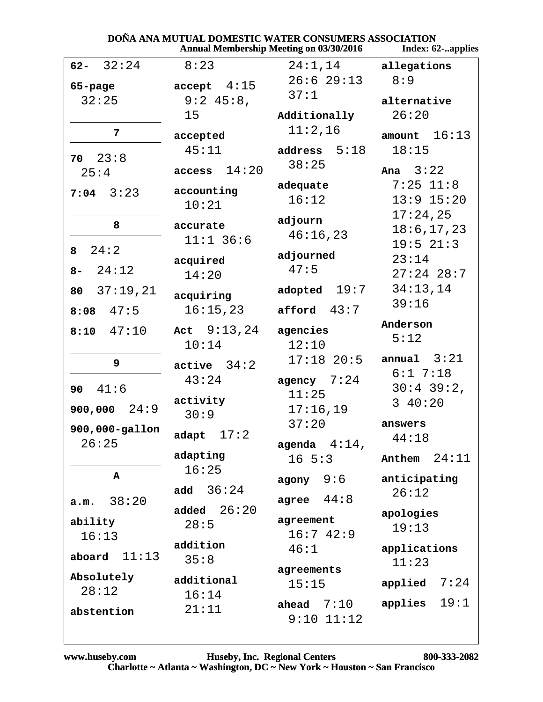|                         | DONA ANA MUTUAL DOMESTIC WATER CONSUMERS ASSOCIATION | <b>Annual Membership Meeting on 03/30/2016</b> | Index: 62-applies     |
|-------------------------|------------------------------------------------------|------------------------------------------------|-----------------------|
| $62 - 32:24$            | 8:23                                                 | 24:1,14                                        | allegations           |
| 65-page                 | accept 4:15                                          | $26:6$ 29:13                                   | 8:9                   |
| 32:25                   | $9:2$ 45:8,                                          | 37:1                                           | alternative           |
|                         | 15                                                   | Additionally                                   | 26:20                 |
| 7                       | accepted                                             | 11:2,16                                        | 16:13<br>amount       |
|                         | 45:11                                                | address $5:18$                                 | 18:15                 |
| $70 \quad 23:8$<br>25:4 | 14:20<br>access                                      | 38:25                                          | Ana $3:22$            |
|                         |                                                      | adequate                                       | $7:25$ 11:8           |
| $7:04$ 3:23             | accounting<br>10:21                                  | 16:12                                          | $13:9$ $15:20$        |
|                         |                                                      | adjourn                                        | 17:24,25              |
| 8                       | accurate                                             | 46:16,23                                       | 18:6, 17, 23          |
| 24:2<br>8               | $11:1$ 36:6                                          |                                                | $19:5$ $21:3$         |
|                         | acquired                                             | adjourned<br>47:5                              | 23:14                 |
| 24:12<br>$8-$           | 14:20                                                |                                                | $27:24$ 28:7          |
| 37:19,21<br>80          | acquiring                                            | adopted $19:7$                                 | 34:13,14              |
| $8:08$ 47:5             | 16:15,23                                             | 43:7<br>afford                                 | 39:16                 |
| 47:10<br>8:10           | Act $9:13,24$                                        | agencies                                       | Anderson              |
|                         | 10:14                                                | 12:10                                          | 5:12                  |
| 9                       | $active$ 34:2                                        | $17:18$ 20:5                                   | annual $3:21$         |
|                         | 43:24                                                | agency $7:24$                                  | 6:17:18               |
| 41:6<br>90              | activity                                             | 11:25                                          | $30:4$ 39:2,          |
| 24:9<br>900,000         | 30:9                                                 | 17:16,19                                       | 340:20                |
| 900,000-gallon          |                                                      | 37:20                                          | answers               |
| 26:25                   | adapt $17:2$                                         | agenda $4:14$ ,                                | 44:18                 |
|                         | adapting                                             | $16 \t5:3$                                     | 24:11<br>Anthem       |
| A                       | 16:25                                                | 9:6<br>agony                                   | anticipating          |
|                         | 36:24<br>add                                         | 44:8                                           | 26:12                 |
| 38:20<br>a.m.           | 26:20<br>added                                       | agree                                          | apologies             |
| ability                 | 28:5                                                 | agreement                                      | 19:13                 |
| 16:13                   | addition                                             | 16:742:9                                       |                       |
| 11:13<br>aboard         | 35:8                                                 | 46:1                                           | applications<br>11:23 |
| Absolutely              | additional                                           | agreements                                     |                       |
| 28:12                   | 16:14                                                | 15:15                                          | 7:24<br>applied       |
| abstention              | 21:11                                                | ahead $7:10$                                   | 19:1<br>applies       |
|                         |                                                      | $9:10$ $11:12$                                 |                       |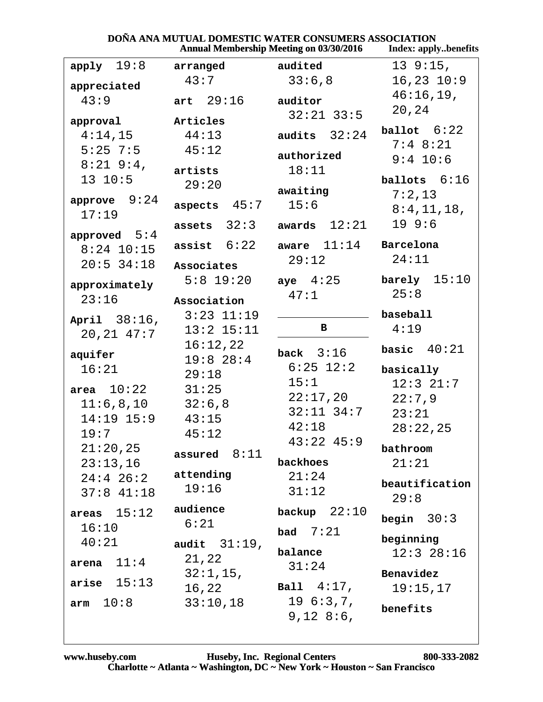|                     |                   | <b>Annual Membership Meeting on 03/30/2016</b> | <b>Index: applybenefits</b> |
|---------------------|-------------------|------------------------------------------------|-----------------------------|
| $apply$ 19:8        | arranged          | audited                                        | 139::15,                    |
| appreciated         | 43:7              | 33:6,8                                         | $16, 23$ $10:9$             |
| 43:9                | art $29:16$       | auditor                                        | $46:16,19$ ,                |
|                     |                   | $32:21$ $33:5$                                 | 20,24                       |
| approval<br>4:14,15 | Articles<br>44:13 | audits $32:24$                                 | ballot $6:22$               |
| $5:25$ 7:5          | 45:12             |                                                | $7:4$ 8:21                  |
| $8:21$ 9:4,         |                   | authorized                                     | $9:4$ 10:6                  |
| 13 10:5             | artists           | 18:11                                          | ballots 6:16                |
|                     | 29:20             | awaiting                                       | 7:2,13                      |
| approve $9:24$      | 45:7<br>aspects   | 15:6                                           | 8:4,11,18,                  |
| 17:19               | assets $32:3$     | awards $12:21$                                 | 19.9:6                      |
| approved $5:4$      |                   |                                                |                             |
| $8:24$ 10:15        | assist $6:22$     | aware $11:14$                                  | Barcelona                   |
| $20:5$ 34:18        | Associates        | 29:12                                          | 24:11                       |
| approximately       | $5:8$ 19:20       | aye $4:25$                                     | barely $15:10$              |
| 23:16               | Association       | 47:1                                           | 25:8                        |
|                     | $3:23$ $11:19$    |                                                | baseball                    |
| April 38:16,        | $13:2$ $15:11$    | в                                              | 4:19                        |
| 20, 21, 47:7        | 16:12,22          |                                                |                             |
| aquifer             | $19:8$ 28:4       | back $3:16$                                    | basic $40:21$               |
| 16:21               | 29:18             | $6:25$ 12:2                                    | basically                   |
| area $10:22$        | 31:25             | 15:1                                           | $12:3$ $21:7$               |
| 11:6,8,10           | 32:6,8            | 22:17,20                                       | 22:7,9                      |
| $14:19$ $15:9$      | 43:15             | $32:11$ $34:7$                                 | 23:21                       |
| 19:7                | 45:12             | 42:18                                          | 28:22,25                    |
| 21:20,25            |                   | $43:22$ $45:9$                                 | bathroom                    |
| 23:13,16            | assured $8:11$    | backhoes                                       | 21:21                       |
| $24:4$ 26:2         | attending         | 21:24                                          | beautification              |
| $37:8$ 41:18        | 19:16             | 31:12                                          | 29:8                        |
| areas $15:12$       | audience          | backup $22:10$                                 |                             |
| 16:10               | 6:21              |                                                | begin $30:3$                |
| 40:21               | audit $31:19$ ,   | bad $7:21$                                     | beginning                   |
|                     | 21,22             | balance                                        | $12:3$ $28:16$              |
| 11:4<br>arena       | 32:1,15,          | 31:24                                          | Benavidez                   |
| arise $15:13$       | 16,22             | <b>Ball</b> $4:17$ ,                           | 19:15,17                    |
| 10:8<br>arm         | 33:10,18          | 196:3,7,                                       |                             |
|                     |                   | 9,12,8:6,                                      | benefits                    |
|                     |                   |                                                |                             |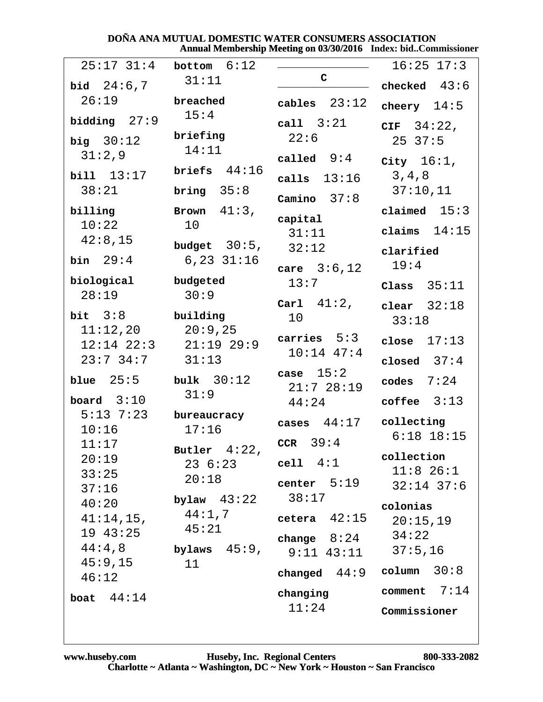#### DOÑA ANA MUTUAL DOMESTIC WATER CONSUMERS ASSOCIATION Annual Membership Meeting on 03/30/2016 Index: bid..Commissioner

| $25:17$ 31:4            | bottom $6:12$                      |                     | $16:25$ $17:3$              |
|-------------------------|------------------------------------|---------------------|-----------------------------|
| bid $24:6,7$            | 31:11                              | $\mathbf C$         | checked $43:6$              |
| 26:19                   | breached                           | cables $23:12$      | cheery $14:5$               |
| bidding $27:9$          | 15:4                               | call $3:21$         | CIF $34:22$ ,               |
| big $30:12$             | briefing<br>14:11                  | 22:6                | 2537:5                      |
| 31:2,9                  |                                    | called $9:4$        | City $16:1$ ,               |
| bill 13:17              | briefs $44:16$                     | calls $13:16$       | 3, 4, 8                     |
| 38:21                   | bring $35:8$                       | Camino $37:8$       | 37:10,11                    |
| billing                 | Brown $41:3$ ,                     | capital             | claimed $15:3$              |
| 10:22<br>42:8,15        | 10                                 | 31:11               | claims $14:15$              |
| bin $29:4$              | budget $30:5$ ,<br>$6, 23$ $31:16$ | 32:12               | clarified                   |
| biological              | budgeted                           | care $3:6,12$       | 19:4                        |
| 28:19                   | 30:9                               | 13:7                | Class $35:11$               |
| bit $3:8$               | building                           | Carl $41:2$ ,<br>10 | clear $32:18$               |
| 11:12,20                | 20:9,25                            | carries $5:3$       | 33:18                       |
| $12:14$ $22:3$          | $21:19$ 29:9                       | $10:14$ $47:4$      | 17:13<br>close              |
| $23:7$ 34:7             | 31:13                              | case $15:2$         | closed $37:4$               |
| blue $25:5$             | bulk $30:12$                       | 21:728:19           | 7:24<br>codes               |
| board $3:10$            | 31:9                               | 44:24               | coffee $3:13$               |
| $5:13$ 7:23<br>10:16    | bureaucracy<br>17:16               | 44:17<br>cases      | collecting                  |
| 11:17                   | Butler $4:22$                      | CCR $39:4$          | $6:18$ 18:15                |
| 20:19                   | 23 6:23 cell 4:1                   |                     | collection                  |
| 33:25                   | 20:18                              | center $5:19$       | $11:8$ 26:1<br>$32:14$ 37:6 |
| 37:16<br>40:20          | bylaw $43:22$ $38:17$              |                     | colonias                    |
| $41:14,15$ ,            | 44:1,7                             | cetera $42:15$      | 20:15,19                    |
| 19 43:25                | 45:21                              | change $8:24$       | 34:22                       |
| $44:4$ , $8$<br>45:9,15 | bylaws $45:9$ ,<br>11              | $9:11$ $43:11$      | 37:5,16                     |
| 46:12                   |                                    | changed $44:9$      | column $30:8$               |
| boat $44:14$            |                                    | changing            | comment $7:14$              |
|                         |                                    | 11:24               | Commissioner                |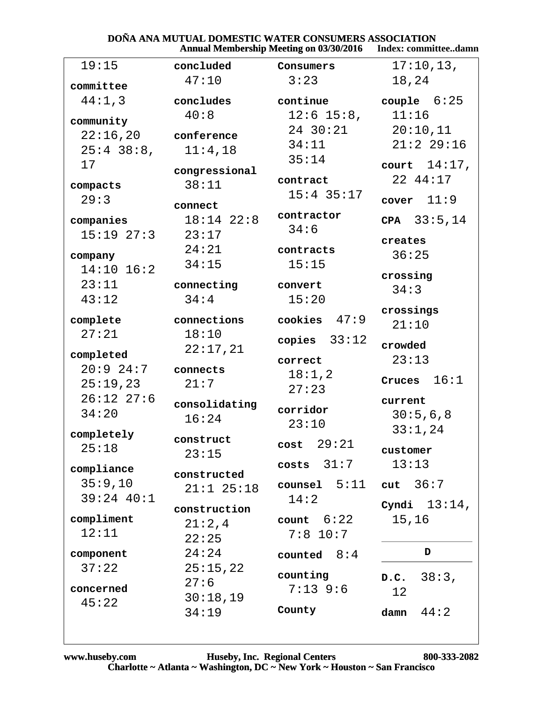#### **DOÑA ANA MUTUAL DOMESTIC WATER CONSUMERS ASSOCIATION<br>Annual Membership Meeting on 03/30/2016** Index: commit Index: committee..damn

|                                             |                                        | Allingal Membership Meeting on $0.973072010$ | писл. сопшинее. данн                        |
|---------------------------------------------|----------------------------------------|----------------------------------------------|---------------------------------------------|
| 19:15                                       | concluded                              | Consumers                                    | 17:10,13,                                   |
| committee                                   | 47:10                                  | 3:23                                         | 18,24                                       |
| 44:1,3                                      | concludes<br>40:8                      | continue<br>$12:6$ 15:8,                     | couple $6:25$<br>11:16                      |
| community<br>22:16,20<br>$25:4$ 38:8,<br>17 | conference<br>11:4,18<br>congressional | 24 30:21<br>34:11<br>35:14                   | 20:10,11<br>$21:2$ 29:16<br>court $14:17$ , |
| compacts<br>29:3                            | 38:11<br>connect                       | contract<br>$15:4$ 35:17<br>contractor       | 22 44:17<br>cover $11:9$                    |
| companies<br>$15:19$ $27:3$                 | $18:14$ $22:8$<br>23:17<br>24:21       | 34:6<br>contracts                            | CPA $33:5,14$<br>creates                    |
| company<br>$14:10$ $16:2$<br>23:11          | 34:15<br>connecting<br>34:4            | 15:15<br>convert<br>15:20                    | 36:25<br>crossing<br>34:3                   |
| 43:12<br>complete<br>27:21                  | connections<br>18:10                   | cookies $47:9$                               | crossings<br>21:10                          |
| completed<br>$20:9$ 24:7                    | 22:17,21<br>connects                   | copies $33:12$<br>correct<br>18:1,2          | crowded<br>23:13<br>16:1<br>Cruces          |
| 25:19,23<br>$26:12$ $27:6$<br>34:20         | 21:7<br>consolidating<br>16:24         | 27:23<br>corridor<br>23:10                   | current<br>30:5,6,8                         |
| completely<br>25:18                         | construct<br>23:15                     | $cost$ 29:21<br>$costs$ $31:7$               | 33:1,24<br>customer<br>13:13                |
| compliance<br>35:9,10<br>$39:24$ 40:1       | constructed<br>$21:1$ $25:18$          | $\verb course1 5:11 $<br>14:2                | cut $36:7$<br>Cyndi $13:14$ ,               |
| compliment<br>12:11                         | construction<br>21:2,4<br>22:25        | count $6:22$<br>$7:8$ 10:7                   | 15,16                                       |
| component<br>37:22<br>concerned             | 24:24<br>25:15,22<br>27:6              | counted $8:4$<br>counting<br>$7:13$ 9:6      | D<br>38:3,<br>D.C.<br>12                    |
| 45:22                                       | 30:18,19<br>34:19                      | County                                       | 44:2<br>damn                                |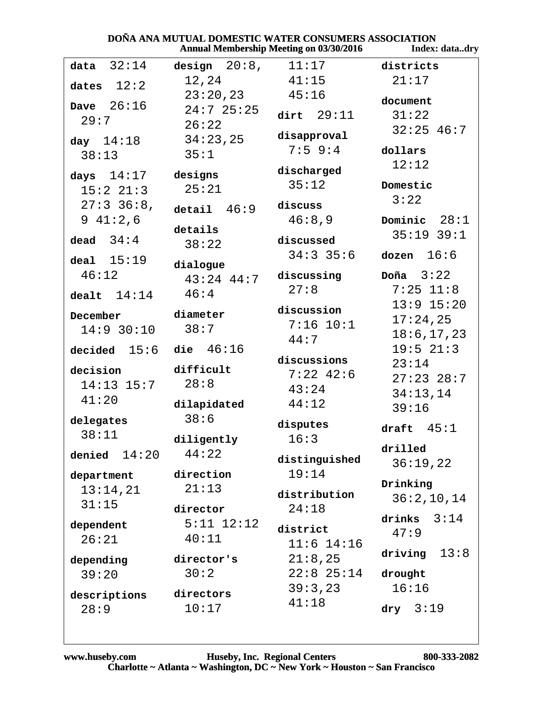|                            |                         | Annual Membership Meeting on 03/30/2016 | index: datadry         |
|----------------------------|-------------------------|-----------------------------------------|------------------------|
| data $32:14$               | design $20:8$ , $11:17$ |                                         | districts              |
| dates $12:2$               | 12,24                   | 41:15                                   | 21:17                  |
| Dave $26:16$               | 23:20,23                | 45:16                                   | document               |
| 29:7                       | $24:7$ 25:25            | dirt $29:11$                            | 31:22                  |
|                            | 26:22                   | disapproval                             | $32:25$ 46:7           |
| day $14:18$                | 34:23,25                | $7:5$ 9:4                               | dollars                |
| 38:13                      | 35:1                    |                                         | 12:12                  |
| days $14:17$               | designs                 | discharged                              |                        |
| $15:2$ $21:3$              | 25:21                   | 35:12                                   | Domestic               |
| $27:3$ 36:8,               | detail $46:9$           | discuss                                 | 3:22                   |
| 941:2,6                    |                         | 46:8,9                                  | Dominic $28:1$         |
| dead $34:4$                | details                 | discussed                               | $35:19$ $39:1$         |
|                            | 38:22                   | $34:3$ 35:6                             | dozen $16:6$           |
| deal $15:19$               | dialogue                |                                         |                        |
| 46:12                      | $43:24$ $44:7$          | discussing                              | Doña $3:22$            |
| dealt $14:14$              | 46:4                    | 27:8                                    | $7:25$ 11:8            |
| December                   | diameter                | discussion                              | $13:9$ $15:20$         |
| $14:9$ 30:10               | 38:7                    | $7:16$ $10:1$                           | 17:24,25               |
|                            |                         | 44:7                                    | 18:6, 17, 23           |
| decided $15:6$ die $46:16$ |                         | discussions                             | 19:5 21:3              |
| decision                   | difficult               | $7:22$ 42:6                             | 23:14                  |
| $14:13$ $15:7$             | 28:8                    | 43:24                                   | $27:23$ 28:7           |
| 41:20                      | dilapidated             | 44:12                                   | 34:13,14               |
| delegates                  | 38:6                    |                                         | 39:16                  |
| 38:11                      |                         | disputes                                | draft $45:1$           |
|                            | diligently              | 16:3                                    | drilled                |
| denied $14:20$             | 44:22                   | distinguished                           | 36:19,22               |
| department                 | direction               | 19:14                                   |                        |
| 13:14,21                   | 21:13                   | distribution                            | Drinking<br>36:2,10,14 |
| 31:15                      | director                | 24:18                                   |                        |
| dependent                  | $5:11$ $12:12$          |                                         | drinks<br>3:14         |
| 26:21                      | 40:11                   | district<br>$11:6$ $14:16$              | 47:9                   |
|                            |                         |                                         | 13:8<br>driving        |
| depending                  | director's<br>30:2      | 21:8,25<br>$22:8$ $25:14$               |                        |
| 39:20                      |                         | 39:3,23                                 | drought<br>16:16       |
| descriptions               | directors               | 41:18                                   |                        |
| 28:9                       | 10:17                   |                                         | $\text{dry}$ 3:19      |
|                            |                         |                                         |                        |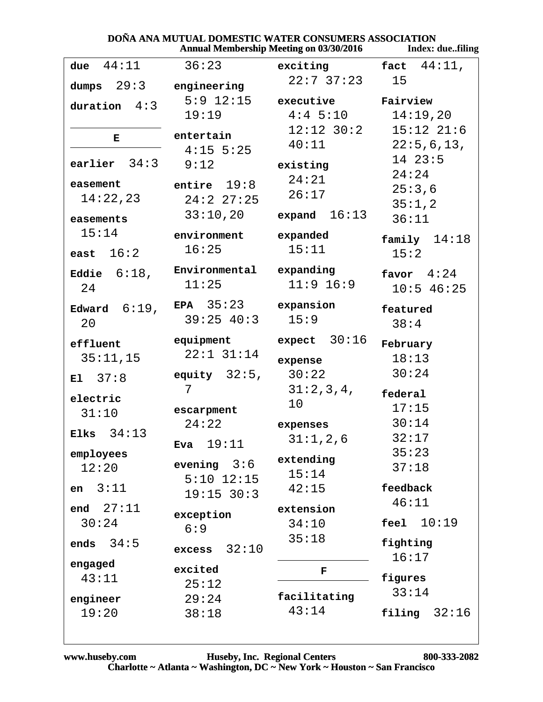|                      |                         | <b>Annual Membership Meeting on 03/30/2016</b> | Index: duefiling                           |
|----------------------|-------------------------|------------------------------------------------|--------------------------------------------|
| 44:11<br>due         | 36:23                   | exciting                                       | fact $44:11$ ,                             |
| dumps $29:3$         | engineering             | $22:7$ 37:23                                   | 15                                         |
| duration $4:3$       |                         | 5:9 12:15 executive Fairview                   |                                            |
|                      | 19:19                   | $4:4$ 5:10                                     | 14:19,20                                   |
| Е                    | entertain               | $12:12$ $30:2$                                 | $15:12$ $21:6$                             |
|                      | $4:15$ 5:25             | 40:11                                          | 22:5,6,13,                                 |
| earlier $34:3$       | 9:12                    | existing                                       | $14$ $23:5$                                |
| easement             | entire $19:8$           | 24:21                                          | 24:24                                      |
| 14:22,23             | 24:227:25               | 26:17                                          | 25:3,6                                     |
| easements            | 33:10,20                | expand $16:13$                                 | 35:1,2<br>36:11                            |
| 15:14                | environment             | expanded                                       |                                            |
|                      | 16:25                   | 15:11                                          | family $14:18$                             |
| east $16:2$          |                         |                                                | 15:2                                       |
| Eddie $6:18$ ,       | Environmental expanding |                                                | favor $4:24$                               |
| 24                   | 11:25                   | $11:9$ 16:9                                    | $10:5$ 46:25                               |
| Edward $6:19$ ,      | EPA $35:23$             | expansion                                      | featured                                   |
| 20                   | $39:25$ 40:3            | 15:9                                           | 38:4                                       |
| effluent             | equipment               | 30:16<br>expect                                | February                                   |
| 35:11,15             | $22:1$ $31:14$          | expense                                        | 18:13                                      |
| E1 $37:8$            | equity $32:5$ ,         | 30:22                                          | 30:24                                      |
|                      | 7                       | 31:2,3,4,                                      | federal                                    |
| electric             | escarpment              | 10                                             | 17:15                                      |
| 31:10                | 24:22                   | expenses                                       | 30:14                                      |
| Elks $34:13$         | 19:11                   | 31:1,2,6                                       | 32:17                                      |
| employees            | Eva                     | extending                                      | 35:23                                      |
| 12:20                | evening $3:6$           | 15:14                                          | 37:18                                      |
| 3:11<br>en           | $5:10$ $12:15$          | 42:15                                          | feedback                                   |
|                      | 19:15 30:3              |                                                | 46:11                                      |
| end $27:11$<br>30:24 | exception               | extension<br>34:10                             | 10:19<br>$\mathop{\mathsf{fea}}\nolimits1$ |
|                      | 6:9                     | 35:18                                          |                                            |
| 34:5<br>ends         | 32:10<br>excess         |                                                | fighting                                   |
| engaged              | excited                 | F                                              | 16:17                                      |
| 43:11                | 25:12                   |                                                | figures                                    |
| engineer             | 29:24                   | facilitating                                   | 33:14                                      |
| 19:20                | 38:18                   | 43:14                                          | filing<br>32:16                            |
|                      |                         |                                                |                                            |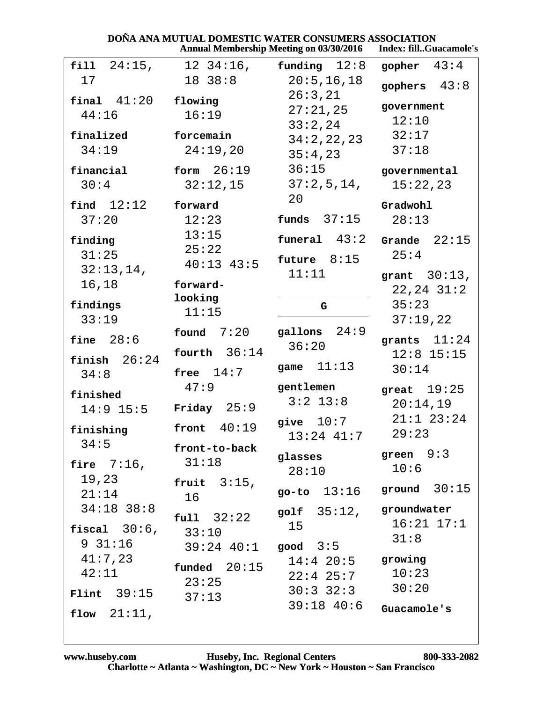|                                           | Annual Membership Meeting on 03/30/2016        |                                      | Index: fillGuacamole's                |
|-------------------------------------------|------------------------------------------------|--------------------------------------|---------------------------------------|
| $fill 24:15$ ,                            | $12 \ \ 34:16$ ,                               | funding $12:8$                       | gopher $43:4$                         |
| 17                                        | 18 38:8                                        | 20:5, 16, 18<br>26:3,21              | gophers $43:8$                        |
| final $41:20$<br>44:16                    | flowing<br>16:19                               | 27:21,25<br>33:2,24                  | government<br>12:10                   |
| finalized<br>34:19                        | forcemain<br>24:19,20                          | 34:2,22,23<br>35:4,23                | 32:17<br>37:18                        |
| financial<br>30:4                         | form $26:19$<br>32:12,15                       | 36:15<br>37:2,5,14,                  | governmental<br>15:22,23              |
| find $12:12$<br>37:20                     | forward<br>12:23                               | 20<br>funds $37:15$                  | Gradwohl<br>28:13                     |
| finding<br>31:25                          | 13:15<br>25:22<br>$40:13$ $43:5$               | funeral $43:2$<br>future $8:15$      | 22:15<br>Grande<br>25:4               |
| 32:13,14,<br>16,18                        | forward-<br>looking                            | 11:11                                | grant $30:13$ ,<br>$22, 24$ $31:2$    |
| findings<br>33:19                         | 11:15<br>found $7:20$                          | G<br>gallons $24:9$                  | 35:23<br>37:19,22                     |
| fine $28:6$<br>finish $26:24$             | fourth $36:14$                                 | 36:20<br>11:13<br>game               | grants $11:24$<br>$12:8$ 15:15        |
| 34:8<br>finished                          | free $14:7$<br>47:9                            | gentlemen<br>$3:2$ 13:8              | 30:14<br>great $19:25$                |
| $14:9$ 15:5<br>finishing                  | Friday $25:9$<br>40:19<br>front                | give $10:7$                          | 20:14,19<br>$21:1$ $23:24$<br>29:23   |
| 34:5<br>fire $7:16$ ,                     | front-to-back<br>31:18                         | $13:24$ $41:7$<br>glasses<br>28:10   | green $9:3$<br>10:6                   |
| 19,23<br>21:14                            | fruit $3:15$ ,<br>16                           |                                      | go-to $13:16$ ground $30:15$          |
| $34:18$ 38:8<br>fiscal $30:6$ ,<br>931:16 | full 32:22<br>33:10<br>$39:24$ 40:1 good $3:5$ | golf $35:12$ ,<br>15                 | groundwater<br>$16:21$ $17:1$<br>31:8 |
| 41:7,23<br>42:11                          | $f$ unded $20:15$<br>23:25                     | $14:4$ 20:5 growing<br>$22:4$ $25:7$ | 10:23<br>30:20                        |
| $Flint$ 39:15<br>flow $21:11$ ,           | 37:13                                          | $30:3$ $32:3$<br>$39:18$ 40:6        | Guacamole's                           |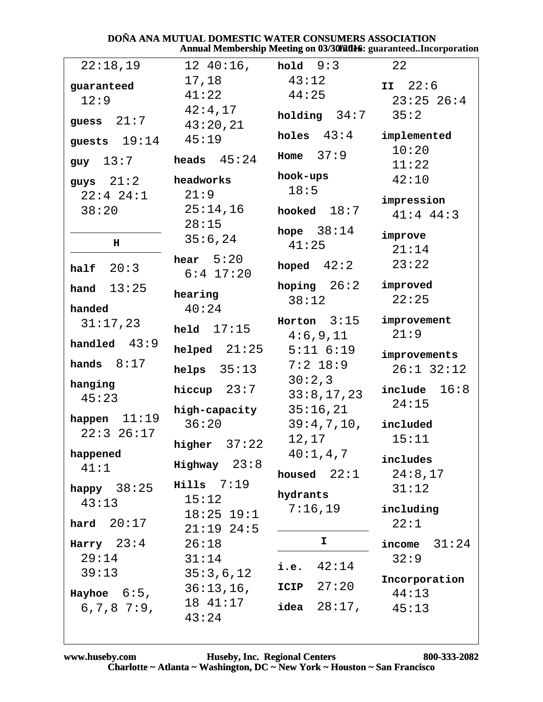#### DOÑA ANA MUTUAL DOMESTIC WATER CONSUMERS ASSOCIATION Annual Membership Meeting on 03/30/2016: guaranteed..Incorporation

| 22:18,19                          | $12 \t40:16$ ,                 | hold $9:3$                | 22                          |
|-----------------------------------|--------------------------------|---------------------------|-----------------------------|
| guaranteed<br>12:9                | 17,18<br>41:22<br>42:4,17      | 43:12<br>44:25            | II $22:6$<br>$23:25$ $26:4$ |
| 21:7<br>guess                     | 43:20,21                       | holding 34:7              | 35:2                        |
| 19:14<br>guests                   | 45:19                          | holes $43:4$              | implemented                 |
| $guy \quad 13:7$                  | heads $45:24$                  | Home $37:9$               | 10:20<br>11:22              |
| guys $21:2$                       | headworks                      | hook-ups                  | 42:10                       |
| $22:4$ $24:1$<br>38:20            | 21:9<br>25:14,16               | 18:5<br>hooked $18:7$     | impression<br>$41:4$ $44:3$ |
| $\mathbf H$                       | 28:15<br>35:6,24               | hope $38:14$<br>41:25     | improve<br>21:14            |
| half $20:3$                       | hear $5:20$<br>$6:4$ 17:20     | hoped $42:2$              | 23:22                       |
| hand $13:25$                      | hearing                        | hoping $26:2$<br>38:12    | improved<br>22:25           |
| handed<br>31:17,23                | 40:24<br>held $17:15$          | Horton $3:15$<br>4:6,9,11 | improvement<br>21:9         |
| handled $43:9$                    | $helped$ $21:25$               | $5:11$ $6:19$             | improvements                |
| hands $8:17$                      | helps $35:13$                  | $7:2$ 18:9                | $26:1$ 32:12                |
| hanging<br>45:23                  | hiccup $23:7$                  | 30:2,3<br>33:8,17,23      | 16:8<br>include<br>24:15    |
| 11:19<br>happen<br>$22:3$ $26:17$ | high-capacity<br>36:20         | 35:16,21<br>39:4,7,10,    | included                    |
|                                   | higher $37:22$                 | 12,17                     | 15:11                       |
| happened<br>41:1                  | $Highway 23:8$                 | $40:1$ , $4$ , $7$        | includes                    |
| happy $38:25$                     | $Hills$ 7:19                   | housed $22:1$             | 24:8,17<br>31:12            |
| 43:13                             | 15:12                          | hydrants<br>7:16,19       | including                   |
| hard $20:17$                      | $18:25$ $19:1$<br>$21:19$ 24:5 |                           | 22:1                        |
| Harry $23:4$                      | 26:18                          | I.                        | income $31:24$              |
| 29:14<br>39:13                    | 31:14<br>35:3,6,12             | 42:14<br>i.e.             | 32:9                        |
| Hayhoe $6:5$ ,                    | 36:13,16,                      | 27:20<br>ICIP             | Incorporation<br>44:13      |
| $6, 7, 8$ 7:9,                    | 18 41:17<br>43:24              | 28:17,<br>idea            | 45:13                       |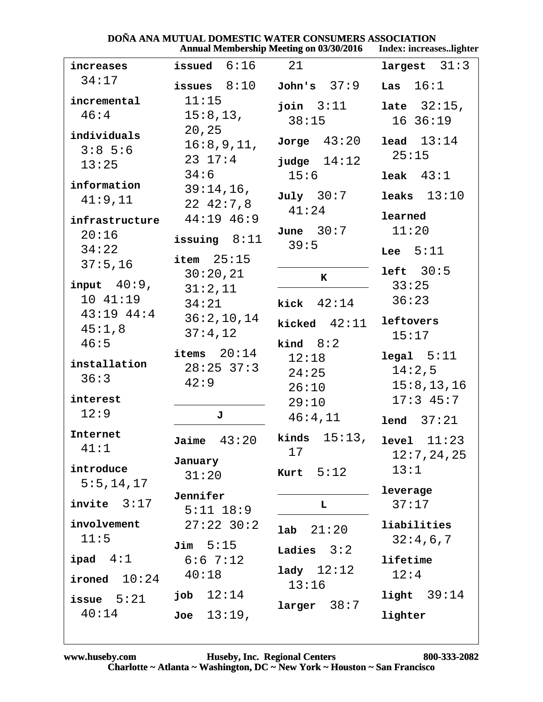|                            | DONA ANA MUTUAL DOMESTIC WATER CONSUMERS ASSOCIATION | <b>Annual Membership Meeting on 03/30/2016</b> | Index: increaseslighter |
|----------------------------|------------------------------------------------------|------------------------------------------------|-------------------------|
| increases                  | issued $6:16$                                        | 21                                             | largest $31:3$          |
| 34:17                      | issues $8:10$                                        | John's 37:9                                    | 16:1<br>Las             |
| incremental                | 11:15                                                | join $3:11$                                    | <b>late</b> $32:15$ ,   |
| 46:4                       | 15:8, 13,                                            | 38:15                                          | 16.36:19                |
| individuals                | 20, 25                                               |                                                |                         |
| 3:85:6                     | 16:8,9,11,                                           | Jorge $43:20$                                  | lead 13:14              |
| 13:25                      | $23 \t17:4$                                          | judge $14:12$                                  | 25:15                   |
|                            | 34:6                                                 | 15:6                                           | leak $43:1$             |
| information                | 39:14,16,                                            | July 30:7                                      | leaks $13:10$           |
| 41:9,11                    | 22, 42:7, 8                                          | 41:24                                          |                         |
| infrastructure             | 44:19 46:9                                           |                                                | learned                 |
| 20:16                      | issuing $8:11$                                       | June $30:7$                                    | 11:20                   |
| 34:22                      |                                                      | 39:5                                           | Lee $5:11$              |
| 37:5,16                    | item $25:15$                                         |                                                |                         |
|                            | 30:20,21                                             | K                                              | left 30:5               |
| input $40:9$ ,             | 31:2,11                                              |                                                | 33:25                   |
| 10 41:19<br>$43:19$ $44:4$ | 34:21                                                | kick $42:14$                                   | 36:23                   |
|                            | 36:2,10,14                                           | kicked $42:11$                                 | leftovers               |
| 45:1,8                     | 37:4,12                                              |                                                | 15:17                   |
| 46:5                       | items $20:14$                                        | kind $8:2$<br>12:18                            | legal 5:11              |
| installation               | $28:25$ 37:3                                         | 24:25                                          | 14:2,5                  |
| 36:3                       | 42:9                                                 |                                                | 15:8, 13, 16            |
| interest                   |                                                      | 26:10                                          | $17:3$ 45:7             |
| 12:9                       | J                                                    | 29:10                                          |                         |
|                            |                                                      | 46:4,11                                        | 37:21<br>lend           |
| Internet                   | 43:20<br>Jaime                                       | 15:13,<br>kinds                                | level 11:23             |
| 41:1                       |                                                      | 17                                             | 12:7,24,25              |
| introduce                  | January<br>31:20                                     | Kurt $5:12$                                    | 13:1                    |
| 5:5, 14, 17                |                                                      |                                                |                         |
| invite $3:17$              | Jennifer                                             | L                                              | leverage<br>37:17       |
|                            | $5:11$ $18:9$                                        |                                                |                         |
| involvement                | $27:22$ 30:2                                         | lab 21:20                                      | liabilities             |
| 11:5                       | $\texttt{Jim}$ 5:15                                  |                                                | 32:4,6,7                |
| ipad 4:1                   | 6:67:12                                              | Ladies $3:2$                                   | lifetime                |
| ironed $10:24$             | 40:18                                                | lady $12:12$                                   | 12:4                    |
|                            |                                                      | 13:16                                          |                         |
| issue $5:21$               | 12:14<br>dot                                         | 38:7<br>larger                                 | light $39:14$           |
| 40:14                      | $13:19$ ,<br>Joe                                     |                                                | lighter                 |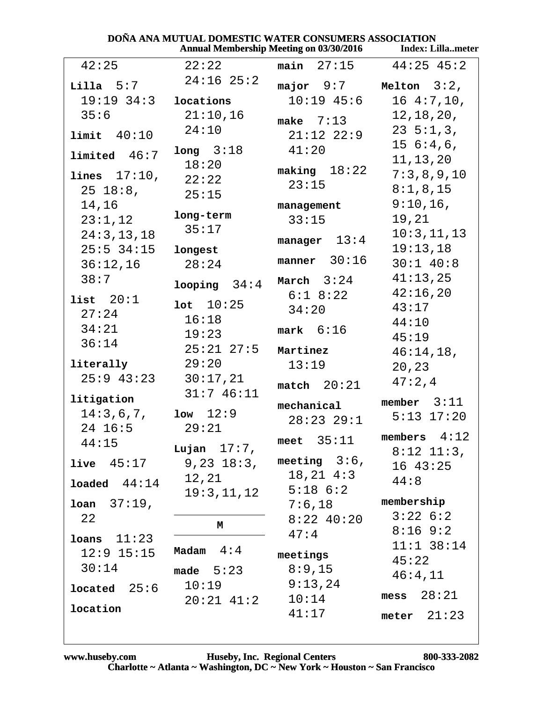|                       |                  | <b>Annual Membership Meeting on 03/30/2016</b> | <b>Index: Lillameter</b>     |
|-----------------------|------------------|------------------------------------------------|------------------------------|
| 42:25                 | 22:22            | $main$ 27:15                                   | $44:25$ 45:2                 |
| $Lilla$ $5:7$         | $24:16$ $25:2$   | major 9:7                                      | Melton $3:2$ ,               |
| $19:19$ $34:3$        | locations        | $10:19$ $45:6$                                 | 164:7,10,                    |
| 35:6                  | 21:10,16         | make $7:13$                                    | 12, 18, 20,                  |
| limit 40:10           | 24:10            | $21:12$ $22:9$                                 | $23 \; 5:1,3,$               |
| $1$ imited $46:7$     | long 3:18        | 41:20                                          | $15\;6:4,6$ ,                |
|                       | 18:20            | $\texttt{making}$ 18:22                        | 11, 13, 20                   |
| lines $17:10$ ,       | 22:22            | 23:15                                          | 7:3,8,9,10                   |
| $25 \t18:8$ ,         | 25:15            |                                                | 8:1,8,15                     |
| 14,16                 | long-term        | management                                     | $9:10,16$ ,                  |
| 23:1,12               | 35:17            | 33:15                                          | 19,21                        |
| 24:3, 13, 18          |                  | manager $13:4$                                 | 10:3, 11, 13<br>19:13,18     |
| $25:5$ 34:15          | longest          | manner $30:16$                                 | $30:1$ 40:8                  |
| 36:12,16<br>38:7      | 28:24            |                                                | 41:13,25                     |
|                       | looping 34:4     | March $3:24$                                   | 42:16,20                     |
| list $20:1$           | 10:25            | $6:1$ $8:22$                                   | 43:17                        |
| 27:24                 | 16:18            | 34:20                                          | 44:10                        |
| 34:21                 | 19:23            | $mark$ 6:16                                    | 45:19                        |
| 36:14                 | $25:21$ $27:5$   | Martinez                                       | 46:14,18,                    |
| literally             | 29:20            | 13:19                                          | 20, 23                       |
| $25:9$ 43:23 30:17,21 |                  | match $20:21$                                  | 47:2,4                       |
| litigation            | 31:746:11        |                                                | member $3:11$                |
| 14:3,6,7,             | $1ow \quad 12:9$ | mechanical                                     | $5:13$ $17:20$               |
| 24 16:5               | 29:21            | $28:23$ $29:1$                                 |                              |
| 44:15                 | Lujan $17:7$ ,   | meet $35:11$                                   | members $4:12$               |
| $live$ $45:17$        | $9,23$ $18:3$ ,  | meeting $3:6$ ,                                | $8:12$ 11:3,<br>$16 \t43:25$ |
|                       | 12,21            | $18, 21$ $4:3$                                 | 44:8                         |
| $1$ oaded $44:14$     | 19:3,11,12       | $5:18$ $6:2$                                   |                              |
| <b>loan</b> $37:19$ , |                  | 7:6,18                                         | membership                   |
| 22                    | М                | $8:22$ 40:20                                   | 3:226:2                      |
| $10ans$ $11:23$       |                  | 47:4                                           | $8:16$ 9:2                   |
| $12:9$ $15:15$        | Madam $4:4$      | meetings                                       | $11:1$ 38:14                 |
| 30:14                 | made $5:23$      | 8:9,15                                         | 45:22                        |
| located 25:6          | 10:19            | 9:13,24                                        | 46:4,11                      |
|                       | $20:21$ 41:2     | 10:14                                          | mess $28:21$                 |
| location              |                  | 41:17                                          | meter $21:23$                |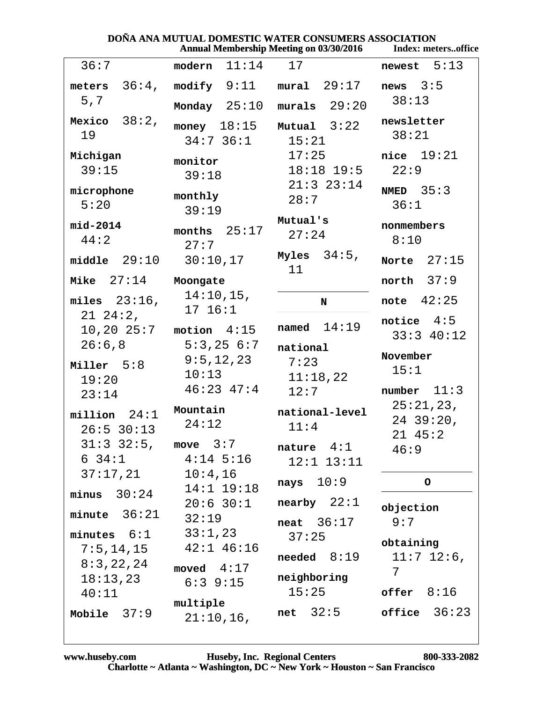|                                                        | DOÑA ANA MUTUAL DOMESTIC WATER CONSUMERS ASSOCIATION                    | <b>Annual Membership Meeting on 03/30/2016</b> | Index: metersoffice                               |
|--------------------------------------------------------|-------------------------------------------------------------------------|------------------------------------------------|---------------------------------------------------|
| 36:7                                                   | modern $11:14$ 17                                                       |                                                | newest $5:13$                                     |
| meters $36:4$ ,<br>5,7                                 | $\text{modify} \quad 9:11$<br>Monday $25:10$                            | $mural$ $29:17$<br>$murals$ 29:20              | news $3:5$<br>38:13                               |
| Mexico $38:2$ ,<br>19                                  | money $18:15$<br>$34:7$ 36:1                                            | Mutual $3:22$<br>15:21                         | newsletter<br>38:21                               |
| Michigan<br>39:15                                      | monitor<br>39:18                                                        | 17:25<br>$18:18$ $19:5$<br>$21:3$ $23:14$      | nice $19:21$<br>22:9                              |
| microphone<br>5:20                                     | monthly<br>39:19                                                        | 28:7                                           | NMED $35:3$<br>36:1                               |
| mid-2014<br>44:2                                       | months $25:17$<br>27:7                                                  | Mutual's<br>27:24                              | nonmembers<br>8:10                                |
| middle $29:10$                                         | 30:10,17                                                                | Myles $34:5$ ,<br>11                           | Norte $27:15$                                     |
| Mike $27:14$                                           | Moongate                                                                |                                                | north $37:9$                                      |
| miles $23:16$ ,<br>$21\ \ 24:2$ ,                      | 14:10,15,<br>17 16:1                                                    | N<br>named $14:19$                             | note $42:25$<br>notice $4:5$                      |
| 10, 20, 25:7<br>26:6,8<br>Miller 5:8<br>19:20<br>23:14 | motion $4:15$<br>$5:3,25$ $6:7$<br>9:5,12,23<br>10:13<br>$46:23$ $47:4$ | national<br>7:23<br>11:18,22<br>12:7           | $33:3$ 40:12<br>November<br>15:1<br>number $11:3$ |
| $million$ 24:1<br>$26:5$ 30:13                         | Mountain<br>24:12                                                       | national-level<br>11:4                         | 25:21,23,<br>$24$ 39:20,<br>$21 \t45:2$           |
| $31:3$ $32:5$ , move $3:7$<br>$6\;34:1$<br>37:17,21    | $4:14$ 5:16<br>10:4,16                                                  | nature $4:1$<br>$12:1$ $13:11$                 | 46:9                                              |
| minus $30:24$                                          | 14:1 19:18                                                              | nays $10:9$                                    | $\mathsf{o}$                                      |
| minute $36:21$                                         | $20:6$ 30:1<br>32:19                                                    | nearby $22:1$<br>neat $36:17$                  | objection<br>9:7                                  |
| minutes $6:1$<br>7:5, 14, 15                           | 33:1,23<br>$42:1$ $46:16$                                               | 37:25<br>$n$ eeded $8:19$                      | obtaining<br>$11:7$ 12:6,                         |
| 8:3,22,24<br>18:13,23<br>40:11                         | moved $4:17$<br>$6:3$ 9:15                                              | neighboring<br>15:25                           | 7<br>$offer \t8:16$                               |
| Mobile $37:9$                                          | multiple<br>$21:10,16$ ,                                                | net $32:5$                                     | office $36:23$                                    |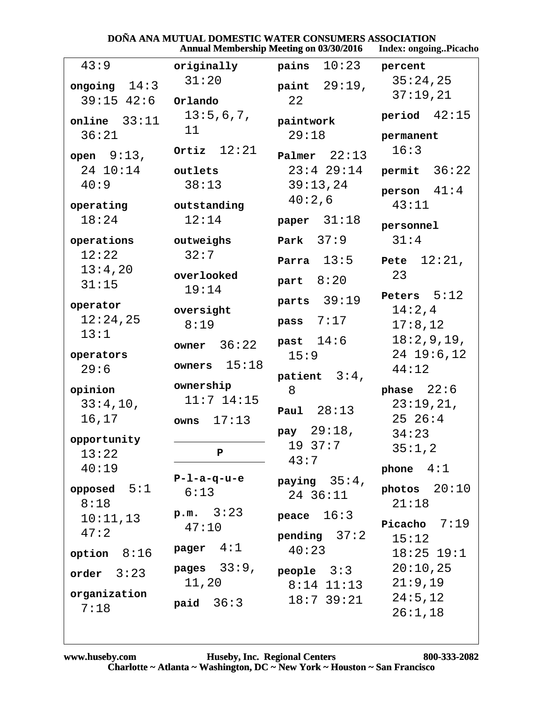|                |                 | Annual Membership Meeting on 03/30/2016 | Index: ongoingPicacho |
|----------------|-----------------|-----------------------------------------|-----------------------|
| 43:9           | originally      | 10:23<br>pains                          | percent               |
| ongoing $14:3$ | 31:20           | paint 29:19,                            | 35:24,25              |
| $39:15$ 42:6   | Orlando         | 22                                      | 37:19,21              |
| online $33:11$ | 13:5,6,7,<br>11 | paintwork                               | period $42:15$        |
| 36:21          |                 | 29:18                                   | permanent             |
| open $9:13$ ,  | Ortiz $12:21$   | Palmer $22:13$                          | 16:3                  |
| 24 10:14       | outlets         | $23:4$ 29:14                            | permit $36:22$        |
| 40:9           | 38:13           | 39:13,24                                | person $41:4$         |
| operating      | outstanding     | 40:2,6                                  | 43:11                 |
| 18:24          | 12:14           | paper $31:18$                           |                       |
|                |                 |                                         | personnel             |
| operations     | outweighs       | Park $37:9$                             | 31:4                  |
| 12:22          | 32:7            | 13:5<br>Parra                           | 12:21,<br>Pete        |
| 13:4,20        | overlooked      | part $8:20$                             | 23                    |
| 31:15          | 19:14           |                                         | Peters $5:12$         |
| operator       | oversight       | 39:19<br>parts                          | 14:2,4                |
| 12:24,25       | 8:19            | 7:17<br>pass                            | 17:8,12               |
| 13:1           |                 | past $14:6$                             | 18:2,9,19,            |
| operators      | 36:22<br>owner  | 15:9                                    | $24$ 19:6,12          |
| 29:6           | 15:18<br>owners |                                         | 44:12                 |
|                | ownership       | patient $3:4$ ,                         |                       |
| opinion        | $11:7$ $14:15$  | 8                                       | phase $22:6$          |
| 33:4,10,       |                 | Paul $28:13$                            | 23:19,21,             |
| 16,17          | 17:13<br>owns   | pay 29:18,                              | $25\ 26:4$            |
| opportunity    |                 | 1937:7                                  | 34:23                 |
| 13:22          | P               | 43:7                                    | 35:1,2                |
| 40:19          |                 |                                         | phone $4:1$           |
| opposed $5:1$  | $P-1-a-q-u-e$   | paying $35:4$ ,                         | photos $20:10$        |
| 8:18           | 6:13            | 24 36:11                                | 21:18                 |
| 10:11,13       | p.m. 3:23       | 16:3<br>peace                           |                       |
| 47:2           | 47:10           |                                         | Picacho $7:19$        |
|                | 4:1<br>pager    | pending $37:2$<br>40:23                 | 15:12                 |
| 8:16<br>option |                 |                                         | $18:25$ $19:1$        |
| order $3:23$   | pages $33:9$ ,  | $people$ $3:3$                          | 20:10,25              |
| organization   | 11,20           | $8:14$ 11:13                            | 21:9,19               |
| 7:18           | paid $36:3$     | $18:7$ 39:21                            | 24:5,12               |
|                |                 |                                         | 26:1,18               |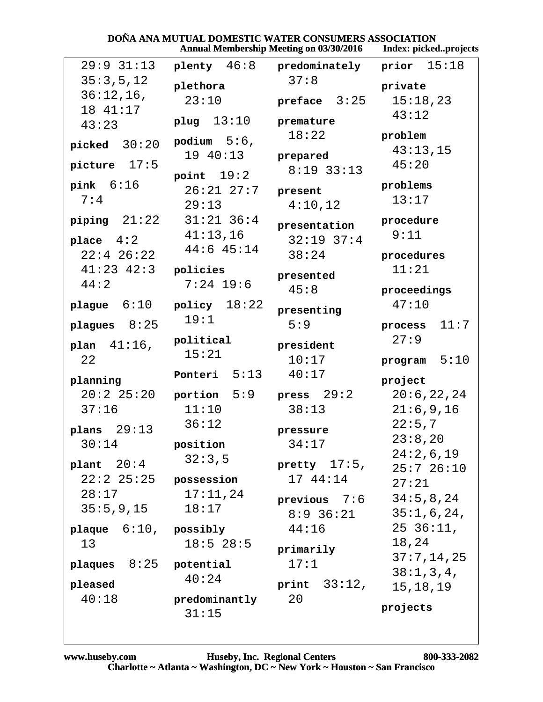| <b>Annual Membership Meeting on 03/30/2016</b> |                     |                     | Index: pickedprojects |
|------------------------------------------------|---------------------|---------------------|-----------------------|
| $29:9$ $31:13$                                 | $\n  plenty 46:8\n$ | predominately       | 15:18<br>prior        |
| 35:3,5,12                                      | plethora            | 37:8                | private               |
| $36:12,16$ ,                                   | 23:10               | preface $3:25$      | 15:18,23              |
| 18 41:17                                       | 13:10<br>plug       | premature           | 43:12                 |
| 43:23                                          |                     | 18:22               | problem               |
| picked $30:20$                                 | podium $5:6$ ,      |                     | 43:13,15              |
| picture $17:5$                                 | 19 40:13            | prepared            | 45:20                 |
|                                                | point $19:2$        | $8:19$ 33:13        |                       |
| pink $6:16$                                    | $26:21$ $27:7$      | present             | problems              |
| 7:4                                            | 29:13               | 4:10,12             | 13:17                 |
| piping $21:22$                                 | $31:21$ $36:4$      | presentation        | procedure             |
| place $4:2$                                    | 41:13,16            | $32:19$ $37:4$      | 9:11                  |
| $22:4$ 26:22                                   | 44:6 45:14          | 38:24               | procedures            |
| $41:23$ $42:3$                                 | policies            | presented           | 11:21                 |
| 44:2                                           | $7:24$ 19:6         | 45:8                | proceedings           |
| plague $6:10$                                  | policy $18:22$      |                     | 47:10                 |
|                                                | 19:1                | presenting          |                       |
| plagues $8:25$                                 |                     | 5:9                 | 11:7<br>process       |
| plan $41:16$ ,                                 | political<br>15:21  | president           | 27:9                  |
| 22                                             |                     | 10:17               | program $5:10$        |
| planning                                       | 5:13<br>Ponteri     | 40:17               | project               |
| 20:225:20                                      | portion $5:9$       | press $29:2$        | 20:6, 22, 24          |
| 37:16                                          | 11:10               | 38:13               | 21:6,9,16             |
| plans $29:13$                                  | 36:12               | pressure            | 22:5,7                |
| 30:14                                          | position            | 34:17               | 23:8,20               |
|                                                | 32:3,5              |                     | 24:2,6,19             |
| plant $20:4$                                   |                     | pretty $17:5$ ,     | 25:726:10             |
| $22:2$ $25:25$                                 | possession          | 17 44:14            | 27:21                 |
| 28:17                                          | 17:11,24            | <b>previous</b> 7:6 | 34:5,8,24             |
| 35:5,9,15                                      | 18:17               | $8:9$ 36:21         | 35:1,6,24,            |
| plaque $6:10$ , possibly                       |                     | 44:16               | $25\,36:11$ ,         |
| 13                                             | $18:5$ 28:5         | primarily           | 18,24                 |
| plaques $8:25$ potential                       |                     | 17:1                | 37:7,14,25            |
| pleased                                        | 40:24               | print $33:12$ ,     | 38:1,3,4,             |
| 40:18                                          | predominantly       | 20                  | 15, 18, 19            |
|                                                | 31:15               |                     | projects              |
|                                                |                     |                     |                       |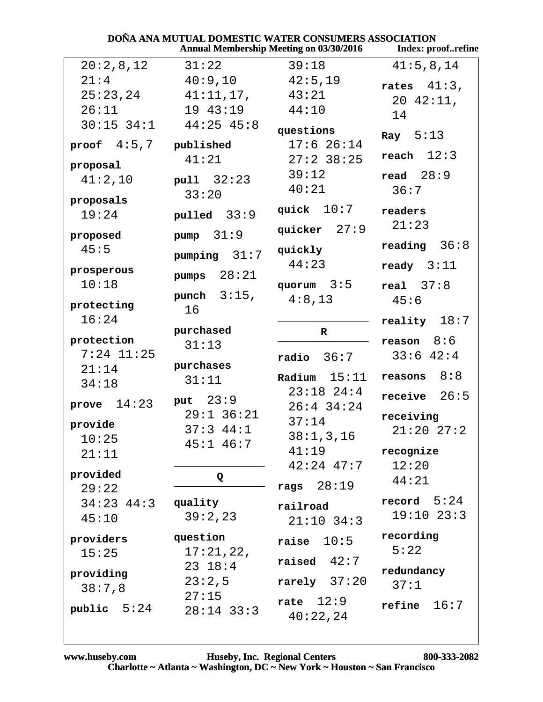| <b>DOÑA ANA MUTUAL DOMESTIC WATER CONSUMERS ASSOCIATION</b><br><b>Annual Membership Meeting on 03/30/2016</b><br>Index: proofrefine |                          |                          |                |  |
|-------------------------------------------------------------------------------------------------------------------------------------|--------------------------|--------------------------|----------------|--|
| 20:2,8,12                                                                                                                           | 31:22                    | 39:18                    | 41:5,8,14      |  |
| 21:4                                                                                                                                | 40:9,10                  | 42:5,19                  | rates $41:3$ , |  |
| 25:23,24                                                                                                                            | 41:11,17,                | 43:21                    | $20 \t 42:11,$ |  |
| 26:11                                                                                                                               | 19 43:19                 | 44:10                    | 14             |  |
| $30:15$ $34:1$                                                                                                                      | $44:25$ $45:8$           | questions                | Ray $5:13$     |  |
| proof $4:5,7$                                                                                                                       | published                | $17:6$ 26:14             |                |  |
| proposal                                                                                                                            | 41:21                    | $27:2$ 38:25             | reach $12:3$   |  |
| 41:2,10                                                                                                                             | pull 32:23               | 39:12                    | read $28:9$    |  |
|                                                                                                                                     | 33:20                    | 40:21                    | 36:7           |  |
| proposals<br>19:24                                                                                                                  | pulled $33:9$            | quick $10:7$             | readers        |  |
| proposed                                                                                                                            | pump $31:9$              | quicker $27:9$           | 21:23          |  |
| 45:5                                                                                                                                | pumping $31:7$           | quickly                  | reading $36:8$ |  |
| prosperous                                                                                                                          |                          | 44:23                    | ready $3:11$   |  |
| 10:18                                                                                                                               | pumps $28:21$            | quorum $3:5$             | real $37:8$    |  |
| protecting                                                                                                                          | punch $3:15$ ,           | 4:8,13                   | 45:6           |  |
| 16:24                                                                                                                               | 16                       |                          | reality $18:7$ |  |
|                                                                                                                                     | purchased                | R                        |                |  |
| protection                                                                                                                          | 31:13                    |                          | reason $8:6$   |  |
| $7:24$ 11:25                                                                                                                        | purchases                | $radio$ $36:7$           | 33:642:4       |  |
| 21:14                                                                                                                               | 31:11                    | Radium $15:11$           | reasons $8:8$  |  |
| 34:18                                                                                                                               |                          | $23:18$ $24:4$           | receive $26:5$ |  |
| prove $14:23$                                                                                                                       | put 23:9                 | $26:4$ 34:24             |                |  |
| provide                                                                                                                             | $29:1$ 36:21<br>37:344:1 | 37:14                    | receiving      |  |
| 10:25                                                                                                                               | $45:1$ $46:7$            | 38:1, 3, 16              | $21:20$ $27:2$ |  |
| 21:11                                                                                                                               |                          | 41:19                    | recognize      |  |
| provided                                                                                                                            |                          | $42:24$ $47:7$           | 12:20          |  |
| 29:22                                                                                                                               | Q                        | 28:19<br>rags            | 44:21          |  |
| $34:23$ $44:3$                                                                                                                      | quality                  |                          | record $5:24$  |  |
| 45:10                                                                                                                               | 39:2,23                  | railroad<br>$21:10$ 34:3 | $19:10$ $23:3$ |  |
|                                                                                                                                     | question                 |                          | recording      |  |
| providers<br>15:25                                                                                                                  | 17:21,22,                | raise $10:5$             | 5:22           |  |
|                                                                                                                                     | $23 \t18:4$              | raised<br>42:7           |                |  |
| providing                                                                                                                           | 23:2,5                   | rarely $37:20$           | redundancy     |  |
| 38:7,8                                                                                                                              | 27:15                    |                          | 37:1           |  |
| public $5:24$                                                                                                                       | $28:14$ 33:3             | rate $12:9$<br>40:22,24  | 16:7<br>refine |  |

**DAÑ**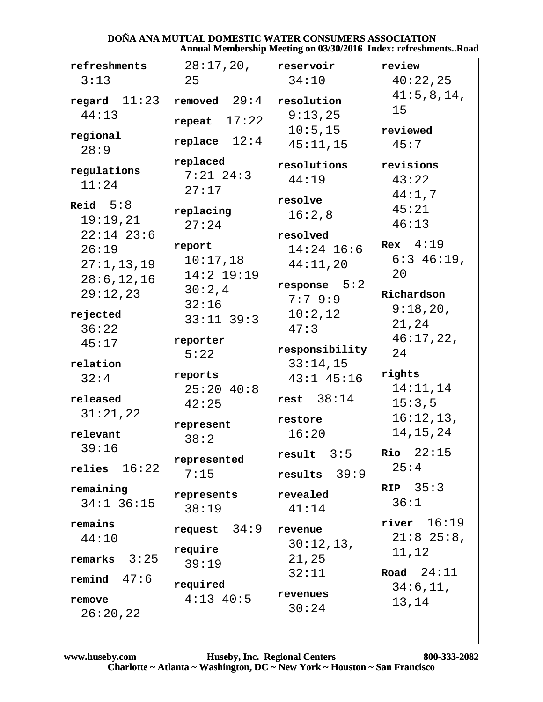#### DOÑA ANA MUTUAL DOMESTIC WATER CONSUMERS ASSOCIATION Annual Membership Meeting on 03/30/2016 Index: refreshments..Road

| refreshments          | 28:17,20,           | reservoir                  | review                    |
|-----------------------|---------------------|----------------------------|---------------------------|
| 3:13                  | 25                  | 34:10                      | 40:22,25                  |
| $\verb regard 11:23 $ | removed $29:4$      | resolution                 | 41:5,8,14,<br>15          |
| 44:13                 | repeat $17:22$      | 9:13,25                    |                           |
| regional              | replace $12:4$      | 10:5, 15                   | reviewed                  |
| 28:9                  |                     | 45:11,15                   | 45:7                      |
| regulations           | replaced            | resolutions                | revisions                 |
| 11:24                 | $7:21$ $24:3$       | 44:19                      | 43:22                     |
| Reid $5:8$            | 27:17               | resolve                    | 44:1,7                    |
| 19:19,21              | replacing           | 16:2,8                     | 45:21                     |
| $22:14$ 23:6          | 27:24               | resolved                   | 46:13                     |
| 26:19                 | report              | $14:24$ 16:6               | Rex $4:19$                |
| 27:1, 13, 19          | 10:17,18            | 44:11,20                   | $6:3$ 46:19,              |
| 28:6, 12, 16          | $14:2$ 19:19        |                            | 20                        |
| 29:12,23              | 30:2,4              | response $5:2$<br>7:79::9  | Richardson                |
| rejected              | 32:16               | 10:2,12                    | 9:18,20,                  |
| 36:22                 | $33:11$ $39:3$      | 47:3                       | 21,24                     |
| 45:17                 | reporter            |                            | 46:17,22,                 |
|                       | 5:22                | responsibility             | 24                        |
| relation<br>32:4      | reports             | 33:14,15<br>$43:1$ $45:16$ | rights                    |
|                       | $25:20$ 40:8        |                            | 14:11,14                  |
| released              | 42:25               | rest $38:14$               | 15:3,5                    |
| 31:21,22              | represent           | restore                    | 16:12,13,                 |
| relevant              | 38:2                | 16:20                      | 14, 15, 24                |
| 39:16                 |                     | result $3:5$               | $Rio$ 22:15               |
| relies $16:22$        | represented<br>7:15 | $results$ 39:9             | 25:4                      |
| remaining             |                     |                            | RIP $35:3$                |
| $34:1$ 36:15          | represents          | revealed                   | 36:1                      |
|                       | 38:19               | 41:14                      | $river$ $16:19$           |
| remains<br>44:10      | request $34:9$      | revenue                    | $21:8$ 25:8,              |
|                       | require             | 30:12,13,                  | 11,12                     |
| remarks $3:25$        | 39:19               | 21,25                      |                           |
| remind $47:6$         | required            | 32:11                      | Road $24:11$<br>34:6, 11, |
| remove                | $4:13$ $40:5$       | revenues                   | 13,14                     |
| 26:20,22              |                     | 30:24                      |                           |
|                       |                     |                            |                           |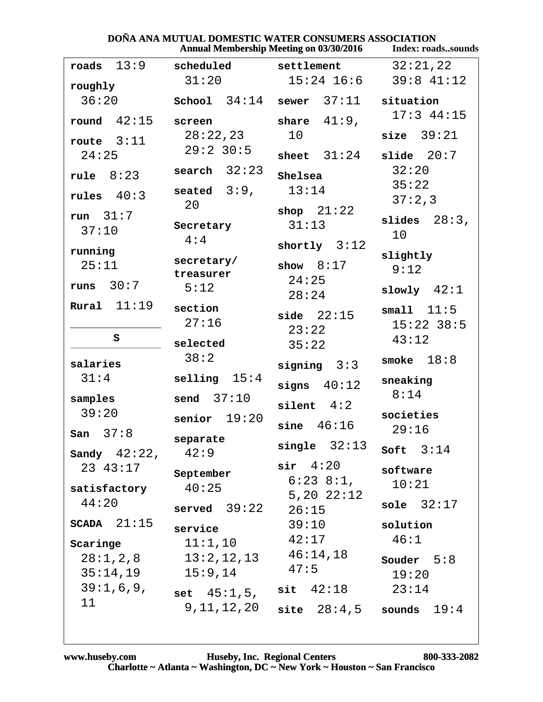| DOÑA ANA MUTUAL DOMESTIC WATER CONSUMERS ASSOCIATION<br><b>Annual Membership Meeting on 03/30/2016</b><br><b>Index: roadssounds</b> |                                                              |                                                 |                                       |
|-------------------------------------------------------------------------------------------------------------------------------------|--------------------------------------------------------------|-------------------------------------------------|---------------------------------------|
| 13:9<br>roads                                                                                                                       | scheduled                                                    | settlement                                      | 32:21,22                              |
| roughly                                                                                                                             | 31:20                                                        | $15:24$ $16:6$                                  | $39:8$ 41:12                          |
| 36:20                                                                                                                               | School $34:14$                                               | 37:11<br>sewer                                  | situation                             |
| round $42:15$                                                                                                                       | screen                                                       | share $41:9$ ,                                  | $17:3$ 44:15                          |
| route $3:11$                                                                                                                        | 28:22,23<br>$29:2$ 30:5                                      | 10                                              | size $39:21$                          |
| 24:25                                                                                                                               |                                                              | sheet $31:24$                                   | slide $20:7$                          |
| rule $8:23$                                                                                                                         | search $32:23$                                               | Shelsea                                         | 32:20<br>35:22                        |
| rules $40:3$                                                                                                                        | seated $3:9$ ,<br>20                                         | 13:14                                           | 37:2,3                                |
| run $31:7$<br>37:10                                                                                                                 | Secretary<br>4:4                                             | shop $21:22$<br>31:13                           | $28:3$ ,<br>slides<br>10              |
| running<br>25:11                                                                                                                    | secretary/<br>treasurer                                      | shortly $3:12$<br>show $8:17$                   | slightly<br>9:12                      |
| runs $30:7$                                                                                                                         | 5:12                                                         | 24:25<br>28:24                                  | slowly $42:1$                         |
| Rural $11:19$<br>S                                                                                                                  | section<br>27:16                                             | side $22:15$<br>23:22                           | small $11:5$<br>$15:22$ 38:5<br>43:12 |
|                                                                                                                                     | selected                                                     | 35:22                                           |                                       |
| salaries                                                                                                                            | 38:2                                                         | signing $3:3$                                   | smoke $18:8$                          |
| 31:4                                                                                                                                | selling $15:4$                                               | signs $40:12$                                   | sneaking<br>8:14                      |
| samples<br>39:20<br>$\begin{matrix} \texttt{San} & 37:8 \end{matrix}$                                                               | send $37:10$<br>senior $19:20$                               | silent $4:2$<br>46:16<br>sine                   | societies<br>29:16                    |
| Sandy $42:22$ ,                                                                                                                     | separate<br>42:9                                             | single $32:13$                                  | Soft $3:14$                           |
| 23 43:17<br>satisfactory                                                                                                            | September<br>40:25                                           | $\sin 4:20$<br>$6:23$ $8:1$ ,<br>$5,20$ $22:12$ | software<br>10:21                     |
| 44:20                                                                                                                               | served 39:22                                                 | 26:15                                           | sole $32:17$                          |
| $SCADA$ $21:15$<br>Scaringe<br>35:14,19                                                                                             | service<br>11:1,10<br>$28:1, 2, 8$ $13:2, 12, 13$<br>15:9,14 | 39:10<br>42:17<br>46:14,18<br>47:5              | solution<br>46:1<br>Souder $5:8$      |
| 39:1,6,9,                                                                                                                           | $set \; 45:1,5,$                                             | $\textsf{sit}$ $42:18$                          | 19:20<br>23:14                        |
| 11                                                                                                                                  | 9, 11, 12, 20                                                | site $28:4,5$ sounds $19:4$                     |                                       |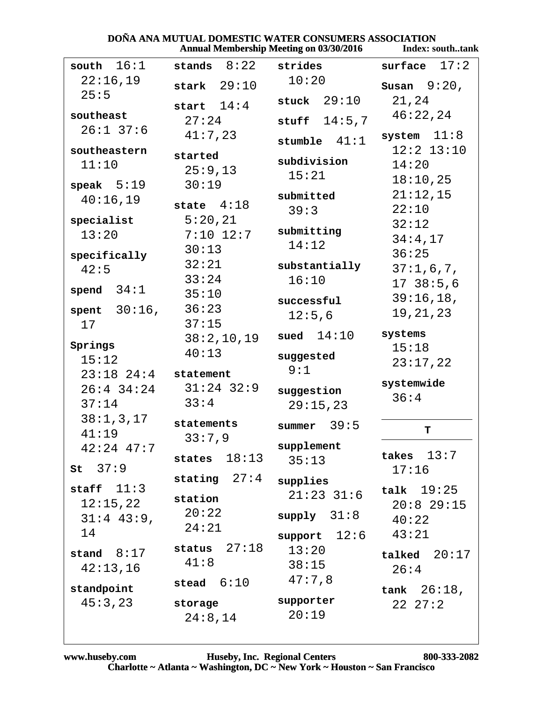#### **DOÑA ANA MUTUAL DOMESTIC WATER CONSUMERS ASSOCIATION**<br>Annual Membership Meeting on 03/30/2016 [Index: so Index: south tank

|                     |                        | Annual Membership Meeting on 03/30/2010 | Index; southtank              |
|---------------------|------------------------|-----------------------------------------|-------------------------------|
| south $16:1$        | stands $8:22$          | strides                                 | 17:2<br>surface               |
| 22:16,19            | stark $29:10$          | 10:20                                   | Susan $9:20$ ,                |
| 25:5                | start $14:4$           | stuck $29:10$                           | 21,24                         |
| southeast           | 27:24                  | 14:5,7<br>stuff                         | 46:22,24                      |
| $26:1$ 37:6         | 41:7,23                |                                         | system $11:8$                 |
| southeastern        |                        | stumble $41:1$                          | $12:2$ $13:10$                |
| 11:10               | started<br>25:9,13     | subdivision                             | 14:20                         |
| speak $5:19$        | 30:19                  | 15:21                                   | 18:10,25                      |
| 40:16,19            |                        | submitted                               | 21:12,15                      |
|                     | state $4:18$           | 39:3                                    | 22:10                         |
| specialist<br>13:20 | 5:20,21<br>$7:10$ 12:7 | submitting                              | 32:12                         |
|                     | 30:13                  | 14:12                                   | 34:4,17                       |
| specifically        | 32:21                  | substantially                           | 36:25                         |
| 42:5                | 33:24                  | 16:10                                   | 37:1,6,7,                     |
| spend $34:1$        | 35:10                  |                                         | 1738:5,6                      |
| spent $30:16$ ,     | 36:23                  | successful                              | 39:16,18,<br>19, 21, 23       |
| 17                  | 37:15                  | 12:5,6                                  |                               |
| Springs             | 38:2,10,19             | sued $14:10$                            | systems                       |
| 15:12               | 40:13                  | suggested                               | 15:18                         |
| $23:18$ $24:4$      | statement              | 9:1                                     | 23:17,22                      |
| $26:4$ 34:24        | $31:24$ 32:9           | suggestion                              | systemwide                    |
| 37:14               | 33:4                   | 29:15,23                                | 36:4                          |
| 38:1,3,17           | statements             | summer $39:5$                           |                               |
| 41:19               | 33:7,9                 |                                         | T                             |
| $42:24$ $47:7$      | states $18:13$         | supplement                              | takes $13:7$                  |
| $st$ 37:9           |                        | 35:13                                   | 17:16                         |
| staff $11:3$        | stating $27:4$         | supplies                                | talk $19:25$                  |
| 12:15,22            | station                | $21:23$ $31:6$                          | $20:8$ 29:15                  |
| $31:4$ 43:9,        | 20:22                  | supply 31:8                             | 40:22                         |
| 14                  | 24:21                  | support $12:6$                          | 43:21                         |
| stand $8:17$        | status $27:18$         | 13:20                                   | talked $20:17$                |
| 42:13,16            | 41:8                   | 38:15                                   | 26:4                          |
| standpoint          | stead $6:10$           | 47:7,8                                  |                               |
| 45:3,23             | storage                | supporter                               | tank $26:18$ ,<br>$22 \t27:2$ |
|                     | 24:8,14                | 20:19                                   |                               |
|                     |                        |                                         |                               |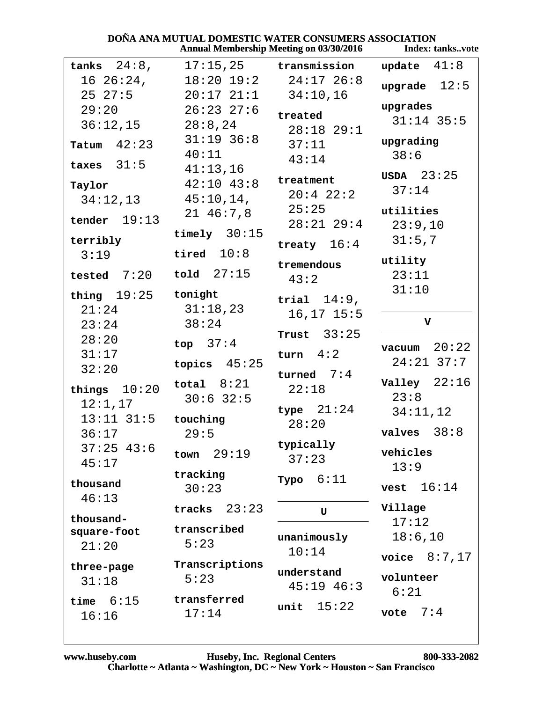#### **DOÑA ANA MUTUAL DOMESTIC WATER CONSUMERS ASSOCIATION<br>Annual Membership Meeting on 03/30/2016** Index: ta Index: tanks..vote

|                            |                           | Allingal Membership inteeling on 03/30/2010 | HIUCA. L'AIIRS VULT      |
|----------------------------|---------------------------|---------------------------------------------|--------------------------|
| tanks $24:8$ ,             |                           | $17:15,25$ transmission                     | update $41:8$            |
| $16\ 26:24$ ,              |                           | $18:20$ $19:2$ $24:17$ $26:8$               | upgrade $12:5$           |
| $25\;\;27:5$               | $20:17$ $21:1$ $34:10,16$ |                                             |                          |
| 29:20                      | $26:23$ 27:6              | treated                                     | upgrades                 |
| 36:12,15                   | 28:8,24                   | $28:18$ 29:1                                | $31:14$ 35:5             |
| Tatum $42:23$              | $31:19$ 36:8              | 37:11                                       | upgrading                |
|                            | 40:11                     | 43:14                                       | 38:6                     |
| taxes $31:5$               | 41:13,16                  |                                             | $USDA$ $23:25$           |
| Taylor                     | $42:10$ $43:8$            | treatment<br>$20:4$ $22:2$                  | 37:14                    |
| 34:12,13                   | $45:10,14$ ,              | 25:25                                       |                          |
| tender $19:13$             | $21\;46:7,8$              | $28:21$ $29:4$                              | utilities                |
|                            | timely $30:15$            |                                             | 23:9,10<br>31:5,7        |
| terribly<br>3:19           | tired $10:8$              | treaty $16:4$                               |                          |
|                            |                           | tremendous                                  | utility                  |
| tested $7:20$ told $27:15$ |                           | 43:2                                        | 23:11                    |
| thing $19:25$ tonight      |                           | trial $14:9$ ,                              | 31:10                    |
| 21:24                      | 31:18,23                  | $16, 17$ $15:5$                             |                          |
| 23:24                      | 38:24                     |                                             | V                        |
| 28:20                      | top $37:4$                | Trust $33:25$                               | 20:22                    |
| 31:17                      |                           | turn $4:2$                                  | vacuum<br>$24:21$ $37:7$ |
| 32:20                      | topics $45:25$            | turned $7:4$                                |                          |
| things $10:20$             | total $8:21$              | 22:18                                       | Valley $22:16$           |
| 12:1,17                    | $30:6$ 32:5               |                                             | 23:8                     |
| $13:11$ $31:5$             | touching                  | type $21:24$<br>28:20                       | 34:11,12                 |
| 36:17                      | 29:5                      |                                             | valves $38:8$            |
| $37:25$ 43:6               | 29:19<br>town             | typically                                   | vehicles                 |
| 45:17                      |                           | 37:23                                       | 13:9                     |
| thousand                   | tracking                  | 6:11<br>Typo                                |                          |
| 46:13                      | 30:23                     |                                             | 16:14<br>vest            |
|                            | 23:23<br>tracks           | U                                           | Village                  |
| thousand-<br>square-foot   | transcribed               |                                             | 17:12                    |
| 21:20                      | 5:23                      | unanimously                                 | 18:6, 10                 |
|                            | Transcriptions            | 10:14                                       | voice $8:7,17$           |
| three-page                 | 5:23                      | understand                                  | volunteer                |
| 31:18                      |                           | $45:19$ $46:3$                              | 6:21                     |
| time $6:15$                | transferred               | 15:22<br>unit                               |                          |
| 16:16                      | 17:14                     |                                             | 7:4<br>vote              |
|                            |                           |                                             |                          |